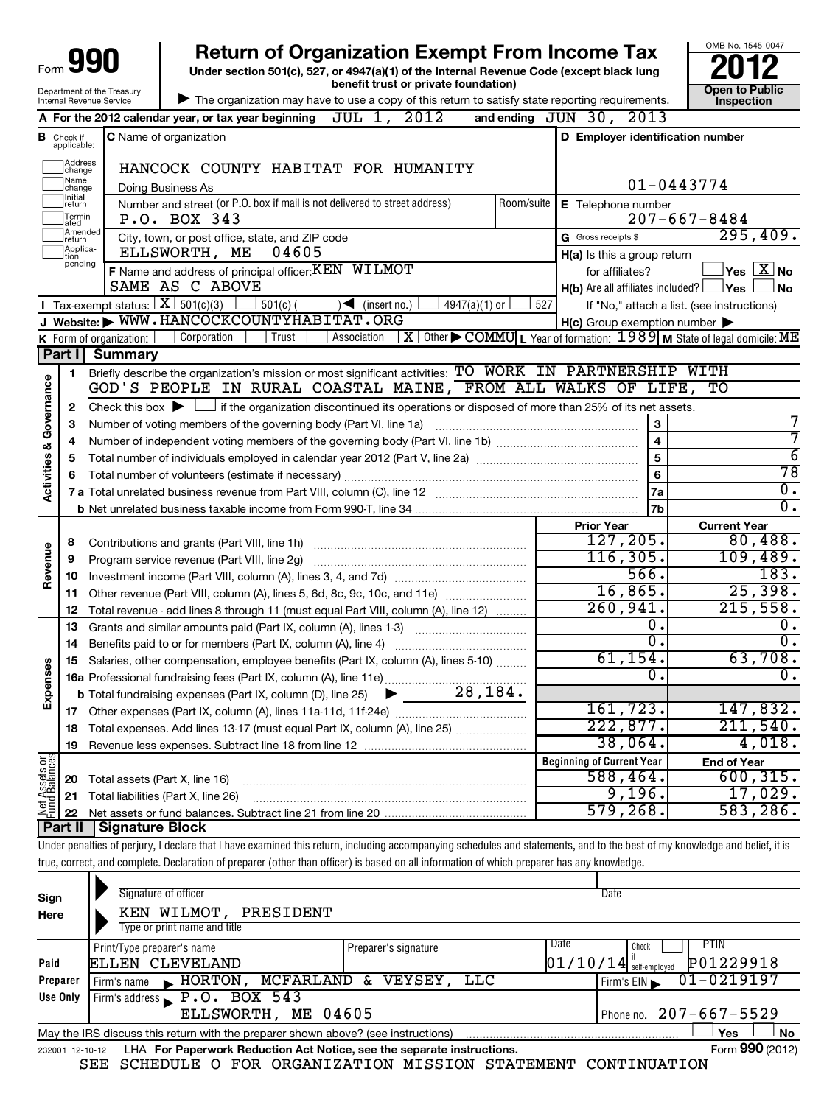| 990<br>Form<br>w                                       |
|--------------------------------------------------------|
| Department of the Treasury<br>Internal Revenue Service |

**Under section 501(c), 527, or 4947(a)(1) of the Internal Revenue Code (except black lung benefit trust or private foundation) Construction Construction Construction Construction 990** Return of Organization Exempt From Income Tax  $\frac{6008 \text{ No. 1545-004}}{2012}$ 

OMB No. 1545-0047 **Inspection**

| The organization may have to use a copy of this return to satisfy state reporting requirements.

|                         |                             | A For the 2012 calendar year, or tax year beginning $JUL$ 1, $2012$                                                                                                                                                                                                                                                      |            | and ending JUN 30, 2013                             |                                                                                                                |
|-------------------------|-----------------------------|--------------------------------------------------------------------------------------------------------------------------------------------------------------------------------------------------------------------------------------------------------------------------------------------------------------------------|------------|-----------------------------------------------------|----------------------------------------------------------------------------------------------------------------|
| в                       | Check if<br>applicable:     | C Name of organization                                                                                                                                                                                                                                                                                                   |            | D Employer identification number                    |                                                                                                                |
|                         | Address<br>change           | HANCOCK COUNTY HABITAT FOR HUMANITY                                                                                                                                                                                                                                                                                      |            |                                                     |                                                                                                                |
|                         | Name<br>change              | Doing Business As                                                                                                                                                                                                                                                                                                        |            |                                                     | 01-0443774                                                                                                     |
|                         | Initial<br>return           | Number and street (or P.O. box if mail is not delivered to street address)                                                                                                                                                                                                                                               | Room/suite | E Telephone number                                  |                                                                                                                |
|                         | Termin-<br>ated             | P.O. BOX 343                                                                                                                                                                                                                                                                                                             |            |                                                     | $207 - 667 - 8484$                                                                                             |
|                         | Amended<br>return           | City, town, or post office, state, and ZIP code                                                                                                                                                                                                                                                                          |            | G Gross receipts \$                                 | 295,409.                                                                                                       |
|                         | Applica-<br>tion<br>pending | ELLSWORTH, ME<br>04605                                                                                                                                                                                                                                                                                                   |            | H(a) Is this a group return                         |                                                                                                                |
|                         |                             | F Name and address of principal officer: KEN WILMOT                                                                                                                                                                                                                                                                      |            | for affiliates?                                     | $\vert$ Yes $\vert$ $\overline{\rm X}$ No                                                                      |
|                         |                             | SAME AS C ABOVE                                                                                                                                                                                                                                                                                                          |            | $H(b)$ Are all affiliates included? $\Box$ Yes      | J No                                                                                                           |
|                         |                             | <b>I</b> Tax-exempt status: $X \ 501(c)(3)$ $1 \ 501(c)$<br>$\sqrt{\bullet}$ (insert no.)<br>4947(a)(1) or                                                                                                                                                                                                               | 527        |                                                     | If "No," attach a list. (see instructions)                                                                     |
|                         |                             | J Website: WWW.HANCOCKCOUNTYHABITAT.ORG                                                                                                                                                                                                                                                                                  |            | $H(c)$ Group exemption number $\blacktriangleright$ |                                                                                                                |
|                         |                             | Corporation<br>Trust<br>Association<br>K Form of organization: $\lfloor$<br>Part I Summary                                                                                                                                                                                                                               |            |                                                     | $\boxed{\text{X}}$ Other $\blacktriangleright$ COMMU L Year of formation: $1989$ M State of legal domicile: ME |
|                         |                             | Briefly describe the organization's mission or most significant activities: TO WORK IN PARTNERSHIP WITH                                                                                                                                                                                                                  |            |                                                     |                                                                                                                |
| Governance              | 1                           | GOD'S PEOPLE IN RURAL COASTAL MAINE, FROM ALL WALKS OF LIFE, TO                                                                                                                                                                                                                                                          |            |                                                     |                                                                                                                |
|                         | 2                           | Check this box $\blacktriangleright$ $\Box$ if the organization discontinued its operations or disposed of more than 25% of its net assets.                                                                                                                                                                              |            |                                                     |                                                                                                                |
|                         | з                           |                                                                                                                                                                                                                                                                                                                          |            | 3                                                   | 7                                                                                                              |
|                         | 4                           |                                                                                                                                                                                                                                                                                                                          |            | $\overline{4}$                                      | 7                                                                                                              |
|                         | 5                           |                                                                                                                                                                                                                                                                                                                          |            | $\overline{5}$                                      | $\overline{6}$                                                                                                 |
|                         | 6                           |                                                                                                                                                                                                                                                                                                                          |            | $6\phantom{a}$                                      | $\overline{78}$                                                                                                |
| <b>Activities &amp;</b> |                             |                                                                                                                                                                                                                                                                                                                          |            | 7a                                                  | $\overline{0}$ .                                                                                               |
|                         |                             |                                                                                                                                                                                                                                                                                                                          |            | 7 <sub>b</sub>                                      | 0.                                                                                                             |
|                         |                             |                                                                                                                                                                                                                                                                                                                          |            | <b>Prior Year</b>                                   | <b>Current Year</b>                                                                                            |
|                         | 8                           |                                                                                                                                                                                                                                                                                                                          |            | 127, 205.                                           | 80,488.                                                                                                        |
| Revenue                 | 9                           | Program service revenue (Part VIII, line 2g)                                                                                                                                                                                                                                                                             |            | 116, 305.                                           | 109,489.                                                                                                       |
|                         | 10                          |                                                                                                                                                                                                                                                                                                                          |            | 566.                                                | 183.                                                                                                           |
|                         | 11                          | Other revenue (Part VIII, column (A), lines 5, 6d, 8c, 9c, 10c, and 11e)                                                                                                                                                                                                                                                 |            | 16,865.                                             | 25,398.                                                                                                        |
|                         | 12                          | Total revenue - add lines 8 through 11 (must equal Part VIII, column (A), line 12)                                                                                                                                                                                                                                       |            | 260,941.<br>0.                                      | 215,558.<br>0.                                                                                                 |
|                         | 13                          | Grants and similar amounts paid (Part IX, column (A), lines 1-3)                                                                                                                                                                                                                                                         |            | $\overline{0}$ .                                    | 0.                                                                                                             |
|                         | 14<br>15                    | Salaries, other compensation, employee benefits (Part IX, column (A), lines 5-10)                                                                                                                                                                                                                                        |            | 61, 154.                                            | 63,708.                                                                                                        |
|                         |                             |                                                                                                                                                                                                                                                                                                                          |            | 0.                                                  | $\overline{0}$ .                                                                                               |
| Expenses                |                             | $\blacktriangleright$ 28,184.<br><b>b</b> Total fundraising expenses (Part IX, column (D), line 25)                                                                                                                                                                                                                      |            |                                                     |                                                                                                                |
|                         |                             |                                                                                                                                                                                                                                                                                                                          |            | 161, 723.                                           | 147,832.                                                                                                       |
|                         |                             | 18 Total expenses. Add lines 13-17 (must equal Part IX, column (A), line 25)                                                                                                                                                                                                                                             |            | 222,877.                                            | 211,540.                                                                                                       |
|                         | 19                          | Revenue less expenses. Subtract line 18 from line 12                                                                                                                                                                                                                                                                     |            | 38,064.                                             | 4,018.                                                                                                         |
| Net Assets or           |                             |                                                                                                                                                                                                                                                                                                                          |            | <b>Beginning of Current Year</b>                    | <b>End of Year</b>                                                                                             |
|                         | 20                          | Total assets (Part X, line 16)                                                                                                                                                                                                                                                                                           |            | 588,464.                                            | 600, 315.                                                                                                      |
|                         | 21                          | Total liabilities (Part X, line 26)                                                                                                                                                                                                                                                                                      |            | 9,196.                                              | 17,029.                                                                                                        |
|                         | 22                          |                                                                                                                                                                                                                                                                                                                          |            | 579,268.                                            | 583,286.                                                                                                       |
|                         | Part II                     | Signature Block                                                                                                                                                                                                                                                                                                          |            |                                                     |                                                                                                                |
|                         |                             | Under penalties of perjury, I declare that I have examined this return, including accompanying schedules and statements, and to the best of my knowledge and belief, it is<br>true, correct, and complete. Declaration of preparer (other than officer) is based on all information of which preparer has any knowledge. |            |                                                     |                                                                                                                |
|                         |                             |                                                                                                                                                                                                                                                                                                                          |            |                                                     |                                                                                                                |
|                         |                             | Signature of officer                                                                                                                                                                                                                                                                                                     |            | Date                                                |                                                                                                                |
| Sign<br>Here            |                             | KEN WILMOT, PRESIDENT                                                                                                                                                                                                                                                                                                    |            |                                                     |                                                                                                                |

| Here            | KEN WILMOT, PRESIDENT                                                             |                              |                                       |
|-----------------|-----------------------------------------------------------------------------------|------------------------------|---------------------------------------|
|                 | Type or print name and title                                                      |                              |                                       |
|                 | Print/Type preparer's name                                                        | Date<br>Preparer's signature | PTIN<br>Check                         |
| Paid            | ELLEN CLEVELAND                                                                   |                              | $01/10/14$ self-employed<br>P01229918 |
| Preparer        | HORTON, MCFARLAND & VEYSEY, LLC<br>Firm's name                                    |                              | $01 - 0219197$<br>Firm's EIN          |
| Use Only        | Firm's address $\blacktriangleright$ <b>P.O.</b> BOX 543                          |                              |                                       |
|                 | ELLSWORTH, ME 04605                                                               | l Phone no. 207-667-5529     |                                       |
|                 | May the IRS discuss this return with the preparer shown above? (see instructions) |                              | <b>No</b><br>Yes                      |
| 232001 12-10-12 | LHA For Paperwork Reduction Act Notice, see the separate instructions.            |                              | Form 990 (2012)                       |

SEE SCHEDULE O FOR ORGANIZATION MISSION STATEMENT CONTINUATION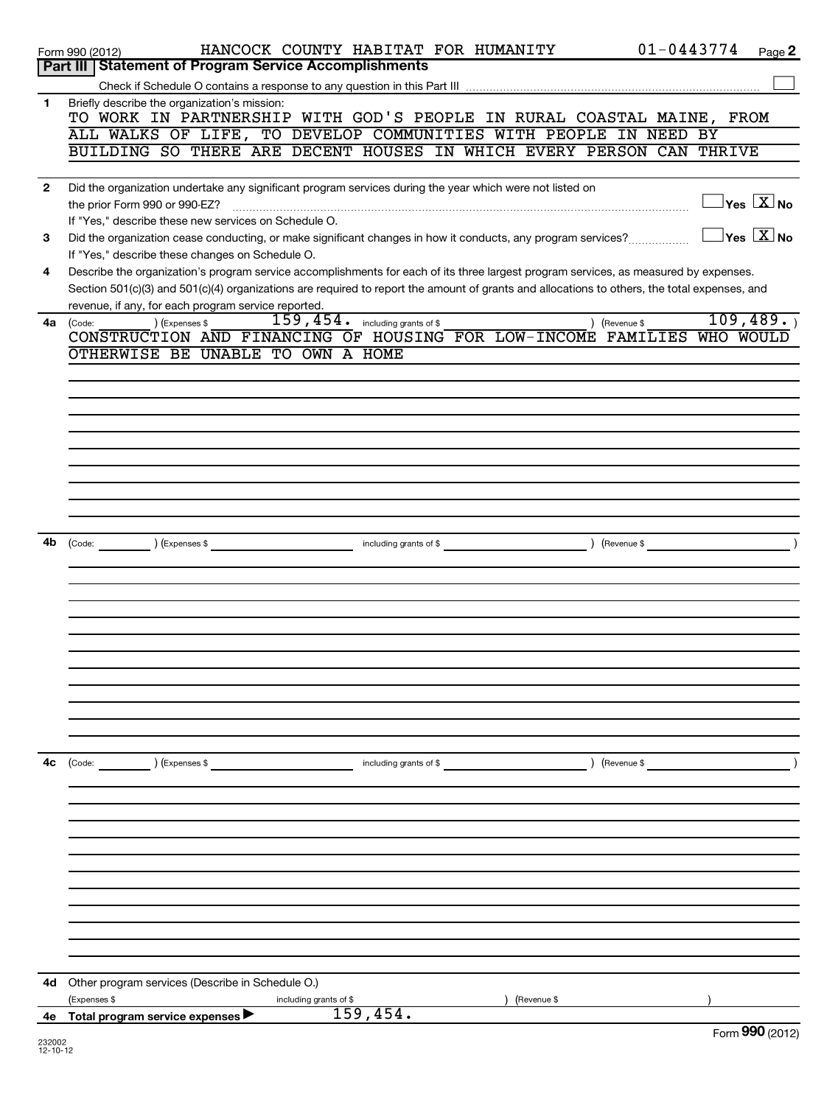|              | 01-0443774<br>HANCOCK COUNTY HABITAT FOR HUMANITY<br>Form 990 (2012)                                                                         |                                                                                          | Page 2 |
|--------------|----------------------------------------------------------------------------------------------------------------------------------------------|------------------------------------------------------------------------------------------|--------|
|              | <b>Part III Statement of Program Service Accomplishments</b>                                                                                 |                                                                                          |        |
|              |                                                                                                                                              |                                                                                          |        |
| $\mathbf{1}$ | Briefly describe the organization's mission:<br>TO WORK IN PARTNERSHIP WITH GOD'S PEOPLE IN RURAL COASTAL MAINE, FROM                        |                                                                                          |        |
|              | ALL WALKS OF LIFE, TO DEVELOP COMMUNITIES WITH PEOPLE IN NEED BY                                                                             |                                                                                          |        |
|              | BUILDING SO THERE ARE DECENT HOUSES IN WHICH EVERY PERSON CAN THRIVE                                                                         |                                                                                          |        |
|              |                                                                                                                                              |                                                                                          |        |
| $\mathbf{2}$ | Did the organization undertake any significant program services during the year which were not listed on                                     |                                                                                          |        |
|              | the prior Form 990 or 990-EZ?                                                                                                                | $\Box$ Yes $[\overline{\mathrm{X}}]$ No                                                  |        |
|              | If "Yes," describe these new services on Schedule O.                                                                                         |                                                                                          |        |
|              | Did the organization cease conducting, or make significant changes in how it conducts, any program services?                                 | $\sqrt{\mathsf{Yes}\ \mathsf{X}}$ No                                                     |        |
| 3            |                                                                                                                                              |                                                                                          |        |
|              | If "Yes," describe these changes on Schedule O.                                                                                              |                                                                                          |        |
| 4            | Describe the organization's program service accomplishments for each of its three largest program services, as measured by expenses.         |                                                                                          |        |
|              | Section 501(c)(3) and 501(c)(4) organizations are required to report the amount of grants and allocations to others, the total expenses, and |                                                                                          |        |
|              | revenue, if any, for each program service reported.                                                                                          |                                                                                          |        |
| 4a           | 159,454.<br>) (Expenses \$<br>including grants of \$<br>) (Revenue \$<br>(Code:                                                              | 109,489.                                                                                 |        |
|              | CONSTRUCTION AND FINANCING OF HOUSING FOR LOW-INCOME FAMILIES WHO WOULD                                                                      |                                                                                          |        |
|              | OTHERWISE BE UNABLE TO OWN A HOME                                                                                                            |                                                                                          |        |
|              |                                                                                                                                              |                                                                                          |        |
|              |                                                                                                                                              |                                                                                          |        |
|              |                                                                                                                                              |                                                                                          |        |
|              |                                                                                                                                              |                                                                                          |        |
|              |                                                                                                                                              |                                                                                          |        |
|              |                                                                                                                                              |                                                                                          |        |
|              |                                                                                                                                              |                                                                                          |        |
|              |                                                                                                                                              |                                                                                          |        |
|              |                                                                                                                                              |                                                                                          |        |
|              |                                                                                                                                              |                                                                                          |        |
| 4b           | (Express \$<br>(Code:                                                                                                                        |                                                                                          |        |
|              |                                                                                                                                              |                                                                                          |        |
|              |                                                                                                                                              |                                                                                          |        |
|              |                                                                                                                                              |                                                                                          |        |
|              |                                                                                                                                              |                                                                                          |        |
|              |                                                                                                                                              |                                                                                          |        |
|              |                                                                                                                                              |                                                                                          |        |
|              |                                                                                                                                              |                                                                                          |        |
|              |                                                                                                                                              |                                                                                          |        |
|              |                                                                                                                                              |                                                                                          |        |
|              |                                                                                                                                              |                                                                                          |        |
|              |                                                                                                                                              |                                                                                          |        |
|              |                                                                                                                                              |                                                                                          |        |
|              |                                                                                                                                              |                                                                                          |        |
| 4c           | (Expenses \$<br>including grants of \$<br>) (Revenue \$                                                                                      | $\frac{1}{\sqrt{1-\frac{1}{2}}}\frac{1}{\sqrt{1-\frac{1}{2}}\left(1-\frac{1}{2}\right)}$ |        |
|              |                                                                                                                                              |                                                                                          |        |
|              |                                                                                                                                              |                                                                                          |        |
|              |                                                                                                                                              |                                                                                          |        |
|              |                                                                                                                                              |                                                                                          |        |
|              |                                                                                                                                              |                                                                                          |        |
|              |                                                                                                                                              |                                                                                          |        |
|              |                                                                                                                                              |                                                                                          |        |
|              |                                                                                                                                              |                                                                                          |        |
|              |                                                                                                                                              |                                                                                          |        |
|              |                                                                                                                                              |                                                                                          |        |
|              |                                                                                                                                              |                                                                                          |        |
|              |                                                                                                                                              |                                                                                          |        |
|              |                                                                                                                                              |                                                                                          |        |
| 4d           | Other program services (Describe in Schedule O.)                                                                                             |                                                                                          |        |
|              | (Expenses \$<br>including grants of \$<br>(Revenue \$                                                                                        |                                                                                          |        |
|              | 159,454.<br>4e Total program service expenses                                                                                                | $\mathbf{on} \mathbf{a}$                                                                 |        |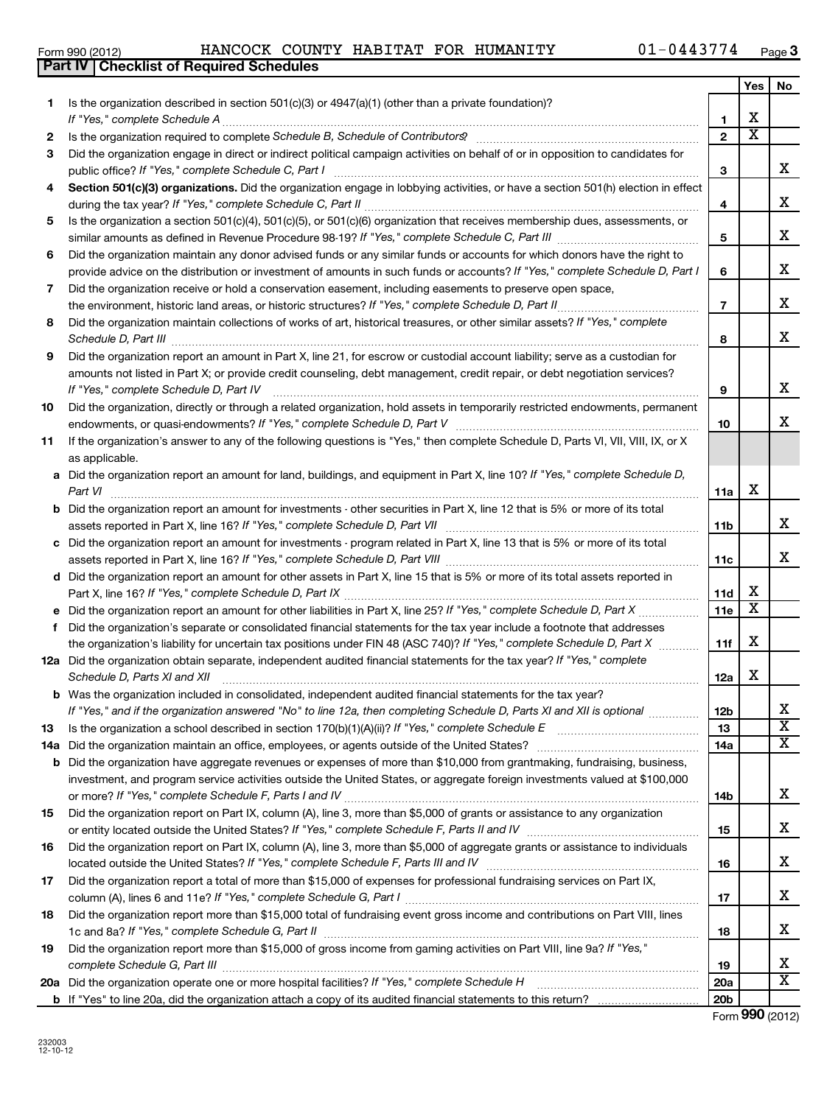|     | 01-0443774<br>HANCOCK COUNTY HABITAT FOR HUMANITY<br>Form 990 (2012)<br>Part IV   Checklist of Required Schedules<br>Is the organization described in section 501(c)(3) or 4947(a)(1) (other than a private foundation)?<br>1.<br>2<br>Did the organization engage in direct or indirect political campaign activities on behalf of or in opposition to candidates for<br>З<br>Section 501(c)(3) organizations. Did the organization engage in lobbying activities, or have a section 501(h) election in effect<br>4<br>Is the organization a section 501(c)(4), 501(c)(5), or 501(c)(6) organization that receives membership dues, assessments, or<br>5<br>Did the organization maintain any donor advised funds or any similar funds or accounts for which donors have the right to<br>6<br>provide advice on the distribution or investment of amounts in such funds or accounts? If "Yes," complete Schedule D, Part I<br>Did the organization receive or hold a conservation easement, including easements to preserve open space,<br>7<br>Did the organization maintain collections of works of art, historical treasures, or other similar assets? If "Yes," complete<br>8<br>Schedule D, Part III <b>Marting Community Contract Contract Contract Contract Contract Contract Contract Contract Contract Contract Contract Contract Contract Contract Contract Contract Contract Contract Contract Contract Co</b><br>Did the organization report an amount in Part X, line 21, for escrow or custodial account liability; serve as a custodian for<br>9<br>amounts not listed in Part X; or provide credit counseling, debt management, credit repair, or debt negotiation services?<br>If "Yes," complete Schedule D, Part IV<br>Did the organization, directly or through a related organization, hold assets in temporarily restricted endowments, permanent<br>If the organization's answer to any of the following questions is "Yes," then complete Schedule D, Parts VI, VII, VIII, IX, or X<br>as applicable.<br>a Did the organization report an amount for land, buildings, and equipment in Part X, line 10? If "Yes," complete Schedule D,<br>Part VI<br><b>b</b> Did the organization report an amount for investments - other securities in Part X, line 12 that is 5% or more of its total<br>c Did the organization report an amount for investments - program related in Part X, line 13 that is 5% or more of its total<br>d Did the organization report an amount for other assets in Part X, line 15 that is 5% or more of its total assets reported in<br>e Did the organization report an amount for other liabilities in Part X, line 25? If "Yes," complete Schedule D, Part X<br>Did the organization's separate or consolidated financial statements for the tax year include a footnote that addresses<br>1.<br>the organization's liability for uncertain tax positions under FIN 48 (ASC 740)? If "Yes," complete Schedule D, Part X<br>12a Did the organization obtain separate, independent audited financial statements for the tax year? If "Yes," complete<br>Schedule D, Parts XI and XII |                |                         | $Page$ 3                |
|-----|---------------------------------------------------------------------------------------------------------------------------------------------------------------------------------------------------------------------------------------------------------------------------------------------------------------------------------------------------------------------------------------------------------------------------------------------------------------------------------------------------------------------------------------------------------------------------------------------------------------------------------------------------------------------------------------------------------------------------------------------------------------------------------------------------------------------------------------------------------------------------------------------------------------------------------------------------------------------------------------------------------------------------------------------------------------------------------------------------------------------------------------------------------------------------------------------------------------------------------------------------------------------------------------------------------------------------------------------------------------------------------------------------------------------------------------------------------------------------------------------------------------------------------------------------------------------------------------------------------------------------------------------------------------------------------------------------------------------------------------------------------------------------------------------------------------------------------------------------------------------------------------------------------------------------------------------------------------------------------------------------------------------------------------------------------------------------------------------------------------------------------------------------------------------------------------------------------------------------------------------------------------------------------------------------------------------------------------------------------------------------------------------------------------------------------------------------------------------------------------------------------------------------------------------------------------------------------------------------------------------------------------------------------------------------------------------------------------------------------------------------------------------------------------------------------------------------------------------------------------------------------------------------------------------------------------------------------------------------------------------------------------------------------------------------------------------------------------------------------------------------------------|----------------|-------------------------|-------------------------|
|     |                                                                                                                                                                                                                                                                                                                                                                                                                                                                                                                                                                                                                                                                                                                                                                                                                                                                                                                                                                                                                                                                                                                                                                                                                                                                                                                                                                                                                                                                                                                                                                                                                                                                                                                                                                                                                                                                                                                                                                                                                                                                                                                                                                                                                                                                                                                                                                                                                                                                                                                                                                                                                                                                                                                                                                                                                                                                                                                                                                                                                                                                                                                                       |                | Yes                     | No                      |
|     |                                                                                                                                                                                                                                                                                                                                                                                                                                                                                                                                                                                                                                                                                                                                                                                                                                                                                                                                                                                                                                                                                                                                                                                                                                                                                                                                                                                                                                                                                                                                                                                                                                                                                                                                                                                                                                                                                                                                                                                                                                                                                                                                                                                                                                                                                                                                                                                                                                                                                                                                                                                                                                                                                                                                                                                                                                                                                                                                                                                                                                                                                                                                       |                |                         |                         |
|     |                                                                                                                                                                                                                                                                                                                                                                                                                                                                                                                                                                                                                                                                                                                                                                                                                                                                                                                                                                                                                                                                                                                                                                                                                                                                                                                                                                                                                                                                                                                                                                                                                                                                                                                                                                                                                                                                                                                                                                                                                                                                                                                                                                                                                                                                                                                                                                                                                                                                                                                                                                                                                                                                                                                                                                                                                                                                                                                                                                                                                                                                                                                                       | 1              | x                       |                         |
|     |                                                                                                                                                                                                                                                                                                                                                                                                                                                                                                                                                                                                                                                                                                                                                                                                                                                                                                                                                                                                                                                                                                                                                                                                                                                                                                                                                                                                                                                                                                                                                                                                                                                                                                                                                                                                                                                                                                                                                                                                                                                                                                                                                                                                                                                                                                                                                                                                                                                                                                                                                                                                                                                                                                                                                                                                                                                                                                                                                                                                                                                                                                                                       | $\mathbf{2}$   | $\overline{\mathtt{x}}$ |                         |
|     |                                                                                                                                                                                                                                                                                                                                                                                                                                                                                                                                                                                                                                                                                                                                                                                                                                                                                                                                                                                                                                                                                                                                                                                                                                                                                                                                                                                                                                                                                                                                                                                                                                                                                                                                                                                                                                                                                                                                                                                                                                                                                                                                                                                                                                                                                                                                                                                                                                                                                                                                                                                                                                                                                                                                                                                                                                                                                                                                                                                                                                                                                                                                       | 3              |                         | x                       |
|     |                                                                                                                                                                                                                                                                                                                                                                                                                                                                                                                                                                                                                                                                                                                                                                                                                                                                                                                                                                                                                                                                                                                                                                                                                                                                                                                                                                                                                                                                                                                                                                                                                                                                                                                                                                                                                                                                                                                                                                                                                                                                                                                                                                                                                                                                                                                                                                                                                                                                                                                                                                                                                                                                                                                                                                                                                                                                                                                                                                                                                                                                                                                                       | 4              |                         | x                       |
|     |                                                                                                                                                                                                                                                                                                                                                                                                                                                                                                                                                                                                                                                                                                                                                                                                                                                                                                                                                                                                                                                                                                                                                                                                                                                                                                                                                                                                                                                                                                                                                                                                                                                                                                                                                                                                                                                                                                                                                                                                                                                                                                                                                                                                                                                                                                                                                                                                                                                                                                                                                                                                                                                                                                                                                                                                                                                                                                                                                                                                                                                                                                                                       | 5              |                         | x                       |
|     |                                                                                                                                                                                                                                                                                                                                                                                                                                                                                                                                                                                                                                                                                                                                                                                                                                                                                                                                                                                                                                                                                                                                                                                                                                                                                                                                                                                                                                                                                                                                                                                                                                                                                                                                                                                                                                                                                                                                                                                                                                                                                                                                                                                                                                                                                                                                                                                                                                                                                                                                                                                                                                                                                                                                                                                                                                                                                                                                                                                                                                                                                                                                       | 6              |                         | x                       |
|     |                                                                                                                                                                                                                                                                                                                                                                                                                                                                                                                                                                                                                                                                                                                                                                                                                                                                                                                                                                                                                                                                                                                                                                                                                                                                                                                                                                                                                                                                                                                                                                                                                                                                                                                                                                                                                                                                                                                                                                                                                                                                                                                                                                                                                                                                                                                                                                                                                                                                                                                                                                                                                                                                                                                                                                                                                                                                                                                                                                                                                                                                                                                                       | $\overline{7}$ |                         | x                       |
|     |                                                                                                                                                                                                                                                                                                                                                                                                                                                                                                                                                                                                                                                                                                                                                                                                                                                                                                                                                                                                                                                                                                                                                                                                                                                                                                                                                                                                                                                                                                                                                                                                                                                                                                                                                                                                                                                                                                                                                                                                                                                                                                                                                                                                                                                                                                                                                                                                                                                                                                                                                                                                                                                                                                                                                                                                                                                                                                                                                                                                                                                                                                                                       | 8              |                         | x                       |
|     |                                                                                                                                                                                                                                                                                                                                                                                                                                                                                                                                                                                                                                                                                                                                                                                                                                                                                                                                                                                                                                                                                                                                                                                                                                                                                                                                                                                                                                                                                                                                                                                                                                                                                                                                                                                                                                                                                                                                                                                                                                                                                                                                                                                                                                                                                                                                                                                                                                                                                                                                                                                                                                                                                                                                                                                                                                                                                                                                                                                                                                                                                                                                       |                |                         |                         |
|     |                                                                                                                                                                                                                                                                                                                                                                                                                                                                                                                                                                                                                                                                                                                                                                                                                                                                                                                                                                                                                                                                                                                                                                                                                                                                                                                                                                                                                                                                                                                                                                                                                                                                                                                                                                                                                                                                                                                                                                                                                                                                                                                                                                                                                                                                                                                                                                                                                                                                                                                                                                                                                                                                                                                                                                                                                                                                                                                                                                                                                                                                                                                                       | 9              |                         | x                       |
| 10  |                                                                                                                                                                                                                                                                                                                                                                                                                                                                                                                                                                                                                                                                                                                                                                                                                                                                                                                                                                                                                                                                                                                                                                                                                                                                                                                                                                                                                                                                                                                                                                                                                                                                                                                                                                                                                                                                                                                                                                                                                                                                                                                                                                                                                                                                                                                                                                                                                                                                                                                                                                                                                                                                                                                                                                                                                                                                                                                                                                                                                                                                                                                                       |                |                         |                         |
|     |                                                                                                                                                                                                                                                                                                                                                                                                                                                                                                                                                                                                                                                                                                                                                                                                                                                                                                                                                                                                                                                                                                                                                                                                                                                                                                                                                                                                                                                                                                                                                                                                                                                                                                                                                                                                                                                                                                                                                                                                                                                                                                                                                                                                                                                                                                                                                                                                                                                                                                                                                                                                                                                                                                                                                                                                                                                                                                                                                                                                                                                                                                                                       | 10             |                         | x                       |
| 11  |                                                                                                                                                                                                                                                                                                                                                                                                                                                                                                                                                                                                                                                                                                                                                                                                                                                                                                                                                                                                                                                                                                                                                                                                                                                                                                                                                                                                                                                                                                                                                                                                                                                                                                                                                                                                                                                                                                                                                                                                                                                                                                                                                                                                                                                                                                                                                                                                                                                                                                                                                                                                                                                                                                                                                                                                                                                                                                                                                                                                                                                                                                                                       |                |                         |                         |
|     |                                                                                                                                                                                                                                                                                                                                                                                                                                                                                                                                                                                                                                                                                                                                                                                                                                                                                                                                                                                                                                                                                                                                                                                                                                                                                                                                                                                                                                                                                                                                                                                                                                                                                                                                                                                                                                                                                                                                                                                                                                                                                                                                                                                                                                                                                                                                                                                                                                                                                                                                                                                                                                                                                                                                                                                                                                                                                                                                                                                                                                                                                                                                       | 11a            | х                       |                         |
|     |                                                                                                                                                                                                                                                                                                                                                                                                                                                                                                                                                                                                                                                                                                                                                                                                                                                                                                                                                                                                                                                                                                                                                                                                                                                                                                                                                                                                                                                                                                                                                                                                                                                                                                                                                                                                                                                                                                                                                                                                                                                                                                                                                                                                                                                                                                                                                                                                                                                                                                                                                                                                                                                                                                                                                                                                                                                                                                                                                                                                                                                                                                                                       | 11b            |                         | x                       |
|     |                                                                                                                                                                                                                                                                                                                                                                                                                                                                                                                                                                                                                                                                                                                                                                                                                                                                                                                                                                                                                                                                                                                                                                                                                                                                                                                                                                                                                                                                                                                                                                                                                                                                                                                                                                                                                                                                                                                                                                                                                                                                                                                                                                                                                                                                                                                                                                                                                                                                                                                                                                                                                                                                                                                                                                                                                                                                                                                                                                                                                                                                                                                                       | 11c            |                         | x                       |
|     |                                                                                                                                                                                                                                                                                                                                                                                                                                                                                                                                                                                                                                                                                                                                                                                                                                                                                                                                                                                                                                                                                                                                                                                                                                                                                                                                                                                                                                                                                                                                                                                                                                                                                                                                                                                                                                                                                                                                                                                                                                                                                                                                                                                                                                                                                                                                                                                                                                                                                                                                                                                                                                                                                                                                                                                                                                                                                                                                                                                                                                                                                                                                       | 11d            | x                       |                         |
|     |                                                                                                                                                                                                                                                                                                                                                                                                                                                                                                                                                                                                                                                                                                                                                                                                                                                                                                                                                                                                                                                                                                                                                                                                                                                                                                                                                                                                                                                                                                                                                                                                                                                                                                                                                                                                                                                                                                                                                                                                                                                                                                                                                                                                                                                                                                                                                                                                                                                                                                                                                                                                                                                                                                                                                                                                                                                                                                                                                                                                                                                                                                                                       | 11e            | х                       |                         |
|     |                                                                                                                                                                                                                                                                                                                                                                                                                                                                                                                                                                                                                                                                                                                                                                                                                                                                                                                                                                                                                                                                                                                                                                                                                                                                                                                                                                                                                                                                                                                                                                                                                                                                                                                                                                                                                                                                                                                                                                                                                                                                                                                                                                                                                                                                                                                                                                                                                                                                                                                                                                                                                                                                                                                                                                                                                                                                                                                                                                                                                                                                                                                                       | 11f            | х                       |                         |
|     |                                                                                                                                                                                                                                                                                                                                                                                                                                                                                                                                                                                                                                                                                                                                                                                                                                                                                                                                                                                                                                                                                                                                                                                                                                                                                                                                                                                                                                                                                                                                                                                                                                                                                                                                                                                                                                                                                                                                                                                                                                                                                                                                                                                                                                                                                                                                                                                                                                                                                                                                                                                                                                                                                                                                                                                                                                                                                                                                                                                                                                                                                                                                       | 12a            | х                       |                         |
|     | <b>b</b> Was the organization included in consolidated, independent audited financial statements for the tax year?<br>If "Yes," and if the organization answered "No" to line 12a, then completing Schedule D, Parts XI and XII is optional                                                                                                                                                                                                                                                                                                                                                                                                                                                                                                                                                                                                                                                                                                                                                                                                                                                                                                                                                                                                                                                                                                                                                                                                                                                                                                                                                                                                                                                                                                                                                                                                                                                                                                                                                                                                                                                                                                                                                                                                                                                                                                                                                                                                                                                                                                                                                                                                                                                                                                                                                                                                                                                                                                                                                                                                                                                                                           | 12b            |                         | X                       |
| 13  | Is the organization a school described in section 170(b)(1)(A)(ii)? If "Yes," complete Schedule E [ [ [ [ [ [ [ [ ] ]]]                                                                                                                                                                                                                                                                                                                                                                                                                                                                                                                                                                                                                                                                                                                                                                                                                                                                                                                                                                                                                                                                                                                                                                                                                                                                                                                                                                                                                                                                                                                                                                                                                                                                                                                                                                                                                                                                                                                                                                                                                                                                                                                                                                                                                                                                                                                                                                                                                                                                                                                                                                                                                                                                                                                                                                                                                                                                                                                                                                                                               | 13             |                         | $\overline{\textbf{X}}$ |
| 14a | Did the organization maintain an office, employees, or agents outside of the United States?                                                                                                                                                                                                                                                                                                                                                                                                                                                                                                                                                                                                                                                                                                                                                                                                                                                                                                                                                                                                                                                                                                                                                                                                                                                                                                                                                                                                                                                                                                                                                                                                                                                                                                                                                                                                                                                                                                                                                                                                                                                                                                                                                                                                                                                                                                                                                                                                                                                                                                                                                                                                                                                                                                                                                                                                                                                                                                                                                                                                                                           | 14a            |                         | х                       |
| b   | Did the organization have aggregate revenues or expenses of more than \$10,000 from grantmaking, fundraising, business,<br>investment, and program service activities outside the United States, or aggregate foreign investments valued at \$100,000                                                                                                                                                                                                                                                                                                                                                                                                                                                                                                                                                                                                                                                                                                                                                                                                                                                                                                                                                                                                                                                                                                                                                                                                                                                                                                                                                                                                                                                                                                                                                                                                                                                                                                                                                                                                                                                                                                                                                                                                                                                                                                                                                                                                                                                                                                                                                                                                                                                                                                                                                                                                                                                                                                                                                                                                                                                                                 |                |                         |                         |
| 15  | Did the organization report on Part IX, column (A), line 3, more than \$5,000 of grants or assistance to any organization                                                                                                                                                                                                                                                                                                                                                                                                                                                                                                                                                                                                                                                                                                                                                                                                                                                                                                                                                                                                                                                                                                                                                                                                                                                                                                                                                                                                                                                                                                                                                                                                                                                                                                                                                                                                                                                                                                                                                                                                                                                                                                                                                                                                                                                                                                                                                                                                                                                                                                                                                                                                                                                                                                                                                                                                                                                                                                                                                                                                             | 14b            |                         | x                       |
|     |                                                                                                                                                                                                                                                                                                                                                                                                                                                                                                                                                                                                                                                                                                                                                                                                                                                                                                                                                                                                                                                                                                                                                                                                                                                                                                                                                                                                                                                                                                                                                                                                                                                                                                                                                                                                                                                                                                                                                                                                                                                                                                                                                                                                                                                                                                                                                                                                                                                                                                                                                                                                                                                                                                                                                                                                                                                                                                                                                                                                                                                                                                                                       | 15             |                         | x                       |
| 16  | Did the organization report on Part IX, column (A), line 3, more than \$5,000 of aggregate grants or assistance to individuals                                                                                                                                                                                                                                                                                                                                                                                                                                                                                                                                                                                                                                                                                                                                                                                                                                                                                                                                                                                                                                                                                                                                                                                                                                                                                                                                                                                                                                                                                                                                                                                                                                                                                                                                                                                                                                                                                                                                                                                                                                                                                                                                                                                                                                                                                                                                                                                                                                                                                                                                                                                                                                                                                                                                                                                                                                                                                                                                                                                                        |                |                         |                         |
|     |                                                                                                                                                                                                                                                                                                                                                                                                                                                                                                                                                                                                                                                                                                                                                                                                                                                                                                                                                                                                                                                                                                                                                                                                                                                                                                                                                                                                                                                                                                                                                                                                                                                                                                                                                                                                                                                                                                                                                                                                                                                                                                                                                                                                                                                                                                                                                                                                                                                                                                                                                                                                                                                                                                                                                                                                                                                                                                                                                                                                                                                                                                                                       | 16             |                         | x                       |
| 17  | Did the organization report a total of more than \$15,000 of expenses for professional fundraising services on Part IX,<br>column (A), lines 6 and 11e? If "Yes," complete Schedule G, Part I                                                                                                                                                                                                                                                                                                                                                                                                                                                                                                                                                                                                                                                                                                                                                                                                                                                                                                                                                                                                                                                                                                                                                                                                                                                                                                                                                                                                                                                                                                                                                                                                                                                                                                                                                                                                                                                                                                                                                                                                                                                                                                                                                                                                                                                                                                                                                                                                                                                                                                                                                                                                                                                                                                                                                                                                                                                                                                                                         | 17             |                         | x                       |
| 18  | Did the organization report more than \$15,000 total of fundraising event gross income and contributions on Part VIII, lines<br>O If "Von " complete Cabodule C. Dort II                                                                                                                                                                                                                                                                                                                                                                                                                                                                                                                                                                                                                                                                                                                                                                                                                                                                                                                                                                                                                                                                                                                                                                                                                                                                                                                                                                                                                                                                                                                                                                                                                                                                                                                                                                                                                                                                                                                                                                                                                                                                                                                                                                                                                                                                                                                                                                                                                                                                                                                                                                                                                                                                                                                                                                                                                                                                                                                                                              |                |                         | Y                       |

Form (2012) **990**

|    | 1c and 8a? If "Yes," complete Schedule G. Part II                                                                      | 18              |  |
|----|------------------------------------------------------------------------------------------------------------------------|-----------------|--|
| 19 | Did the organization report more than \$15,000 of gross income from gaming activities on Part VIII, line 9a? If "Yes," |                 |  |
|    | complete Schedule G, Part III                                                                                          | 19              |  |
|    | 20a Did the organization operate one or more hospital facilities? If "Yes," complete Schedule H                        | 20a             |  |
|    | <b>b</b> If "Yes" to line 20a, did the organization attach a copy of its audited financial statements to this return?  | 20 <sub>b</sub> |  |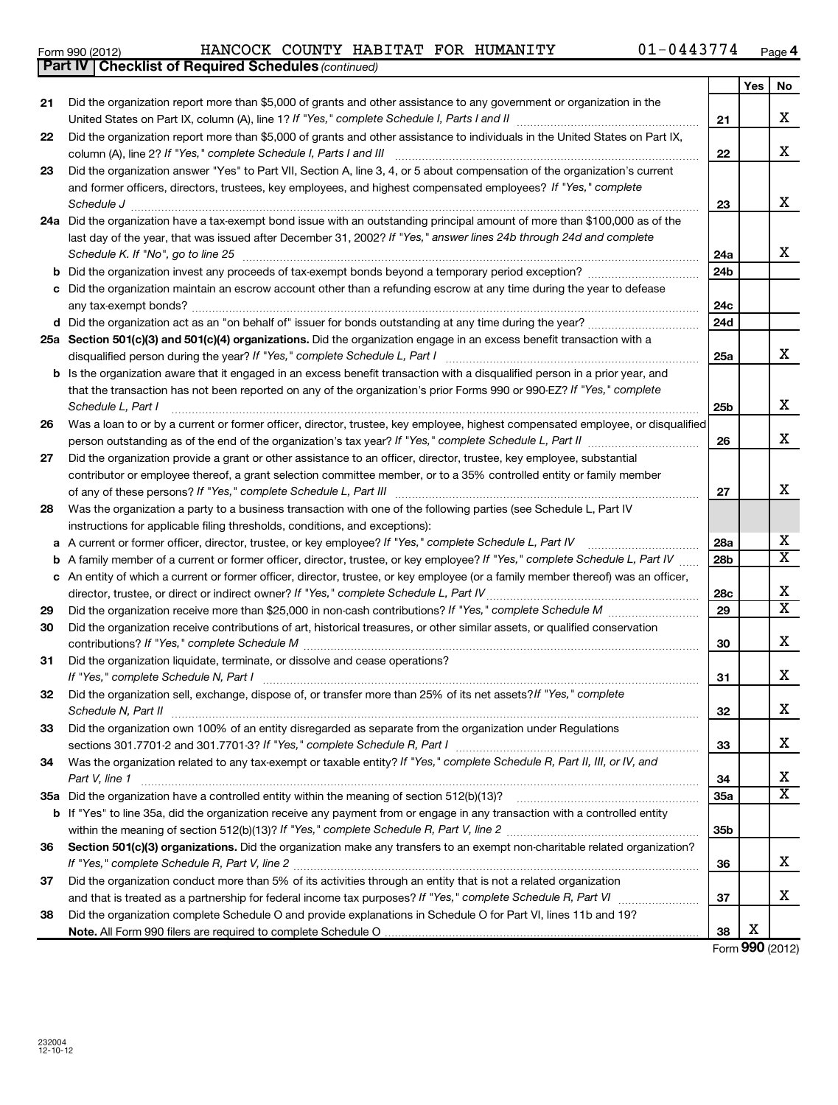|    | $01 - 0443774$<br>HANCOCK COUNTY HABITAT FOR HUMANITY<br>Form 990 (2012)<br><b>Part IV   Checklist of Required Schedules (continued)</b>                                                                                                                                                                                                                |                 |     | Page $\epsilon$         |
|----|---------------------------------------------------------------------------------------------------------------------------------------------------------------------------------------------------------------------------------------------------------------------------------------------------------------------------------------------------------|-----------------|-----|-------------------------|
| 21 | Did the organization report more than \$5,000 of grants and other assistance to any government or organization in the                                                                                                                                                                                                                                   | 21              | Yes | No<br>х                 |
| 22 | Did the organization report more than \$5,000 of grants and other assistance to individuals in the United States on Part IX,<br>column (A), line 2? If "Yes," complete Schedule I, Parts I and III                                                                                                                                                      | 22              |     | Х                       |
| 23 | Did the organization answer "Yes" to Part VII, Section A, line 3, 4, or 5 about compensation of the organization's current<br>and former officers, directors, trustees, key employees, and highest compensated employees? If "Yes," complete                                                                                                            | 23              |     | x                       |
|    | 24a Did the organization have a tax-exempt bond issue with an outstanding principal amount of more than \$100,000 as of the<br>last day of the year, that was issued after December 31, 2002? If "Yes," answer lines 24b through 24d and complete                                                                                                       | 24a             |     | x                       |
|    |                                                                                                                                                                                                                                                                                                                                                         | 24b             |     |                         |
|    | c Did the organization maintain an escrow account other than a refunding escrow at any time during the year to defease                                                                                                                                                                                                                                  | 24c             |     |                         |
|    |                                                                                                                                                                                                                                                                                                                                                         | 24d             |     |                         |
|    | 25a Section 501(c)(3) and 501(c)(4) organizations. Did the organization engage in an excess benefit transaction with a                                                                                                                                                                                                                                  | 25a             |     | x                       |
|    | b Is the organization aware that it engaged in an excess benefit transaction with a disqualified person in a prior year, and<br>that the transaction has not been reported on any of the organization's prior Forms 990 or 990-EZ? If "Yes," complete<br>Schedule L, Part I                                                                             | 25 <sub>b</sub> |     | x                       |
| 26 | Was a loan to or by a current or former officer, director, trustee, key employee, highest compensated employee, or disqualified                                                                                                                                                                                                                         | 26              |     | x                       |
| 27 | Did the organization provide a grant or other assistance to an officer, director, trustee, key employee, substantial<br>contributor or employee thereof, a grant selection committee member, or to a 35% controlled entity or family member                                                                                                             | 27              |     | x                       |
| 28 | Was the organization a party to a business transaction with one of the following parties (see Schedule L, Part IV<br>instructions for applicable filing thresholds, conditions, and exceptions):                                                                                                                                                        |                 |     |                         |
|    | a A current or former officer, director, trustee, or key employee? If "Yes," complete Schedule L, Part IV                                                                                                                                                                                                                                               | 28a             |     | x                       |
|    | A family member of a current or former officer, director, trustee, or key employee? If "Yes," complete Schedule L, Part IV                                                                                                                                                                                                                              | 28 <sub>b</sub> |     | $\overline{\texttt{x}}$ |
|    | c An entity of which a current or former officer, director, trustee, or key employee (or a family member thereof) was an officer,                                                                                                                                                                                                                       | 28c             |     | x                       |
| 29 |                                                                                                                                                                                                                                                                                                                                                         | 29              |     | $\overline{\text{X}}$   |
| 30 | Did the organization receive contributions of art, historical treasures, or other similar assets, or qualified conservation                                                                                                                                                                                                                             | 30              |     | x                       |
| 31 | Did the organization liquidate, terminate, or dissolve and cease operations?                                                                                                                                                                                                                                                                            | 31              |     | x                       |
| 32 | Did the organization sell, exchange, dispose of, or transfer more than 25% of its net assets? If "Yes," complete<br>Schedule N, Part II <b>Entertainment and Construction Construction</b> and Construction Construction and Construction Construction and Construction Construction Construction Construction Construction Construction Construction C | 32              |     | x                       |
| 33 | Did the organization own 100% of an entity disregarded as separate from the organization under Regulations                                                                                                                                                                                                                                              | 33              |     | x                       |
| 34 | Was the organization related to any tax-exempt or taxable entity? If "Yes," complete Schedule R, Part II, III, or IV, and<br>Part V, line 1                                                                                                                                                                                                             | 34              |     | х                       |
|    |                                                                                                                                                                                                                                                                                                                                                         | 35a             |     | X                       |
| b  | If "Yes" to line 35a, did the organization receive any payment from or engage in any transaction with a controlled entity                                                                                                                                                                                                                               | 35b             |     |                         |

36 Section 501(c)(3) organizations. Did the organization make any transfers to an exempt non-charitable related organization? **37 38** *If "Yes," complete Schedule R, Part V, line 2* ~~~~~~~~~~~~~~~~~~~~~~~~~~~~~~~~~~~~~~~~ and that is treated as a partnership for federal income tax purposes? If "Yes," complete Schedule R, Part VI medi Did the organization conduct more than 5% of its activities through an entity that is not a related organization Did the organization complete Schedule O and provide explanations in Schedule O for Part VI, lines 11b and 19?

**Note.**  All Form 990 filers are required to complete Schedule O

Form (2012) **990** X

**36**

**37**

**38**

X

X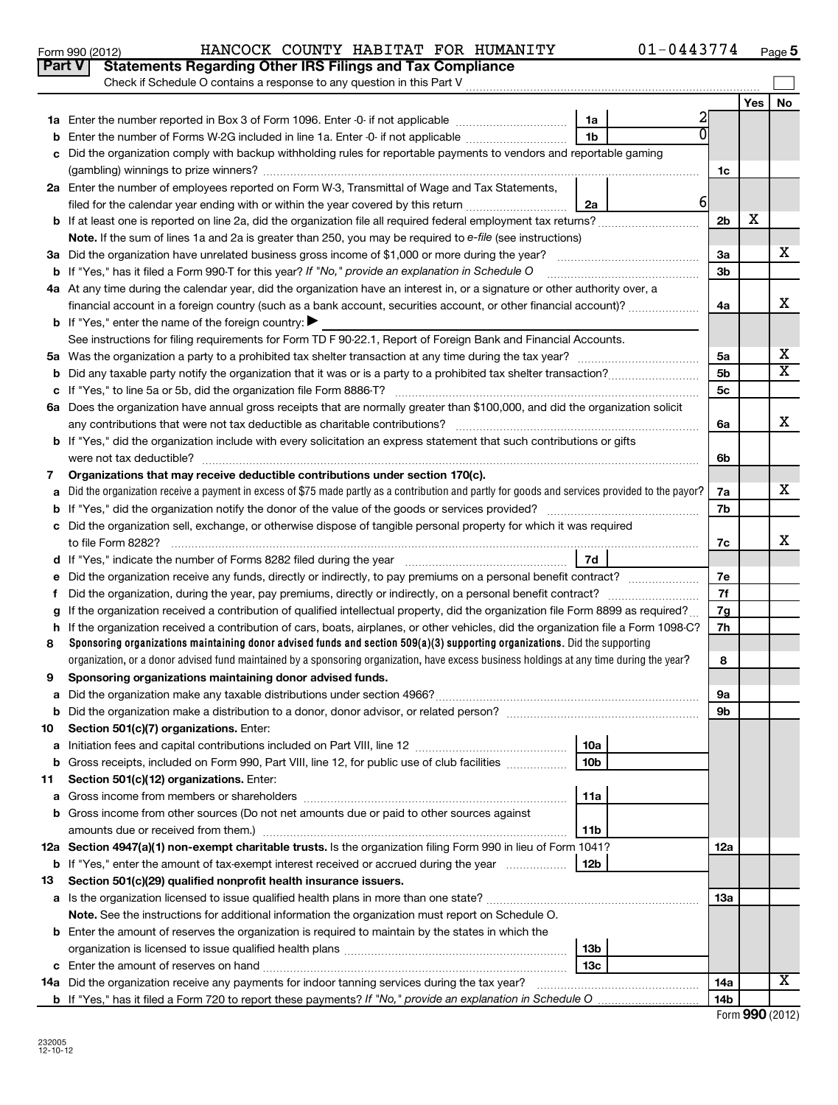|        | HANCOCK COUNTY HABITAT FOR HUMANITY<br>Form 990 (2012)                                                                                          |                 | $01 - 0443774$      |                |       | Page |
|--------|-------------------------------------------------------------------------------------------------------------------------------------------------|-----------------|---------------------|----------------|-------|------|
| Part V | <b>Statements Regarding Other IRS Filings and Tax Compliance</b>                                                                                |                 |                     |                |       |      |
|        | Check if Schedule O contains a response to any question in this Part V                                                                          |                 |                     |                |       |      |
|        |                                                                                                                                                 |                 |                     |                | Yes l | No   |
|        |                                                                                                                                                 | 1a              | 2<br>$\overline{0}$ |                |       |      |
| b      | Enter the number of Forms W-2G included in line 1a. Enter -0- if not applicable                                                                 | 1 <sub>b</sub>  |                     |                |       |      |
| c      | Did the organization comply with backup withholding rules for reportable payments to vendors and reportable gaming                              |                 |                     |                |       |      |
|        | 2a Enter the number of employees reported on Form W-3, Transmittal of Wage and Tax Statements,                                                  |                 |                     | 1c             |       |      |
|        | filed for the calendar year ending with or within the year covered by this return <i></i>                                                       | 2a              | $6 \mid$            |                |       |      |
|        |                                                                                                                                                 |                 |                     | 2 <sub>b</sub> | х     |      |
|        | Note. If the sum of lines 1a and 2a is greater than 250, you may be required to $e$ -file (see instructions)                                    |                 |                     |                |       |      |
|        | 3a Did the organization have unrelated business gross income of \$1,000 or more during the year?                                                |                 |                     | За             |       | х    |
|        | b If "Yes," has it filed a Form 990-T for this year? If "No," provide an explanation in Schedule O                                              |                 |                     | 3b             |       |      |
|        | 4a At any time during the calendar year, did the organization have an interest in, or a signature or other authority over, a                    |                 |                     |                |       |      |
|        | financial account in a foreign country (such as a bank account, securities account, or other financial account)?                                |                 |                     | 4a             |       | Χ    |
|        | <b>b</b> If "Yes," enter the name of the foreign country:                                                                                       |                 |                     |                |       |      |
|        | See instructions for filing requirements for Form TD F 90-22.1, Report of Foreign Bank and Financial Accounts.                                  |                 |                     |                |       |      |
|        |                                                                                                                                                 |                 |                     | 5a             |       | х    |
| b      |                                                                                                                                                 |                 |                     | 5b             |       | х    |
|        | c If "Yes," to line 5a or 5b, did the organization file Form 8886-T?                                                                            |                 |                     | 5 <sub>c</sub> |       |      |
|        | 6a Does the organization have annual gross receipts that are normally greater than \$100,000, and did the organization solicit                  |                 |                     |                |       |      |
|        | any contributions that were not tax deductible as charitable contributions?                                                                     |                 |                     | 6a             |       | Χ    |
|        | <b>b</b> If "Yes," did the organization include with every solicitation an express statement that such contributions or gifts                   |                 |                     |                |       |      |
|        | were not tax deductible?                                                                                                                        |                 |                     | 6b             |       |      |
| 7      | Organizations that may receive deductible contributions under section 170(c).                                                                   |                 |                     |                |       |      |
| a      | Did the organization receive a payment in excess of \$75 made partly as a contribution and partly for goods and services provided to the payor? |                 |                     | 7a             |       | х    |
| b      | If "Yes," did the organization notify the donor of the value of the goods or services provided?                                                 |                 |                     | 7b             |       |      |
| c      | Did the organization sell, exchange, or otherwise dispose of tangible personal property for which it was required                               |                 |                     |                |       | Χ    |
|        | to file Form 8282?                                                                                                                              | 7d              |                     | 7c             |       |      |
|        | e Did the organization receive any funds, directly or indirectly, to pay premiums on a personal benefit contract?                               |                 |                     | 7e             |       |      |
| f      | Did the organization, during the year, pay premiums, directly or indirectly, on a personal benefit contract?                                    |                 |                     | 7f             |       |      |
| g      | If the organization received a contribution of qualified intellectual property, did the organization file Form 8899 as required?                |                 |                     | 7g             |       |      |
| h      | If the organization received a contribution of cars, boats, airplanes, or other vehicles, did the organization file a Form 1098-C?              |                 |                     | 7h             |       |      |
| 8      | Sponsoring organizations maintaining donor advised funds and section 509(a)(3) supporting organizations. Did the supporting                     |                 |                     |                |       |      |
|        | organization, or a donor advised fund maintained by a sponsoring organization, have excess business holdings at any time during the year?       |                 |                     | 8              |       |      |
| 9      | Sponsoring organizations maintaining donor advised funds.                                                                                       |                 |                     |                |       |      |
| а      |                                                                                                                                                 |                 |                     | 9а             |       |      |
| b      |                                                                                                                                                 |                 |                     | 9b             |       |      |
| 10     | Section 501(c)(7) organizations. Enter:                                                                                                         |                 |                     |                |       |      |
| а      |                                                                                                                                                 | 10a             |                     |                |       |      |
| b      | Gross receipts, included on Form 990, Part VIII, line 12, for public use of club facilities                                                     | 10 <sub>b</sub> |                     |                |       |      |
| 11     | Section 501(c)(12) organizations. Enter:                                                                                                        |                 |                     |                |       |      |
| а      |                                                                                                                                                 | 11a             |                     |                |       |      |
| b      | Gross income from other sources (Do not net amounts due or paid to other sources against                                                        |                 |                     |                |       |      |
|        |                                                                                                                                                 | 11 <sub>b</sub> |                     |                |       |      |
|        | 12a Section 4947(a)(1) non-exempt charitable trusts. Is the organization filing Form 990 in lieu of Form 1041?                                  |                 |                     | 12a            |       |      |
|        | <b>b</b> If "Yes," enter the amount of tax-exempt interest received or accrued during the year                                                  | 12b             |                     |                |       |      |
| 13     | Section 501(c)(29) qualified nonprofit health insurance issuers.                                                                                |                 |                     |                |       |      |
|        |                                                                                                                                                 |                 |                     | 13a            |       |      |
|        | Note. See the instructions for additional information the organization must report on Schedule O.                                               |                 |                     |                |       |      |
| b      | Enter the amount of reserves the organization is required to maintain by the states in which the                                                | 13 <sub>b</sub> |                     |                |       |      |
|        |                                                                                                                                                 | 13 <sub>c</sub> |                     |                |       |      |
|        |                                                                                                                                                 |                 |                     |                |       |      |

**14a** Did the organization receive any payments for indoor tanning services during the tax year?

**b** If "Yes," has it filed a Form 720 to report these payments? If "No," provide an explanation in Schedule O

**14a 14b**

~~~~~~~~~~~~~~~~

Form **990** (2012)

X

**Yes No**

 $\frac{\mathbf{x}}{\mathbf{x}}$ 

 $\overline{\mathbf{x}}$ 

 $\frac{X}{X}$ 

 $\frac{\mathbf{x}}{\mathbf{y}}$ 

 $\mathcal{L}_{\mathcal{A}}$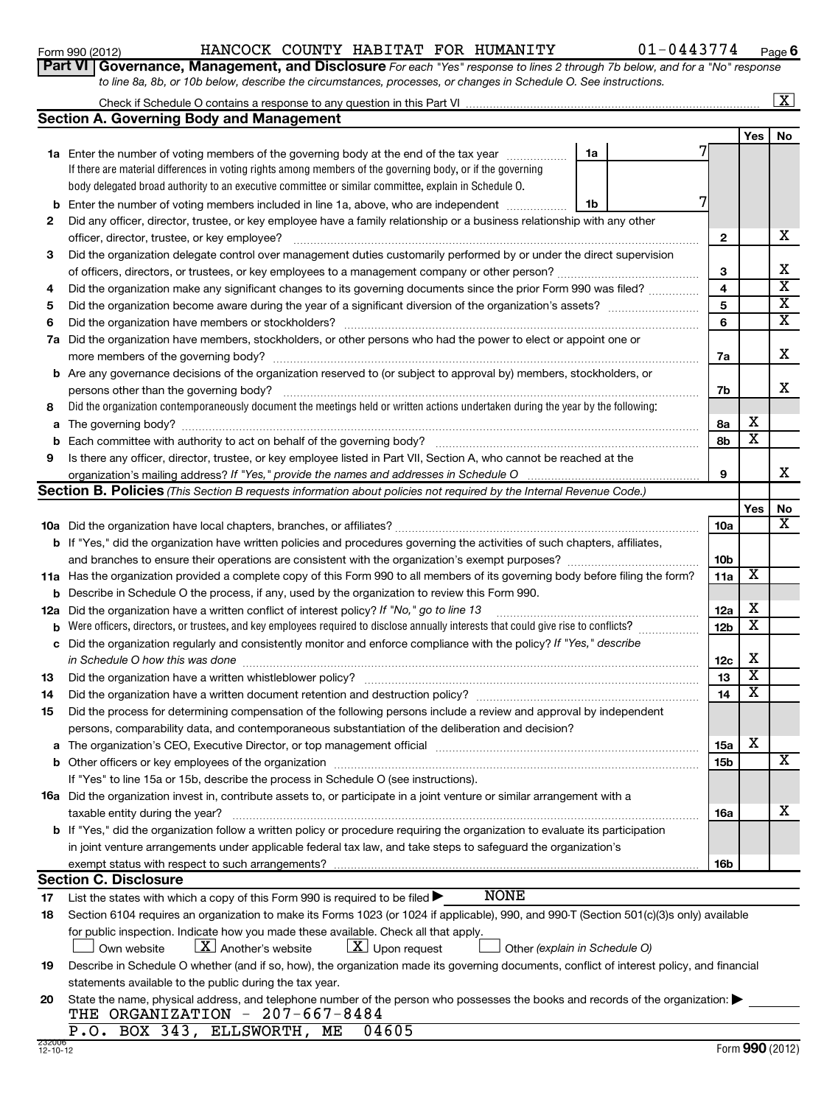|        | 01-0443774<br>HANCOCK COUNTY HABITAT FOR HUMANITY<br>Form 990 (2012)                                                                                                                                                                                                                                                                |                              |                         | Page $6$                |  |  |  |  |  |  |  |
|--------|-------------------------------------------------------------------------------------------------------------------------------------------------------------------------------------------------------------------------------------------------------------------------------------------------------------------------------------|------------------------------|-------------------------|-------------------------|--|--|--|--|--|--|--|
|        | Part VI Governance, Management, and Disclosure For each "Yes" response to lines 2 through 7b below, and for a "No" response                                                                                                                                                                                                         |                              |                         |                         |  |  |  |  |  |  |  |
|        | to line 8a, 8b, or 10b below, describe the circumstances, processes, or changes in Schedule O. See instructions.                                                                                                                                                                                                                    |                              |                         | $\overline{\mathbf{x}}$ |  |  |  |  |  |  |  |
|        |                                                                                                                                                                                                                                                                                                                                     |                              |                         |                         |  |  |  |  |  |  |  |
|        | <b>Section A. Governing Body and Management</b>                                                                                                                                                                                                                                                                                     |                              |                         |                         |  |  |  |  |  |  |  |
|        |                                                                                                                                                                                                                                                                                                                                     |                              | Yes                     | No                      |  |  |  |  |  |  |  |
|        | 1a Enter the number of voting members of the governing body at the end of the tax year<br>1a                                                                                                                                                                                                                                        |                              |                         |                         |  |  |  |  |  |  |  |
|        | If there are material differences in voting rights among members of the governing body, or if the governing                                                                                                                                                                                                                         |                              |                         |                         |  |  |  |  |  |  |  |
|        | body delegated broad authority to an executive committee or similar committee, explain in Schedule O.                                                                                                                                                                                                                               |                              |                         |                         |  |  |  |  |  |  |  |
| b      | Enter the number of voting members included in line 1a, above, who are independent<br>1b                                                                                                                                                                                                                                            | 7                            |                         |                         |  |  |  |  |  |  |  |
| 2      | Did any officer, director, trustee, or key employee have a family relationship or a business relationship with any other                                                                                                                                                                                                            |                              |                         |                         |  |  |  |  |  |  |  |
|        | officer, director, trustee, or key employee?                                                                                                                                                                                                                                                                                        | $\mathbf{2}$                 |                         | x                       |  |  |  |  |  |  |  |
| З      | Did the organization delegate control over management duties customarily performed by or under the direct supervision                                                                                                                                                                                                               |                              |                         | x                       |  |  |  |  |  |  |  |
|        |                                                                                                                                                                                                                                                                                                                                     | 3<br>$\overline{\mathbf{4}}$ |                         | $\overline{\text{x}}$   |  |  |  |  |  |  |  |
| 4      | Did the organization make any significant changes to its governing documents since the prior Form 990 was filed?                                                                                                                                                                                                                    | 5                            |                         | $\overline{\mathbf{X}}$ |  |  |  |  |  |  |  |
| 5<br>6 |                                                                                                                                                                                                                                                                                                                                     | 6                            |                         | $\overline{\textbf{x}}$ |  |  |  |  |  |  |  |
| 7а     | Did the organization have members, stockholders, or other persons who had the power to elect or appoint one or                                                                                                                                                                                                                      |                              |                         |                         |  |  |  |  |  |  |  |
|        |                                                                                                                                                                                                                                                                                                                                     | 7a                           |                         | x                       |  |  |  |  |  |  |  |
|        | <b>b</b> Are any governance decisions of the organization reserved to (or subject to approval by) members, stockholders, or                                                                                                                                                                                                         |                              |                         |                         |  |  |  |  |  |  |  |
|        | persons other than the governing body?                                                                                                                                                                                                                                                                                              | 7b                           |                         | x                       |  |  |  |  |  |  |  |
| 8      | Did the organization contemporaneously document the meetings held or written actions undertaken during the year by the following:                                                                                                                                                                                                   |                              |                         |                         |  |  |  |  |  |  |  |
|        |                                                                                                                                                                                                                                                                                                                                     | 8а                           | x                       |                         |  |  |  |  |  |  |  |
| b      |                                                                                                                                                                                                                                                                                                                                     | 8b                           | x                       |                         |  |  |  |  |  |  |  |
| 9      | Is there any officer, director, trustee, or key employee listed in Part VII, Section A, who cannot be reached at the                                                                                                                                                                                                                |                              |                         |                         |  |  |  |  |  |  |  |
|        | organization's mailing address? If "Yes," provide the names and addresses in Schedule O                                                                                                                                                                                                                                             | 9                            |                         | x.                      |  |  |  |  |  |  |  |
|        | Section B. Policies (This Section B requests information about policies not required by the Internal Revenue Code.)                                                                                                                                                                                                                 |                              |                         |                         |  |  |  |  |  |  |  |
|        |                                                                                                                                                                                                                                                                                                                                     |                              | Yes                     | No.                     |  |  |  |  |  |  |  |
|        |                                                                                                                                                                                                                                                                                                                                     | <b>10a</b>                   |                         | x                       |  |  |  |  |  |  |  |
|        | b If "Yes," did the organization have written policies and procedures governing the activities of such chapters, affiliates,                                                                                                                                                                                                        |                              |                         |                         |  |  |  |  |  |  |  |
|        |                                                                                                                                                                                                                                                                                                                                     | 10 <sub>b</sub>              |                         |                         |  |  |  |  |  |  |  |
|        | 11a Has the organization provided a complete copy of this Form 990 to all members of its governing body before filing the form?                                                                                                                                                                                                     | 11a                          | х                       |                         |  |  |  |  |  |  |  |
|        | <b>b</b> Describe in Schedule O the process, if any, used by the organization to review this Form 990.                                                                                                                                                                                                                              |                              |                         |                         |  |  |  |  |  |  |  |
|        |                                                                                                                                                                                                                                                                                                                                     | 12a                          | Χ                       |                         |  |  |  |  |  |  |  |
|        | <b>b</b> Were officers, directors, or trustees, and key employees required to disclose annually interests that could give rise to conflicts?                                                                                                                                                                                        | 12b                          | $\overline{\texttt{x}}$ |                         |  |  |  |  |  |  |  |
| с      | Did the organization regularly and consistently monitor and enforce compliance with the policy? If "Yes," describe                                                                                                                                                                                                                  |                              |                         |                         |  |  |  |  |  |  |  |
|        | in Schedule O how this was done manufactured and continuum and contact the way to be a set of the set of the s                                                                                                                                                                                                                      | 12c                          | х<br>X                  |                         |  |  |  |  |  |  |  |
| 13     |                                                                                                                                                                                                                                                                                                                                     | 13                           | х                       |                         |  |  |  |  |  |  |  |
| 14     |                                                                                                                                                                                                                                                                                                                                     | 14                           |                         |                         |  |  |  |  |  |  |  |
| 15     | Did the process for determining compensation of the following persons include a review and approval by independent                                                                                                                                                                                                                  |                              |                         |                         |  |  |  |  |  |  |  |
|        | persons, comparability data, and contemporaneous substantiation of the deliberation and decision?<br>The organization's CEO, Executive Director, or top management official manufactured content of the organization's CEO, Executive Director, or top management official manufactured content of the state of the state of the st | <b>15a</b>                   | x                       |                         |  |  |  |  |  |  |  |
|        |                                                                                                                                                                                                                                                                                                                                     | 15 <sub>b</sub>              |                         | X                       |  |  |  |  |  |  |  |
|        | If "Yes" to line 15a or 15b, describe the process in Schedule O (see instructions).                                                                                                                                                                                                                                                 |                              |                         |                         |  |  |  |  |  |  |  |
|        | <b>16a</b> Did the organization invest in, contribute assets to, or participate in a joint venture or similar arrangement with a                                                                                                                                                                                                    |                              |                         |                         |  |  |  |  |  |  |  |
|        | taxable entity during the year?                                                                                                                                                                                                                                                                                                     | 16a                          |                         | x                       |  |  |  |  |  |  |  |
|        | b If "Yes," did the organization follow a written policy or procedure requiring the organization to evaluate its participation                                                                                                                                                                                                      |                              |                         |                         |  |  |  |  |  |  |  |
|        | in joint venture arrangements under applicable federal tax law, and take steps to safeguard the organization's                                                                                                                                                                                                                      |                              |                         |                         |  |  |  |  |  |  |  |
|        | exempt status with respect to such arrangements?                                                                                                                                                                                                                                                                                    | 16b                          |                         |                         |  |  |  |  |  |  |  |
|        | <b>Section C. Disclosure</b>                                                                                                                                                                                                                                                                                                        |                              |                         |                         |  |  |  |  |  |  |  |
|        | <b>NONE</b><br>17 List the states with which a copy of this Form 990 is required to be filed >                                                                                                                                                                                                                                      |                              |                         |                         |  |  |  |  |  |  |  |

| 18 | Section 6104 requires an organization to make its Forms 1023 (or 1024 if applicable), 990, and 990-T (Section 501(c)(3)s only) available       |
|----|------------------------------------------------------------------------------------------------------------------------------------------------|
|    | for public inspection. Indicate how you made these available. Check all that apply.                                                            |
|    | $\boxed{\text{X}}$ Another's website $\boxed{\text{X}}$ Upon request $\boxed{\phantom{\text{X}}}$ Other (explain in Schedule O)<br>Own website |
| 19 | Describe in Schedule O whether (and if so, how), the organization made its governing documents, conflict of interest policy, and financial     |
|    | statements available to the public during the tax year.                                                                                        |
| 20 | State the name, physical address, and telephone number of the person who possesses the books and records of the organization:                  |

THE ORGANIZATION - 207-667-8484<br>P.O. BOX 343, ELLSWORTH, ME 04605 P.O. BOX 343, ELLSWORTH, ME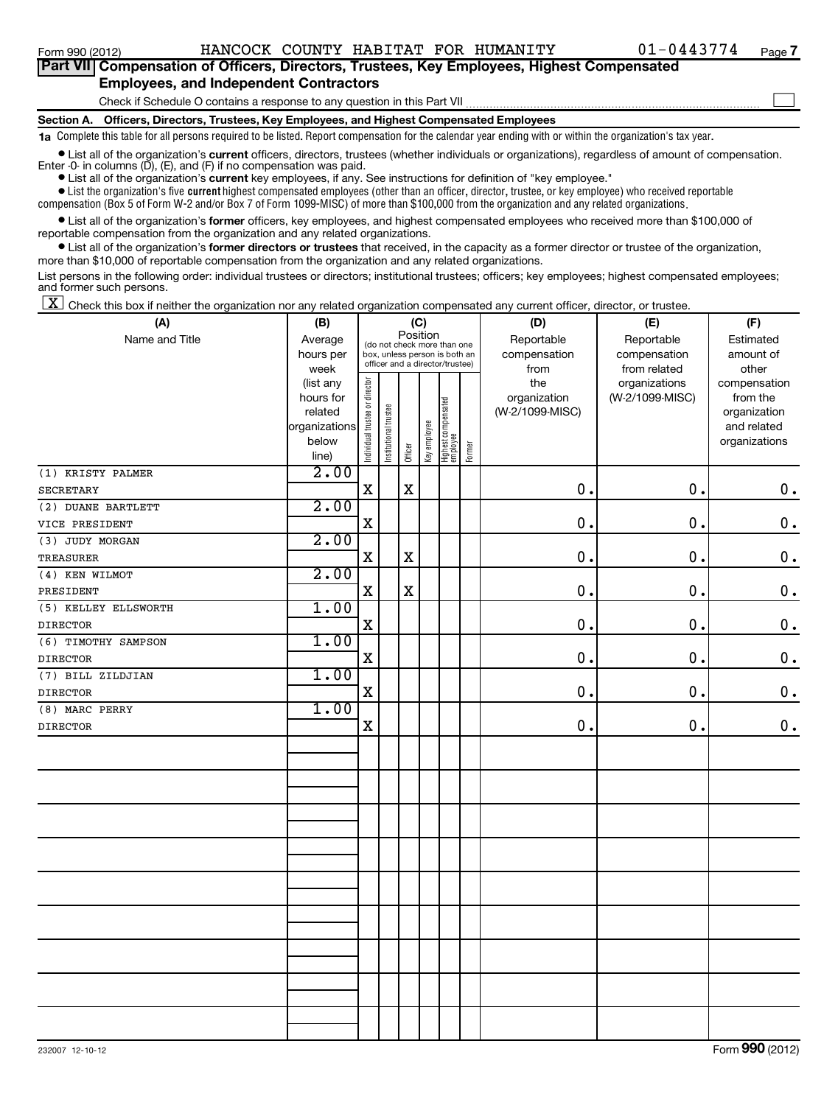#### **Section A. Officers, Directors, Trustees, Key Employees, and Highest Compensated Employees** Check if Schedule O contains a response to any question in this Part VII **Part VII Compensation of Officers, Directors, Trustees, Key Employees, Highest Compensated Employees, and Independent Contractors**  $\mathcal{L}_{\mathcal{A}}$

**1a**  Complete this table for all persons required to be listed. Report compensation for the calendar year ending with or within the organization's tax year.

**•** List all of the organization's current officers, directors, trustees (whether individuals or organizations), regardless of amount of compensation. Enter -0- in columns (D), (E), and (F) if no compensation was paid.

**•** List all of the organization's **current** key employees, if any. See instructions for definition of "key employee."

 $\bullet$  List the organization's five  $\tt current$  highest compensated employees (other than an officer, director, trustee, or key employee) who received reportable compensation (Box 5 of Form W-2 and/or Box 7 of Form 1099-MISC) of more than \$100,000 from the organization and any related organizations .

 $\bullet$  List all of the organization's former officers, key employees, and highest compensated employees who received more than \$100,000 of reportable compensation from the organization and any related organizations.

**•** List all of the organization's former directors or trustees that received, in the capacity as a former director or trustee of the organization, more than \$10,000 of reportable compensation from the organization and any related organizations.

List persons in the following order: individual trustees or directors; institutional trustees; officers; key employees; highest compensated employees; and former such persons.

 $\boxed{\textbf{X}}$  Check this box if neither the organization nor any related organization compensated any current officer, director, or trustee.

| (A)                  | (B)            | (C)                            |                       |                                         |              |                                 |        | (D)             | (E)             | (F)           |
|----------------------|----------------|--------------------------------|-----------------------|-----------------------------------------|--------------|---------------------------------|--------|-----------------|-----------------|---------------|
| Name and Title       | Average        |                                |                       | Position<br>(do not check more than one |              |                                 |        | Reportable      | Reportable      | Estimated     |
|                      | hours per      |                                |                       | box, unless person is both an           |              |                                 |        | compensation    | compensation    | amount of     |
|                      | week           |                                |                       | officer and a director/trustee)         |              |                                 |        | from            | from related    | other         |
|                      | (list any      |                                |                       |                                         |              |                                 |        | the             | organizations   | compensation  |
|                      | hours for      |                                |                       |                                         |              |                                 |        | organization    | (W-2/1099-MISC) | from the      |
|                      | related        |                                |                       |                                         |              |                                 |        | (W-2/1099-MISC) |                 | organization  |
|                      | organizations  |                                |                       |                                         |              |                                 |        |                 |                 | and related   |
|                      | below<br>line) | Individual trustee or director | Institutional trustee | Officer                                 | Key employee | Highest compensated<br>employee | Former |                 |                 | organizations |
| (1) KRISTY PALMER    | 2.00           |                                |                       |                                         |              |                                 |        |                 |                 |               |
| <b>SECRETARY</b>     |                | $\mathbf X$                    |                       | $\mathbf X$                             |              |                                 |        | 0.              | 0.              | $\mathbf 0$ . |
| (2) DUANE BARTLETT   | 2.00           |                                |                       |                                         |              |                                 |        |                 |                 |               |
| VICE PRESIDENT       |                | $\mathbf X$                    |                       |                                         |              |                                 |        | $\mathbf 0$ .   | $\mathbf 0$     | $\mathbf 0$ . |
| (3) JUDY MORGAN      | 2.00           |                                |                       |                                         |              |                                 |        |                 |                 |               |
| TREASURER            |                | $\mathbf X$                    |                       | $\mathbf X$                             |              |                                 |        | $\mathbf 0$ .   | 0               | $0$ .         |
| (4) KEN WILMOT       | 2.00           |                                |                       |                                         |              |                                 |        |                 |                 |               |
| PRESIDENT            |                | $\mathbf X$                    |                       | X                                       |              |                                 |        | 0.              | $\mathbf 0$     | $\mathbf 0$ . |
| (5) KELLEY ELLSWORTH | 1.00           |                                |                       |                                         |              |                                 |        |                 |                 |               |
| <b>DIRECTOR</b>      |                | $\mathbf X$                    |                       |                                         |              |                                 |        | 0.              | $\mathbf 0$     | $\mathbf 0$ . |
| (6) TIMOTHY SAMPSON  | 1.00           |                                |                       |                                         |              |                                 |        |                 |                 |               |
| <b>DIRECTOR</b>      |                | $\mathbf X$                    |                       |                                         |              |                                 |        | $\mathbf 0$ .   | $\mathbf 0$     | $\mathbf 0$ . |
| (7) BILL ZILDJIAN    | 1.00           |                                |                       |                                         |              |                                 |        |                 |                 |               |
| <b>DIRECTOR</b>      |                | $\mathbf X$                    |                       |                                         |              |                                 |        | $\mathbf 0$ .   | $\mathbf 0$     | $0$ .         |
| (8) MARC PERRY       | 1.00           |                                |                       |                                         |              |                                 |        |                 |                 |               |
| <b>DIRECTOR</b>      |                | $\rm X$                        |                       |                                         |              |                                 |        | 0.              | 0.              | $\mathbf 0$ . |
|                      |                |                                |                       |                                         |              |                                 |        |                 |                 |               |
|                      |                |                                |                       |                                         |              |                                 |        |                 |                 |               |
|                      |                |                                |                       |                                         |              |                                 |        |                 |                 |               |
|                      |                |                                |                       |                                         |              |                                 |        |                 |                 |               |
|                      |                |                                |                       |                                         |              |                                 |        |                 |                 |               |
|                      |                |                                |                       |                                         |              |                                 |        |                 |                 |               |
|                      |                |                                |                       |                                         |              |                                 |        |                 |                 |               |
|                      |                |                                |                       |                                         |              |                                 |        |                 |                 |               |
|                      |                |                                |                       |                                         |              |                                 |        |                 |                 |               |
|                      |                |                                |                       |                                         |              |                                 |        |                 |                 |               |
|                      |                |                                |                       |                                         |              |                                 |        |                 |                 |               |
|                      |                |                                |                       |                                         |              |                                 |        |                 |                 |               |
|                      |                |                                |                       |                                         |              |                                 |        |                 |                 |               |
|                      |                |                                |                       |                                         |              |                                 |        |                 |                 |               |
|                      |                |                                |                       |                                         |              |                                 |        |                 |                 |               |
|                      |                |                                |                       |                                         |              |                                 |        |                 |                 |               |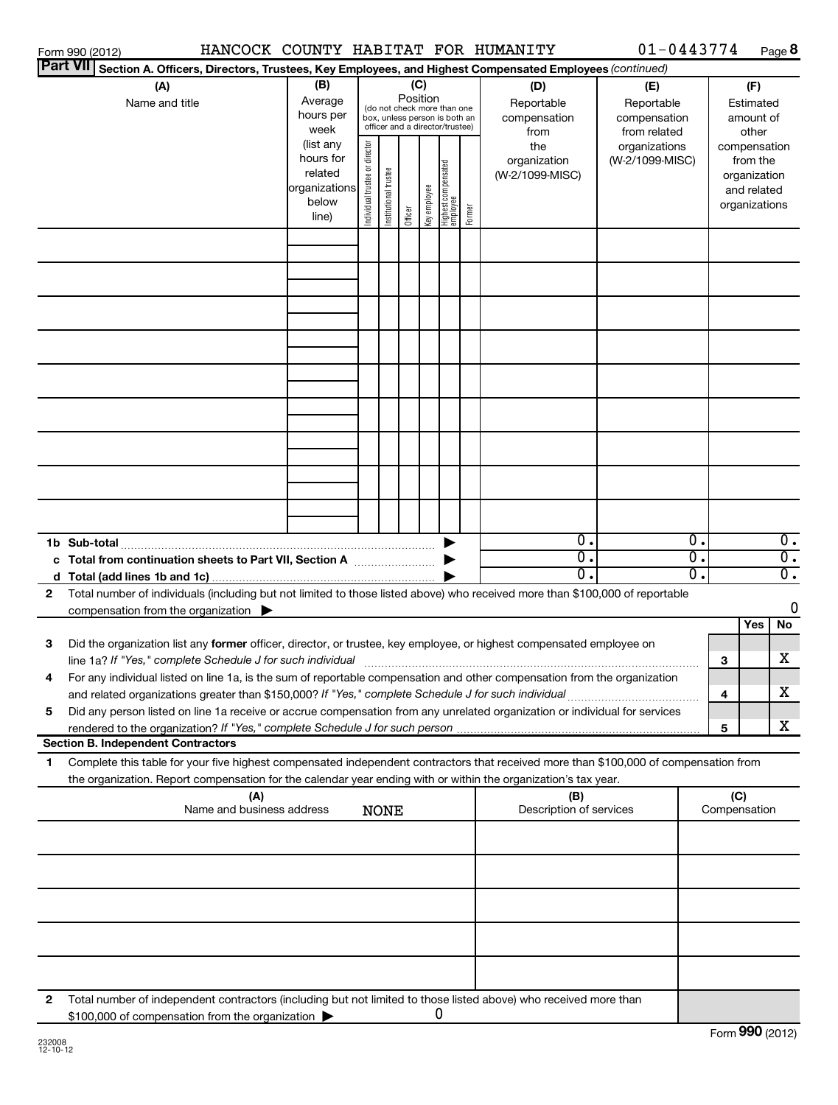| Form 990 (2012) |                                                                                                                                                                                                                                 | HANCOCK COUNTY HABITAT FOR HUMANITY |                                                 |                                                                                                 |          |              |                                  |        |                                           | $01 - 0443774$                                    |                                        |                                                                          | Page 8                                                     |
|-----------------|---------------------------------------------------------------------------------------------------------------------------------------------------------------------------------------------------------------------------------|-------------------------------------|-------------------------------------------------|-------------------------------------------------------------------------------------------------|----------|--------------|----------------------------------|--------|-------------------------------------------|---------------------------------------------------|----------------------------------------|--------------------------------------------------------------------------|------------------------------------------------------------|
| <b>Part VII</b> | Section A. Officers, Directors, Trustees, Key Employees, and Highest Compensated Employees (continued)                                                                                                                          | (B)                                 |                                                 |                                                                                                 |          |              |                                  |        |                                           |                                                   |                                        |                                                                          |                                                            |
|                 | (A)<br>Name and title                                                                                                                                                                                                           |                                     |                                                 | (do not check more than one<br>box, unless person is both an<br>officer and a director/trustee) | Position | (C)          |                                  |        | (D)<br>Reportable<br>compensation<br>from | (E)<br>Reportable<br>compensation<br>from related | (F)<br>Estimated<br>amount of<br>other |                                                                          |                                                            |
|                 |                                                                                                                                                                                                                                 |                                     | Individual trustee or director<br>organizations | Institutional trustee                                                                           | Officer  | Key employee | Highest compensated<br> employee | Former | the<br>organization<br>(W-2/1099-MISC)    | organizations<br>(W-2/1099-MISC)                  |                                        | compensation<br>from the<br>organization<br>and related<br>organizations |                                                            |
|                 |                                                                                                                                                                                                                                 |                                     |                                                 |                                                                                                 |          |              |                                  |        |                                           |                                                   |                                        |                                                                          |                                                            |
|                 |                                                                                                                                                                                                                                 |                                     |                                                 |                                                                                                 |          |              |                                  |        |                                           |                                                   |                                        |                                                                          |                                                            |
|                 |                                                                                                                                                                                                                                 |                                     |                                                 |                                                                                                 |          |              |                                  |        |                                           |                                                   |                                        |                                                                          |                                                            |
|                 |                                                                                                                                                                                                                                 |                                     |                                                 |                                                                                                 |          |              |                                  |        |                                           |                                                   |                                        |                                                                          |                                                            |
|                 |                                                                                                                                                                                                                                 |                                     |                                                 |                                                                                                 |          |              |                                  |        |                                           |                                                   |                                        |                                                                          |                                                            |
|                 |                                                                                                                                                                                                                                 |                                     |                                                 |                                                                                                 |          |              |                                  |        |                                           |                                                   |                                        |                                                                          |                                                            |
|                 |                                                                                                                                                                                                                                 |                                     |                                                 |                                                                                                 |          |              |                                  |        |                                           |                                                   |                                        |                                                                          |                                                            |
|                 |                                                                                                                                                                                                                                 |                                     |                                                 |                                                                                                 |          |              |                                  |        |                                           |                                                   |                                        |                                                                          |                                                            |
|                 |                                                                                                                                                                                                                                 |                                     |                                                 |                                                                                                 |          |              |                                  |        | $\overline{0}$ .                          |                                                   | $\overline{0}$ .                       |                                                                          | $\overline{0}$ .                                           |
|                 | c Total from continuation sheets to Part VII, Section A                                                                                                                                                                         |                                     |                                                 |                                                                                                 |          |              |                                  |        | σ.<br>σ.                                  |                                                   | σ.<br>σ.                               |                                                                          | $\overline{\mathfrak{o}}$ .<br>$\overline{\mathfrak{o}}$ . |
| $\mathbf{2}$    | Total number of individuals (including but not limited to those listed above) who received more than \$100,000 of reportable<br>compensation from the organization $\blacktriangleright$                                        |                                     |                                                 |                                                                                                 |          |              |                                  |        |                                           |                                                   |                                        |                                                                          | 0                                                          |
|                 |                                                                                                                                                                                                                                 |                                     |                                                 |                                                                                                 |          |              |                                  |        |                                           |                                                   |                                        | Yes                                                                      | No                                                         |
| з               | Did the organization list any former officer, director, or trustee, key employee, or highest compensated employee on<br>line 1a? If "Yes," complete Schedule J for such individual                                              |                                     |                                                 |                                                                                                 |          |              |                                  |        |                                           |                                                   | 3                                      |                                                                          | х                                                          |
| 4               | For any individual listed on line 1a, is the sum of reportable compensation and other compensation from the organization<br>and related organizations greater than \$150,000? If "Yes," complete Schedule J for such individual |                                     |                                                 |                                                                                                 |          |              |                                  |        |                                           |                                                   | 4                                      |                                                                          | x                                                          |
| 5               | Did any person listed on line 1a receive or accrue compensation from any unrelated organization or individual for services                                                                                                      |                                     |                                                 |                                                                                                 |          |              |                                  |        |                                           |                                                   | 5                                      |                                                                          | x                                                          |
| 1               | <b>Section B. Independent Contractors</b><br>Complete this table for your five highest compensated independent contractors that received more than \$100,000 of compensation from                                               |                                     |                                                 |                                                                                                 |          |              |                                  |        |                                           |                                                   |                                        |                                                                          |                                                            |
|                 | the organization. Report compensation for the calendar year ending with or within the organization's tax year.                                                                                                                  |                                     |                                                 |                                                                                                 |          |              |                                  |        |                                           |                                                   |                                        |                                                                          |                                                            |
|                 | (A)<br>Name and business address                                                                                                                                                                                                |                                     |                                                 | <b>NONE</b>                                                                                     |          |              |                                  |        | (B)<br>Description of services            |                                                   |                                        | (C)<br>Compensation                                                      |                                                            |
|                 |                                                                                                                                                                                                                                 |                                     |                                                 |                                                                                                 |          |              |                                  |        |                                           |                                                   |                                        |                                                                          |                                                            |
|                 |                                                                                                                                                                                                                                 |                                     |                                                 |                                                                                                 |          |              |                                  |        |                                           |                                                   |                                        |                                                                          |                                                            |
|                 |                                                                                                                                                                                                                                 |                                     |                                                 |                                                                                                 |          |              |                                  |        |                                           |                                                   |                                        |                                                                          |                                                            |
|                 |                                                                                                                                                                                                                                 |                                     |                                                 |                                                                                                 |          |              |                                  |        |                                           |                                                   |                                        |                                                                          |                                                            |
|                 |                                                                                                                                                                                                                                 |                                     |                                                 |                                                                                                 |          |              |                                  |        |                                           |                                                   |                                        |                                                                          |                                                            |

**2** Total number of independent contractors (including but not limited to those listed above) who received more than \$100,000 of compensation from the organization  $\blacktriangleright$ 0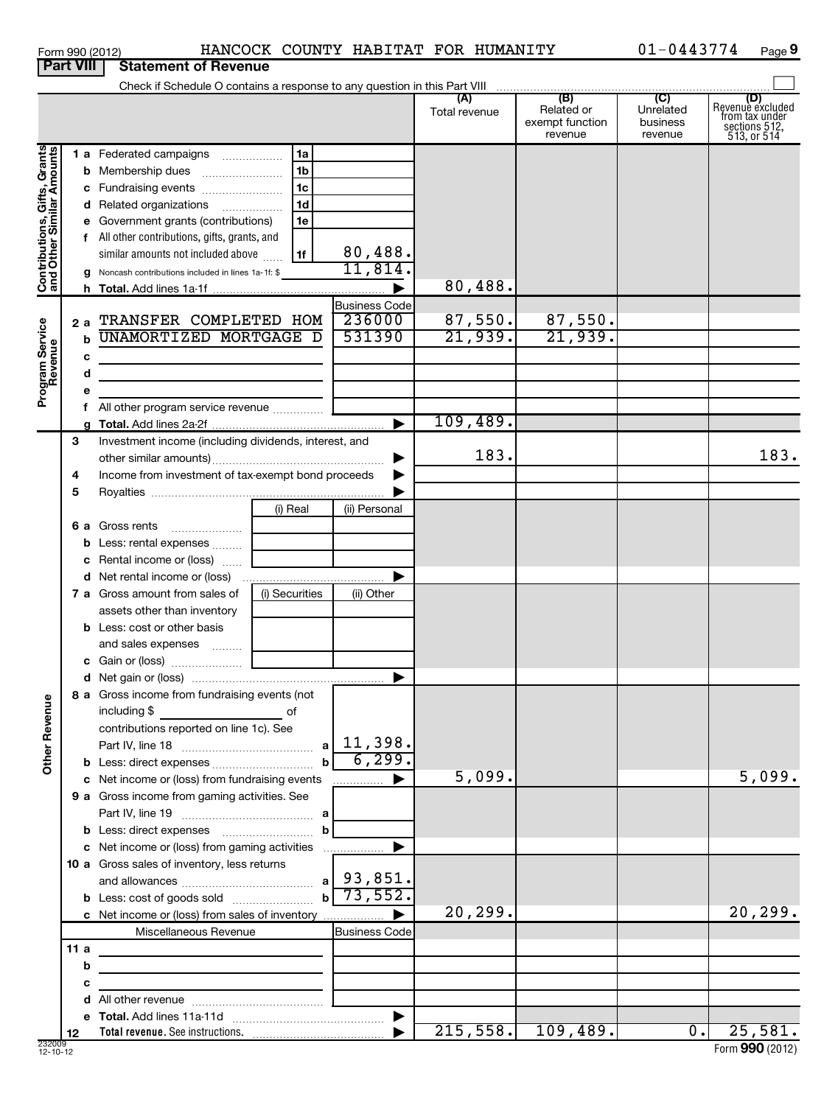| Form 990 (2012) | HANCOCK                                 |
|-----------------|-----------------------------------------|
|                 | <b>Part VIII   Statement of Revenue</b> |

### Form 990 (2012) HANCOCK COUNTY HABITAT FOR HUMANITY 01-0443774 Page

01-0443774 Page 9

| (C)<br>(D)<br>Revenue excluded<br>Related or<br>Unrelated<br>Total revenue<br>from tax under<br>exempt function<br>business<br>sections 512,<br>513, or 514<br>revenue<br>revenue<br>Contributions, Gifts, Grants<br>and Other Similar Amounts<br>1 a Federated campaigns<br>1a<br>1 <sub>b</sub><br>Membership dues<br>b<br>1c<br>c Fundraising events<br>1 <sub>d</sub><br>d Related organizations<br>Government grants (contributions)<br>1e<br>е<br>f All other contributions, gifts, grants, and<br>80,488.<br>similar amounts not included above<br>1f<br>11,814.<br>Noncash contributions included in lines 1a-1f: \$<br>80,488.<br><b>Business Code</b><br>236000<br>87,550.<br>87,550.<br>TRANSFER COMPLETED HOM<br>Program Service<br>Revenue<br>2a<br>21,939.<br>21,939.<br>531390<br>UNAMORTIZED MORTGAGE D<br>b<br>с<br>d<br><u> 1989 - Johann Stein, mars an deutscher Stein († 1958)</u><br>е<br>109,489.<br>►<br>3<br>Investment income (including dividends, interest, and<br>183.<br>183.<br>▶<br>Income from investment of tax-exempt bond proceeds<br>4<br>5<br>(i) Real<br>(ii) Personal<br>6 a Gross rents<br>Less: rental expenses<br>b<br>Rental income or (loss)<br>С<br>(i) Securities<br><b>7 a</b> Gross amount from sales of<br>(ii) Other<br>assets other than inventory<br><b>b</b> Less: cost or other basis<br>and sales expenses<br>▶<br>8 a Gross income from fundraising events (not<br>٩<br>Other Rever<br>contributions reported on line 1c). See<br>$a$   11,398.<br>6, 299.<br>$\mathbf{h}$<br>5,099.<br>5,099.<br>c Net income or (loss) from fundraising events<br>9 a Gross income from gaming activities. See<br>b<br>c Net income or (loss) from gaming activities<br>▶<br>.<br>10 a Gross sales of inventory, less returns<br>$b \overline{73,552}$ .<br><b>b</b> Less: cost of goods sold<br>20, 299.<br>20, 299.<br>c Net income or (loss) from sales of inventory<br>Miscellaneous Revenue<br>Business Code<br>11a<br>b<br>с |  | Check if Schedule O contains a response to any question in this Part VIII |  |     |  |
|-------------------------------------------------------------------------------------------------------------------------------------------------------------------------------------------------------------------------------------------------------------------------------------------------------------------------------------------------------------------------------------------------------------------------------------------------------------------------------------------------------------------------------------------------------------------------------------------------------------------------------------------------------------------------------------------------------------------------------------------------------------------------------------------------------------------------------------------------------------------------------------------------------------------------------------------------------------------------------------------------------------------------------------------------------------------------------------------------------------------------------------------------------------------------------------------------------------------------------------------------------------------------------------------------------------------------------------------------------------------------------------------------------------------------------------------------------------------------------------------------------------------------------------------------------------------------------------------------------------------------------------------------------------------------------------------------------------------------------------------------------------------------------------------------------------------------------------------------------------------------------------------------------------------------------------------------------------------------------|--|---------------------------------------------------------------------------|--|-----|--|
|                                                                                                                                                                                                                                                                                                                                                                                                                                                                                                                                                                                                                                                                                                                                                                                                                                                                                                                                                                                                                                                                                                                                                                                                                                                                                                                                                                                                                                                                                                                                                                                                                                                                                                                                                                                                                                                                                                                                                                               |  |                                                                           |  | (B) |  |
|                                                                                                                                                                                                                                                                                                                                                                                                                                                                                                                                                                                                                                                                                                                                                                                                                                                                                                                                                                                                                                                                                                                                                                                                                                                                                                                                                                                                                                                                                                                                                                                                                                                                                                                                                                                                                                                                                                                                                                               |  |                                                                           |  |     |  |
|                                                                                                                                                                                                                                                                                                                                                                                                                                                                                                                                                                                                                                                                                                                                                                                                                                                                                                                                                                                                                                                                                                                                                                                                                                                                                                                                                                                                                                                                                                                                                                                                                                                                                                                                                                                                                                                                                                                                                                               |  |                                                                           |  |     |  |
|                                                                                                                                                                                                                                                                                                                                                                                                                                                                                                                                                                                                                                                                                                                                                                                                                                                                                                                                                                                                                                                                                                                                                                                                                                                                                                                                                                                                                                                                                                                                                                                                                                                                                                                                                                                                                                                                                                                                                                               |  |                                                                           |  |     |  |
|                                                                                                                                                                                                                                                                                                                                                                                                                                                                                                                                                                                                                                                                                                                                                                                                                                                                                                                                                                                                                                                                                                                                                                                                                                                                                                                                                                                                                                                                                                                                                                                                                                                                                                                                                                                                                                                                                                                                                                               |  |                                                                           |  |     |  |
|                                                                                                                                                                                                                                                                                                                                                                                                                                                                                                                                                                                                                                                                                                                                                                                                                                                                                                                                                                                                                                                                                                                                                                                                                                                                                                                                                                                                                                                                                                                                                                                                                                                                                                                                                                                                                                                                                                                                                                               |  |                                                                           |  |     |  |
|                                                                                                                                                                                                                                                                                                                                                                                                                                                                                                                                                                                                                                                                                                                                                                                                                                                                                                                                                                                                                                                                                                                                                                                                                                                                                                                                                                                                                                                                                                                                                                                                                                                                                                                                                                                                                                                                                                                                                                               |  |                                                                           |  |     |  |
|                                                                                                                                                                                                                                                                                                                                                                                                                                                                                                                                                                                                                                                                                                                                                                                                                                                                                                                                                                                                                                                                                                                                                                                                                                                                                                                                                                                                                                                                                                                                                                                                                                                                                                                                                                                                                                                                                                                                                                               |  |                                                                           |  |     |  |
|                                                                                                                                                                                                                                                                                                                                                                                                                                                                                                                                                                                                                                                                                                                                                                                                                                                                                                                                                                                                                                                                                                                                                                                                                                                                                                                                                                                                                                                                                                                                                                                                                                                                                                                                                                                                                                                                                                                                                                               |  |                                                                           |  |     |  |
|                                                                                                                                                                                                                                                                                                                                                                                                                                                                                                                                                                                                                                                                                                                                                                                                                                                                                                                                                                                                                                                                                                                                                                                                                                                                                                                                                                                                                                                                                                                                                                                                                                                                                                                                                                                                                                                                                                                                                                               |  |                                                                           |  |     |  |
|                                                                                                                                                                                                                                                                                                                                                                                                                                                                                                                                                                                                                                                                                                                                                                                                                                                                                                                                                                                                                                                                                                                                                                                                                                                                                                                                                                                                                                                                                                                                                                                                                                                                                                                                                                                                                                                                                                                                                                               |  |                                                                           |  |     |  |
|                                                                                                                                                                                                                                                                                                                                                                                                                                                                                                                                                                                                                                                                                                                                                                                                                                                                                                                                                                                                                                                                                                                                                                                                                                                                                                                                                                                                                                                                                                                                                                                                                                                                                                                                                                                                                                                                                                                                                                               |  |                                                                           |  |     |  |
|                                                                                                                                                                                                                                                                                                                                                                                                                                                                                                                                                                                                                                                                                                                                                                                                                                                                                                                                                                                                                                                                                                                                                                                                                                                                                                                                                                                                                                                                                                                                                                                                                                                                                                                                                                                                                                                                                                                                                                               |  |                                                                           |  |     |  |
|                                                                                                                                                                                                                                                                                                                                                                                                                                                                                                                                                                                                                                                                                                                                                                                                                                                                                                                                                                                                                                                                                                                                                                                                                                                                                                                                                                                                                                                                                                                                                                                                                                                                                                                                                                                                                                                                                                                                                                               |  |                                                                           |  |     |  |
|                                                                                                                                                                                                                                                                                                                                                                                                                                                                                                                                                                                                                                                                                                                                                                                                                                                                                                                                                                                                                                                                                                                                                                                                                                                                                                                                                                                                                                                                                                                                                                                                                                                                                                                                                                                                                                                                                                                                                                               |  |                                                                           |  |     |  |
|                                                                                                                                                                                                                                                                                                                                                                                                                                                                                                                                                                                                                                                                                                                                                                                                                                                                                                                                                                                                                                                                                                                                                                                                                                                                                                                                                                                                                                                                                                                                                                                                                                                                                                                                                                                                                                                                                                                                                                               |  |                                                                           |  |     |  |
|                                                                                                                                                                                                                                                                                                                                                                                                                                                                                                                                                                                                                                                                                                                                                                                                                                                                                                                                                                                                                                                                                                                                                                                                                                                                                                                                                                                                                                                                                                                                                                                                                                                                                                                                                                                                                                                                                                                                                                               |  |                                                                           |  |     |  |
|                                                                                                                                                                                                                                                                                                                                                                                                                                                                                                                                                                                                                                                                                                                                                                                                                                                                                                                                                                                                                                                                                                                                                                                                                                                                                                                                                                                                                                                                                                                                                                                                                                                                                                                                                                                                                                                                                                                                                                               |  |                                                                           |  |     |  |
|                                                                                                                                                                                                                                                                                                                                                                                                                                                                                                                                                                                                                                                                                                                                                                                                                                                                                                                                                                                                                                                                                                                                                                                                                                                                                                                                                                                                                                                                                                                                                                                                                                                                                                                                                                                                                                                                                                                                                                               |  |                                                                           |  |     |  |
|                                                                                                                                                                                                                                                                                                                                                                                                                                                                                                                                                                                                                                                                                                                                                                                                                                                                                                                                                                                                                                                                                                                                                                                                                                                                                                                                                                                                                                                                                                                                                                                                                                                                                                                                                                                                                                                                                                                                                                               |  |                                                                           |  |     |  |
|                                                                                                                                                                                                                                                                                                                                                                                                                                                                                                                                                                                                                                                                                                                                                                                                                                                                                                                                                                                                                                                                                                                                                                                                                                                                                                                                                                                                                                                                                                                                                                                                                                                                                                                                                                                                                                                                                                                                                                               |  |                                                                           |  |     |  |
|                                                                                                                                                                                                                                                                                                                                                                                                                                                                                                                                                                                                                                                                                                                                                                                                                                                                                                                                                                                                                                                                                                                                                                                                                                                                                                                                                                                                                                                                                                                                                                                                                                                                                                                                                                                                                                                                                                                                                                               |  |                                                                           |  |     |  |
|                                                                                                                                                                                                                                                                                                                                                                                                                                                                                                                                                                                                                                                                                                                                                                                                                                                                                                                                                                                                                                                                                                                                                                                                                                                                                                                                                                                                                                                                                                                                                                                                                                                                                                                                                                                                                                                                                                                                                                               |  |                                                                           |  |     |  |
|                                                                                                                                                                                                                                                                                                                                                                                                                                                                                                                                                                                                                                                                                                                                                                                                                                                                                                                                                                                                                                                                                                                                                                                                                                                                                                                                                                                                                                                                                                                                                                                                                                                                                                                                                                                                                                                                                                                                                                               |  |                                                                           |  |     |  |
|                                                                                                                                                                                                                                                                                                                                                                                                                                                                                                                                                                                                                                                                                                                                                                                                                                                                                                                                                                                                                                                                                                                                                                                                                                                                                                                                                                                                                                                                                                                                                                                                                                                                                                                                                                                                                                                                                                                                                                               |  |                                                                           |  |     |  |
|                                                                                                                                                                                                                                                                                                                                                                                                                                                                                                                                                                                                                                                                                                                                                                                                                                                                                                                                                                                                                                                                                                                                                                                                                                                                                                                                                                                                                                                                                                                                                                                                                                                                                                                                                                                                                                                                                                                                                                               |  |                                                                           |  |     |  |
|                                                                                                                                                                                                                                                                                                                                                                                                                                                                                                                                                                                                                                                                                                                                                                                                                                                                                                                                                                                                                                                                                                                                                                                                                                                                                                                                                                                                                                                                                                                                                                                                                                                                                                                                                                                                                                                                                                                                                                               |  |                                                                           |  |     |  |
|                                                                                                                                                                                                                                                                                                                                                                                                                                                                                                                                                                                                                                                                                                                                                                                                                                                                                                                                                                                                                                                                                                                                                                                                                                                                                                                                                                                                                                                                                                                                                                                                                                                                                                                                                                                                                                                                                                                                                                               |  |                                                                           |  |     |  |
|                                                                                                                                                                                                                                                                                                                                                                                                                                                                                                                                                                                                                                                                                                                                                                                                                                                                                                                                                                                                                                                                                                                                                                                                                                                                                                                                                                                                                                                                                                                                                                                                                                                                                                                                                                                                                                                                                                                                                                               |  |                                                                           |  |     |  |
|                                                                                                                                                                                                                                                                                                                                                                                                                                                                                                                                                                                                                                                                                                                                                                                                                                                                                                                                                                                                                                                                                                                                                                                                                                                                                                                                                                                                                                                                                                                                                                                                                                                                                                                                                                                                                                                                                                                                                                               |  |                                                                           |  |     |  |
|                                                                                                                                                                                                                                                                                                                                                                                                                                                                                                                                                                                                                                                                                                                                                                                                                                                                                                                                                                                                                                                                                                                                                                                                                                                                                                                                                                                                                                                                                                                                                                                                                                                                                                                                                                                                                                                                                                                                                                               |  |                                                                           |  |     |  |
|                                                                                                                                                                                                                                                                                                                                                                                                                                                                                                                                                                                                                                                                                                                                                                                                                                                                                                                                                                                                                                                                                                                                                                                                                                                                                                                                                                                                                                                                                                                                                                                                                                                                                                                                                                                                                                                                                                                                                                               |  |                                                                           |  |     |  |
|                                                                                                                                                                                                                                                                                                                                                                                                                                                                                                                                                                                                                                                                                                                                                                                                                                                                                                                                                                                                                                                                                                                                                                                                                                                                                                                                                                                                                                                                                                                                                                                                                                                                                                                                                                                                                                                                                                                                                                               |  |                                                                           |  |     |  |
|                                                                                                                                                                                                                                                                                                                                                                                                                                                                                                                                                                                                                                                                                                                                                                                                                                                                                                                                                                                                                                                                                                                                                                                                                                                                                                                                                                                                                                                                                                                                                                                                                                                                                                                                                                                                                                                                                                                                                                               |  |                                                                           |  |     |  |
|                                                                                                                                                                                                                                                                                                                                                                                                                                                                                                                                                                                                                                                                                                                                                                                                                                                                                                                                                                                                                                                                                                                                                                                                                                                                                                                                                                                                                                                                                                                                                                                                                                                                                                                                                                                                                                                                                                                                                                               |  |                                                                           |  |     |  |
|                                                                                                                                                                                                                                                                                                                                                                                                                                                                                                                                                                                                                                                                                                                                                                                                                                                                                                                                                                                                                                                                                                                                                                                                                                                                                                                                                                                                                                                                                                                                                                                                                                                                                                                                                                                                                                                                                                                                                                               |  |                                                                           |  |     |  |
|                                                                                                                                                                                                                                                                                                                                                                                                                                                                                                                                                                                                                                                                                                                                                                                                                                                                                                                                                                                                                                                                                                                                                                                                                                                                                                                                                                                                                                                                                                                                                                                                                                                                                                                                                                                                                                                                                                                                                                               |  |                                                                           |  |     |  |
|                                                                                                                                                                                                                                                                                                                                                                                                                                                                                                                                                                                                                                                                                                                                                                                                                                                                                                                                                                                                                                                                                                                                                                                                                                                                                                                                                                                                                                                                                                                                                                                                                                                                                                                                                                                                                                                                                                                                                                               |  |                                                                           |  |     |  |
|                                                                                                                                                                                                                                                                                                                                                                                                                                                                                                                                                                                                                                                                                                                                                                                                                                                                                                                                                                                                                                                                                                                                                                                                                                                                                                                                                                                                                                                                                                                                                                                                                                                                                                                                                                                                                                                                                                                                                                               |  |                                                                           |  |     |  |
|                                                                                                                                                                                                                                                                                                                                                                                                                                                                                                                                                                                                                                                                                                                                                                                                                                                                                                                                                                                                                                                                                                                                                                                                                                                                                                                                                                                                                                                                                                                                                                                                                                                                                                                                                                                                                                                                                                                                                                               |  |                                                                           |  |     |  |
|                                                                                                                                                                                                                                                                                                                                                                                                                                                                                                                                                                                                                                                                                                                                                                                                                                                                                                                                                                                                                                                                                                                                                                                                                                                                                                                                                                                                                                                                                                                                                                                                                                                                                                                                                                                                                                                                                                                                                                               |  |                                                                           |  |     |  |
|                                                                                                                                                                                                                                                                                                                                                                                                                                                                                                                                                                                                                                                                                                                                                                                                                                                                                                                                                                                                                                                                                                                                                                                                                                                                                                                                                                                                                                                                                                                                                                                                                                                                                                                                                                                                                                                                                                                                                                               |  |                                                                           |  |     |  |
|                                                                                                                                                                                                                                                                                                                                                                                                                                                                                                                                                                                                                                                                                                                                                                                                                                                                                                                                                                                                                                                                                                                                                                                                                                                                                                                                                                                                                                                                                                                                                                                                                                                                                                                                                                                                                                                                                                                                                                               |  |                                                                           |  |     |  |
|                                                                                                                                                                                                                                                                                                                                                                                                                                                                                                                                                                                                                                                                                                                                                                                                                                                                                                                                                                                                                                                                                                                                                                                                                                                                                                                                                                                                                                                                                                                                                                                                                                                                                                                                                                                                                                                                                                                                                                               |  |                                                                           |  |     |  |
|                                                                                                                                                                                                                                                                                                                                                                                                                                                                                                                                                                                                                                                                                                                                                                                                                                                                                                                                                                                                                                                                                                                                                                                                                                                                                                                                                                                                                                                                                                                                                                                                                                                                                                                                                                                                                                                                                                                                                                               |  |                                                                           |  |     |  |
|                                                                                                                                                                                                                                                                                                                                                                                                                                                                                                                                                                                                                                                                                                                                                                                                                                                                                                                                                                                                                                                                                                                                                                                                                                                                                                                                                                                                                                                                                                                                                                                                                                                                                                                                                                                                                                                                                                                                                                               |  |                                                                           |  |     |  |
|                                                                                                                                                                                                                                                                                                                                                                                                                                                                                                                                                                                                                                                                                                                                                                                                                                                                                                                                                                                                                                                                                                                                                                                                                                                                                                                                                                                                                                                                                                                                                                                                                                                                                                                                                                                                                                                                                                                                                                               |  |                                                                           |  |     |  |
|                                                                                                                                                                                                                                                                                                                                                                                                                                                                                                                                                                                                                                                                                                                                                                                                                                                                                                                                                                                                                                                                                                                                                                                                                                                                                                                                                                                                                                                                                                                                                                                                                                                                                                                                                                                                                                                                                                                                                                               |  |                                                                           |  |     |  |
|                                                                                                                                                                                                                                                                                                                                                                                                                                                                                                                                                                                                                                                                                                                                                                                                                                                                                                                                                                                                                                                                                                                                                                                                                                                                                                                                                                                                                                                                                                                                                                                                                                                                                                                                                                                                                                                                                                                                                                               |  |                                                                           |  |     |  |
|                                                                                                                                                                                                                                                                                                                                                                                                                                                                                                                                                                                                                                                                                                                                                                                                                                                                                                                                                                                                                                                                                                                                                                                                                                                                                                                                                                                                                                                                                                                                                                                                                                                                                                                                                                                                                                                                                                                                                                               |  |                                                                           |  |     |  |
| 215,558.<br>109,489.<br>25,581.<br>$\overline{0}$ .<br>12                                                                                                                                                                                                                                                                                                                                                                                                                                                                                                                                                                                                                                                                                                                                                                                                                                                                                                                                                                                                                                                                                                                                                                                                                                                                                                                                                                                                                                                                                                                                                                                                                                                                                                                                                                                                                                                                                                                     |  |                                                                           |  |     |  |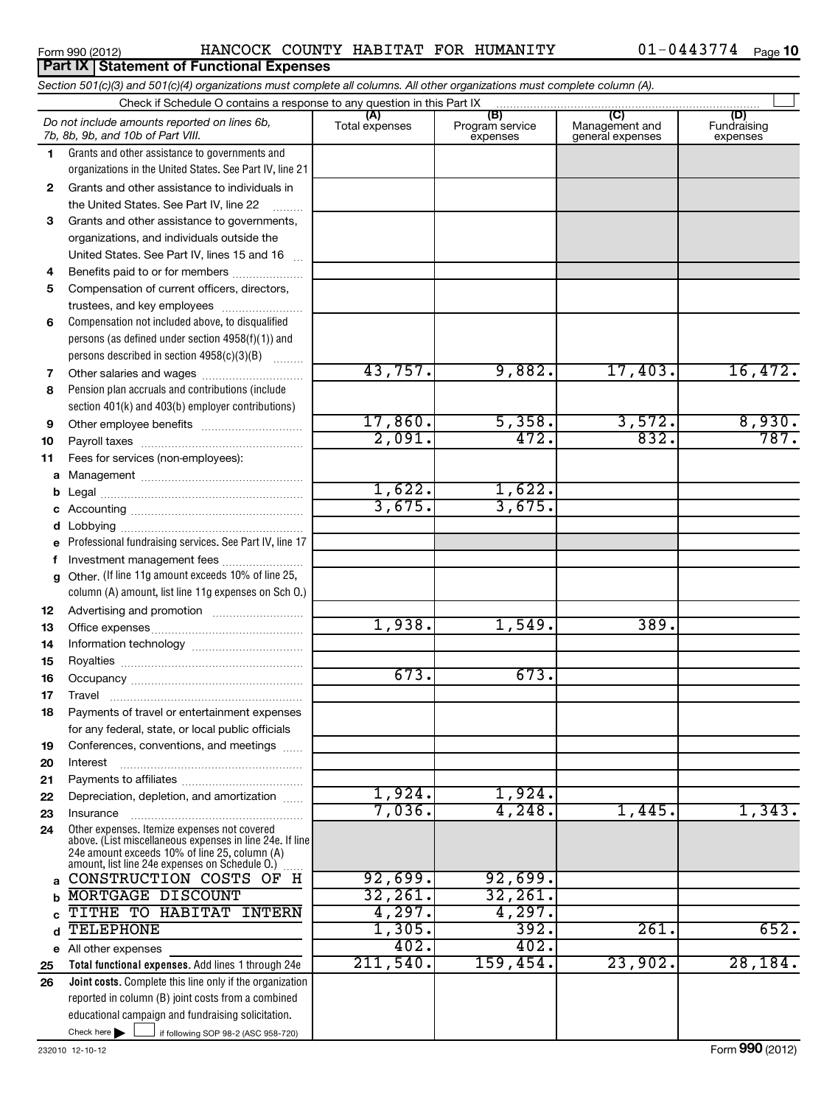**Part IX Statement of Functional Expenses**

### Form 990 (2012) HANCOCK COUNTY HABITAT FOR HUMANITY 01-0443774  $\,$   $_{\rm Page}$

#### If following SOP 98-2 (ASC 958-720) **Total functional expenses.**  Add lines 1 through 24e **Joint costs.** Complete this line only if the organization **(A) (B) (C) (D) 1 2 3 4 5 6 7 8 9 10 11 a** Management ~~~~~~~~~~~~~~~~ **b c** Accounting ~~~~~~~~~~~~~~~~~ **d e f g 12 13 14 15 16 17 18 19 20 21 22 23 24 a b c d e 25 26** *Section 501(c)(3) and 501(c)(4) organizations must complete all columns. All other organizations must complete column (A).* Grants and other assistance to governments and organizations in the United States. See Part IV, line 21 Compensation not included above, to disqualified persons (as defined under section 4958(f)(1)) and persons described in section 4958(c)(3)(B)  $\quad \quad \ldots \ldots \ldots$ Pension plan accruals and contributions (include section 401(k) and 403(b) employer contributions) Professional fundraising services. See Part IV, line 17 Other. (If line 11g amount exceeds 10% of line 25, column (A) amount, list line 11g expenses on Sch O.) Other expenses. Itemize expenses not covered above. (List miscellaneous expenses in line 24e. If line 24e amount exceeds 10% of line 25, column (A) amount, list line 24e expenses on Schedule O.) reported in column (B) joint costs from a combined educational campaign and fundraising solicitation. Check if Schedule O contains a response to any question in this Part IX Total expenses | Program service expenses Management and general expenses Fundraising expenses Grants and other assistance to individuals in the United States. See Part IV, line 22 Grants and other assistance to governments, organizations, and individuals outside the United States. See Part IV, lines 15 and 16 ~ Benefits paid to or for members .................... Compensation of current officers, directors,  $trustees$ , and key employees  $\ldots$  $\ldots$  $\ldots$  $\ldots$ Other salaries and wages ~~~~~~~~~~ Other employee benefits ~~~~~~~~~~ Payroll taxes ~~~~~~~~~~~~~~~~ Fees for services (non-employees): Legal ~~~~~~~~~~~~~~~~~~~~ Lobbying ~~~~~~~~~~~~~~~~~~ Investment management fees ........................ Advertising and promotion .......................... Office expenses ~~~~~~~~~~~~~~~ Information technology ~~~~~~~~~~~ Royalties ~~~~~~~~~~~~~~~~~~ Occupancy ~~~~~~~~~~~~~~~~~ Travel ……………………………………………………… Payments of travel or entertainment expenses for any federal, state, or local public officials Conferences, conventions, and meetings ...... Interest Payments to affiliates ~~~~~~~~~~~~ ~~~~~~~~~~~~~~~~~~ Depreciation, depletion, and amortization ...... Insurance ~~~~~~~~~~~~~~~~~ ~<br>…… All other expenses Check here  $\blacktriangleright$ *Do not include amounts reported on lines 6b, 7b, 8b, 9b, and 10b of Part VIII.*  $\mathcal{L}_{\mathcal{A}}$  $\overline{\phantom{a}}$ 43,757. 9,882. 17,403. 16,472. 17,860. 5,358. 3,572. 8,930.  $2,091.$  472. 832. 787. 1,622. 1,622. 3,675. 3,675.  $1,938.$   $1,549.$   $389.$ 673. 673. 1,924. 1,924. 7,036. 4,248. 1,445. 1,343. CONSTRUCTION COSTS OF H  $\boxed{92,699.}$  92,699. MORTGAGE DISCOUNT 32,261. 32,261. TITHE TO HABITAT INTERN 4,297. 4,297. TELEPHONE 1,305. 392. 261. 652. 402. 402. 211,540. 159,454. 23,902. 28,184.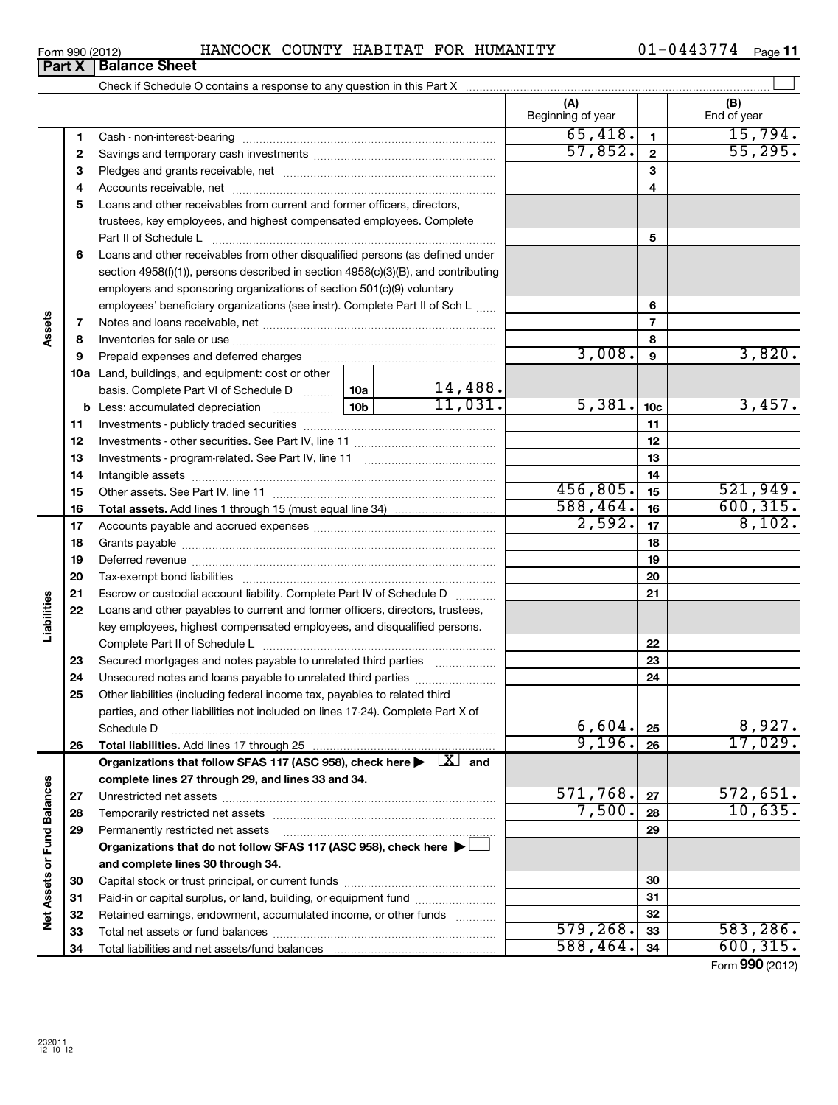| Form 990 (2012)               | <b>HANCOCK</b> | <b>COUNTY</b> | HABITAT | FOR F | HUMANITY | 1774<br>0 <sup>7</sup><br>04 4 | Page |
|-------------------------------|----------------|---------------|---------|-------|----------|--------------------------------|------|
| <b>Deal V. Delegas Chast.</b> |                |               |         |       |          |                                |      |

| (A)<br>Beginning of year<br>65,418.<br>$\mathbf{1}$<br>1<br>57,852.<br>$\mathbf{2}$<br>2<br>3<br>3<br>4<br>4<br>Loans and other receivables from current and former officers, directors,<br>5<br>trustees, key employees, and highest compensated employees. Complete<br>5<br>Loans and other receivables from other disqualified persons (as defined under<br>6<br>section 4958(f)(1)), persons described in section 4958(c)(3)(B), and contributing<br>employers and sponsoring organizations of section 501(c)(9) voluntary | (B)<br>End of year<br>15,794.<br>55,295. |
|--------------------------------------------------------------------------------------------------------------------------------------------------------------------------------------------------------------------------------------------------------------------------------------------------------------------------------------------------------------------------------------------------------------------------------------------------------------------------------------------------------------------------------|------------------------------------------|
|                                                                                                                                                                                                                                                                                                                                                                                                                                                                                                                                |                                          |
|                                                                                                                                                                                                                                                                                                                                                                                                                                                                                                                                |                                          |
|                                                                                                                                                                                                                                                                                                                                                                                                                                                                                                                                |                                          |
|                                                                                                                                                                                                                                                                                                                                                                                                                                                                                                                                |                                          |
|                                                                                                                                                                                                                                                                                                                                                                                                                                                                                                                                |                                          |
|                                                                                                                                                                                                                                                                                                                                                                                                                                                                                                                                |                                          |
|                                                                                                                                                                                                                                                                                                                                                                                                                                                                                                                                |                                          |
|                                                                                                                                                                                                                                                                                                                                                                                                                                                                                                                                |                                          |
|                                                                                                                                                                                                                                                                                                                                                                                                                                                                                                                                |                                          |
|                                                                                                                                                                                                                                                                                                                                                                                                                                                                                                                                |                                          |
|                                                                                                                                                                                                                                                                                                                                                                                                                                                                                                                                |                                          |
| employees' beneficiary organizations (see instr). Complete Part II of Sch L<br>6                                                                                                                                                                                                                                                                                                                                                                                                                                               |                                          |
| Assets<br>7<br>7                                                                                                                                                                                                                                                                                                                                                                                                                                                                                                               |                                          |
| 8<br>8                                                                                                                                                                                                                                                                                                                                                                                                                                                                                                                         |                                          |
| 3,008.<br>9<br>Prepaid expenses and deferred charges<br>9                                                                                                                                                                                                                                                                                                                                                                                                                                                                      | 3,820.                                   |
| 10a Land, buildings, and equipment: cost or other                                                                                                                                                                                                                                                                                                                                                                                                                                                                              |                                          |
| $\frac{14,488}{11,031}.$<br>basis. Complete Part VI of Schedule D  10a                                                                                                                                                                                                                                                                                                                                                                                                                                                         |                                          |
| 5,381.<br>10 <sub>c</sub>                                                                                                                                                                                                                                                                                                                                                                                                                                                                                                      | 3,457.                                   |
| 11<br>11                                                                                                                                                                                                                                                                                                                                                                                                                                                                                                                       |                                          |
| 12<br>12                                                                                                                                                                                                                                                                                                                                                                                                                                                                                                                       |                                          |
| 13<br>13                                                                                                                                                                                                                                                                                                                                                                                                                                                                                                                       |                                          |
| 14<br>14                                                                                                                                                                                                                                                                                                                                                                                                                                                                                                                       |                                          |
| 456,805.<br>15<br>15                                                                                                                                                                                                                                                                                                                                                                                                                                                                                                           | 521,949.                                 |
| 588, 464.<br>16<br>16                                                                                                                                                                                                                                                                                                                                                                                                                                                                                                          | 600, 315.                                |
| 2,592.<br>17<br>17                                                                                                                                                                                                                                                                                                                                                                                                                                                                                                             | 8,102.                                   |
| 18<br>18                                                                                                                                                                                                                                                                                                                                                                                                                                                                                                                       |                                          |
| 19<br>19<br>Deferred revenue manual contracts and contracts are all the contracts and contracts are contracted and contracts are contracted and contract are contracted and contract are contracted and contract are contracted and contra                                                                                                                                                                                                                                                                                     |                                          |
| 20<br>20                                                                                                                                                                                                                                                                                                                                                                                                                                                                                                                       |                                          |
| Escrow or custodial account liability. Complete Part IV of Schedule D<br>21<br>21                                                                                                                                                                                                                                                                                                                                                                                                                                              |                                          |
| Liabilities<br>Loans and other payables to current and former officers, directors, trustees,<br>22                                                                                                                                                                                                                                                                                                                                                                                                                             |                                          |
| key employees, highest compensated employees, and disqualified persons.                                                                                                                                                                                                                                                                                                                                                                                                                                                        |                                          |
| 22                                                                                                                                                                                                                                                                                                                                                                                                                                                                                                                             |                                          |
| 23<br>Secured mortgages and notes payable to unrelated third parties<br>23<br>24<br>24                                                                                                                                                                                                                                                                                                                                                                                                                                         |                                          |
| Other liabilities (including federal income tax, payables to related third<br>25                                                                                                                                                                                                                                                                                                                                                                                                                                               |                                          |
| parties, and other liabilities not included on lines 17-24). Complete Part X of                                                                                                                                                                                                                                                                                                                                                                                                                                                |                                          |
| 6,604.<br>25<br>Schedule D                                                                                                                                                                                                                                                                                                                                                                                                                                                                                                     | 8,927.                                   |
| 9,196.<br>26<br>26                                                                                                                                                                                                                                                                                                                                                                                                                                                                                                             | 17,029.                                  |
| Organizations that follow SFAS 117 (ASC 958), check here $\blacktriangleright \begin{array}{c} \perp X \end{array}$ and                                                                                                                                                                                                                                                                                                                                                                                                        |                                          |
| complete lines 27 through 29, and lines 33 and 34.                                                                                                                                                                                                                                                                                                                                                                                                                                                                             |                                          |
| 571,768.<br>27<br>27                                                                                                                                                                                                                                                                                                                                                                                                                                                                                                           | 572,651.                                 |
| 7,500.<br>28<br>28                                                                                                                                                                                                                                                                                                                                                                                                                                                                                                             | 10,635.                                  |
| 29<br>29<br>Permanently restricted net assets                                                                                                                                                                                                                                                                                                                                                                                                                                                                                  |                                          |
| Organizations that do not follow SFAS 117 (ASC 958), check here $\blacktriangleright$                                                                                                                                                                                                                                                                                                                                                                                                                                          |                                          |
| and complete lines 30 through 34.                                                                                                                                                                                                                                                                                                                                                                                                                                                                                              |                                          |
| 30<br>30                                                                                                                                                                                                                                                                                                                                                                                                                                                                                                                       |                                          |
| 31<br>Paid-in or capital surplus, or land, building, or equipment fund<br>31                                                                                                                                                                                                                                                                                                                                                                                                                                                   |                                          |
| Net Assets or Fund Balances<br>32<br>Retained earnings, endowment, accumulated income, or other funds<br>32                                                                                                                                                                                                                                                                                                                                                                                                                    |                                          |
| 579,268.<br>33<br>33                                                                                                                                                                                                                                                                                                                                                                                                                                                                                                           | 583, 286.                                |
| 588,464.<br>34<br>34                                                                                                                                                                                                                                                                                                                                                                                                                                                                                                           | 600, 315.                                |

Form (2012) **990**

## **Part X Balance Sheet**

|  | Form 990 (2012) |
|--|-----------------|
|  |                 |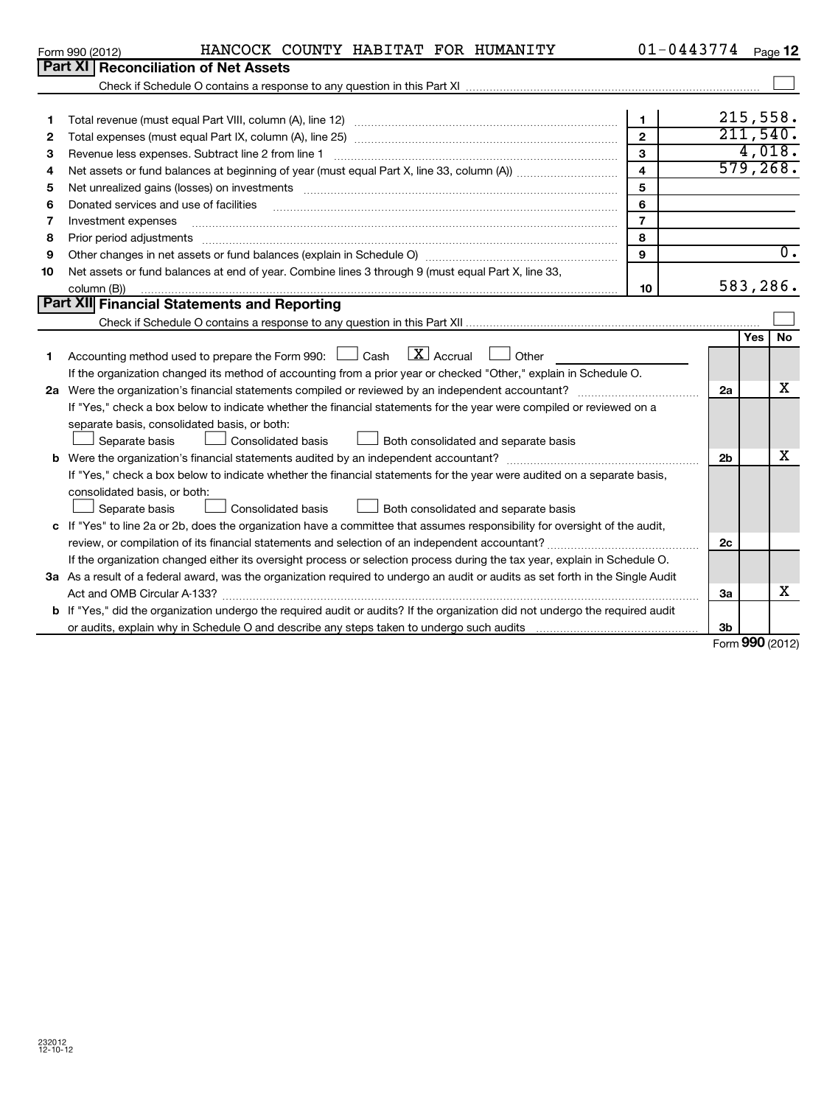|    | Part XI   Reconciliation of Net Assets                                                                                                                                                                                         |                         |                |     |                      |  |  |
|----|--------------------------------------------------------------------------------------------------------------------------------------------------------------------------------------------------------------------------------|-------------------------|----------------|-----|----------------------|--|--|
|    |                                                                                                                                                                                                                                |                         |                |     |                      |  |  |
|    |                                                                                                                                                                                                                                |                         |                |     |                      |  |  |
| 1  |                                                                                                                                                                                                                                | $\mathbf{1}$            |                |     | 215,558.<br>211,540. |  |  |
| 2  | $\overline{2}$                                                                                                                                                                                                                 |                         |                |     |                      |  |  |
| 3  | $\mathbf{3}$                                                                                                                                                                                                                   |                         |                |     |                      |  |  |
| 4  |                                                                                                                                                                                                                                | $\overline{\mathbf{4}}$ |                |     | 579,268.             |  |  |
| 5  | Net unrealized gains (losses) on investments [11] matter than the control of the state of the state of the state of the state of the state of the state of the state of the state of the state of the state of the state of th | 5                       |                |     |                      |  |  |
| 6  | Donated services and use of facilities                                                                                                                                                                                         | 6                       |                |     |                      |  |  |
| 7  | Investment expenses                                                                                                                                                                                                            | $\overline{7}$          |                |     |                      |  |  |
| 8  | Prior period adjustments www.communication.communication.communication.com                                                                                                                                                     | 8                       |                |     |                      |  |  |
| 9  |                                                                                                                                                                                                                                | $\mathbf{Q}$            |                |     | 0.                   |  |  |
| 10 | Net assets or fund balances at end of year. Combine lines 3 through 9 (must equal Part X, line 33,                                                                                                                             |                         |                |     |                      |  |  |
|    | column (B))                                                                                                                                                                                                                    | 10                      |                |     | 583,286.             |  |  |
|    | Part XII Financial Statements and Reporting                                                                                                                                                                                    |                         |                |     |                      |  |  |
|    |                                                                                                                                                                                                                                |                         |                |     |                      |  |  |
|    |                                                                                                                                                                                                                                |                         |                | Yes | <b>No</b>            |  |  |
|    | Accounting method used to prepare the Form 990: $\Box$ Cash $\Box X$ Accrual $\Box$ Other                                                                                                                                      |                         |                |     |                      |  |  |
|    | If the organization changed its method of accounting from a prior year or checked "Other," explain in Schedule O.                                                                                                              |                         |                |     |                      |  |  |
| 2a |                                                                                                                                                                                                                                |                         | 2a             |     | х                    |  |  |
|    | If "Yes," check a box below to indicate whether the financial statements for the year were compiled or reviewed on a                                                                                                           |                         |                |     |                      |  |  |
|    | separate basis, consolidated basis, or both:                                                                                                                                                                                   |                         |                |     |                      |  |  |
|    | Consolidated basis<br>Separate basis<br>Both consolidated and separate basis                                                                                                                                                   |                         |                |     |                      |  |  |
| b  |                                                                                                                                                                                                                                |                         | 2 <sub>b</sub> |     | x                    |  |  |
|    | If "Yes," check a box below to indicate whether the financial statements for the year were audited on a separate basis,                                                                                                        |                         |                |     |                      |  |  |
|    | consolidated basis, or both:                                                                                                                                                                                                   |                         |                |     |                      |  |  |
|    | Both consolidated and separate basis<br>Separate basis<br><b>Consolidated basis</b>                                                                                                                                            |                         |                |     |                      |  |  |
|    | c If "Yes" to line 2a or 2b, does the organization have a committee that assumes responsibility for oversight of the audit,                                                                                                    |                         |                |     |                      |  |  |
|    | review, or compilation of its financial statements and selection of an independent accountant?                                                                                                                                 |                         | 2c             |     |                      |  |  |

| review, or compilation of its financial statements and selection of an independent accountant?                                       | 2c |   |
|--------------------------------------------------------------------------------------------------------------------------------------|----|---|
| If the organization changed either its oversight process or selection process during the tax year, explain in Schedule O.            |    |   |
| 3a As a result of a federal award, was the organization required to undergo an audit or audits as set forth in the Single Audit      |    |   |
| Act and OMB Circular A-133?                                                                                                          | За | X |
| <b>b</b> If "Yes," did the organization undergo the required audit or audits? If the organization did not undergo the required audit |    |   |
|                                                                                                                                      | 3b |   |

Form (2012) **990**

#### Form 990 (2012) HANCOCK COUNTY HABITAT FOR HUMANITY 01-0443774  $\,$   $_{\rm Page}$

01-0443774 Page 12

| 12) | HANCC |  |
|-----|-------|--|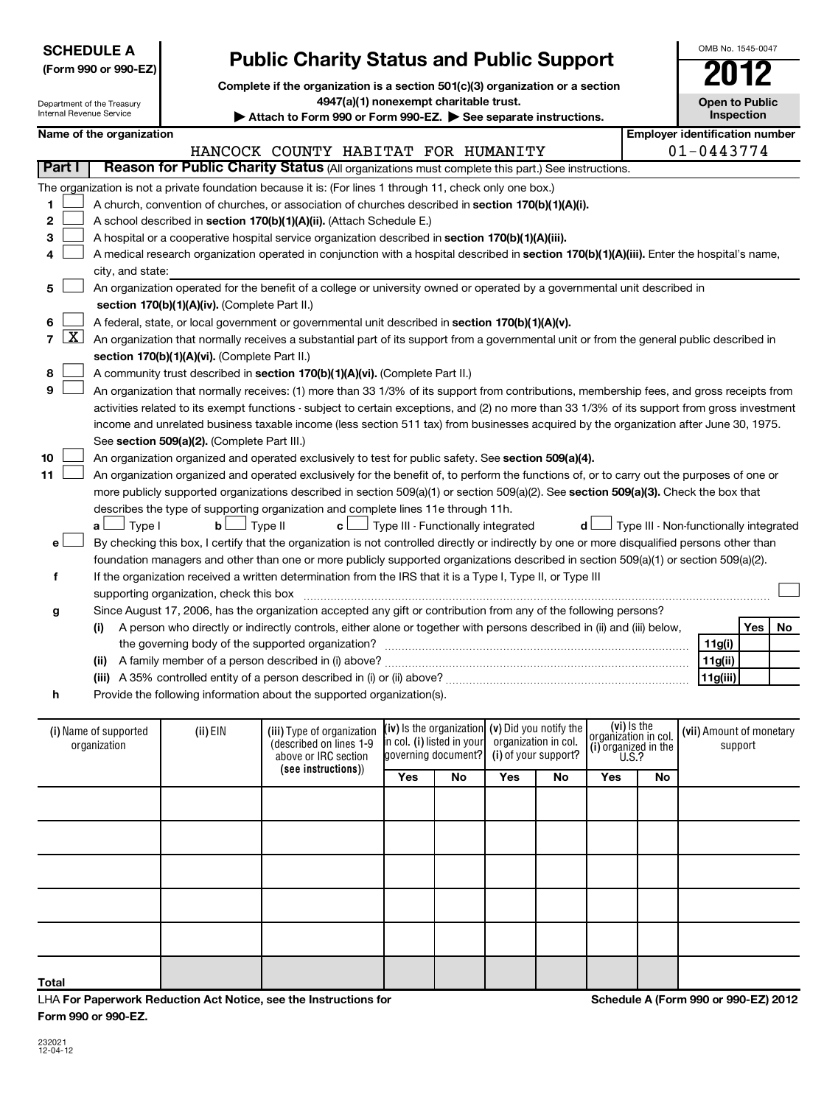|                          | <b>SCHEDULE A</b><br>(Form 990 or 990-EZ) |                                               | <b>Public Charity Status and Public Support</b>                                                                                                                                          |                                                   |                                                     |     |                                              |                                     |    | OMB No. 1545-0047                      |            |    |
|--------------------------|-------------------------------------------|-----------------------------------------------|------------------------------------------------------------------------------------------------------------------------------------------------------------------------------------------|---------------------------------------------------|-----------------------------------------------------|-----|----------------------------------------------|-------------------------------------|----|----------------------------------------|------------|----|
| Internal Revenue Service | Department of the Treasury                |                                               | Complete if the organization is a section 501(c)(3) organization or a section<br>4947(a)(1) nonexempt charitable trust.<br>Attach to Form 990 or Form 990-EZ. See separate instructions. |                                                   |                                                     |     |                                              |                                     |    | <b>Open to Public</b>                  | Inspection |    |
|                          | Name of the organization                  |                                               |                                                                                                                                                                                          |                                                   |                                                     |     |                                              |                                     |    | <b>Employer identification number</b>  |            |    |
|                          |                                           |                                               | HANCOCK COUNTY HABITAT FOR HUMANITY                                                                                                                                                      |                                                   |                                                     |     |                                              |                                     |    | $01 - 0443774$                         |            |    |
| Part I                   |                                           |                                               | Reason for Public Charity Status (All organizations must complete this part.) See instructions.                                                                                          |                                                   |                                                     |     |                                              |                                     |    |                                        |            |    |
|                          |                                           |                                               | The organization is not a private foundation because it is: (For lines 1 through 11, check only one box.)                                                                                |                                                   |                                                     |     |                                              |                                     |    |                                        |            |    |
| 1                        |                                           |                                               | A church, convention of churches, or association of churches described in section 170(b)(1)(A)(i).                                                                                       |                                                   |                                                     |     |                                              |                                     |    |                                        |            |    |
| 2                        |                                           |                                               | A school described in section 170(b)(1)(A)(ii). (Attach Schedule E.)                                                                                                                     |                                                   |                                                     |     |                                              |                                     |    |                                        |            |    |
| 3                        |                                           |                                               | A hospital or a cooperative hospital service organization described in section 170(b)(1)(A)(iii).                                                                                        |                                                   |                                                     |     |                                              |                                     |    |                                        |            |    |
|                          |                                           |                                               | A medical research organization operated in conjunction with a hospital described in section 170(b)(1)(A)(iii). Enter the hospital's name,                                               |                                                   |                                                     |     |                                              |                                     |    |                                        |            |    |
|                          | city, and state:                          |                                               |                                                                                                                                                                                          |                                                   |                                                     |     |                                              |                                     |    |                                        |            |    |
| 5                        |                                           |                                               | An organization operated for the benefit of a college or university owned or operated by a governmental unit described in                                                                |                                                   |                                                     |     |                                              |                                     |    |                                        |            |    |
|                          |                                           | section 170(b)(1)(A)(iv). (Complete Part II.) |                                                                                                                                                                                          |                                                   |                                                     |     |                                              |                                     |    |                                        |            |    |
| 6                        |                                           |                                               | A federal, state, or local government or governmental unit described in section 170(b)(1)(A)(v).                                                                                         |                                                   |                                                     |     |                                              |                                     |    |                                        |            |    |
| $\mathbf{X}$<br>7        |                                           |                                               | An organization that normally receives a substantial part of its support from a governmental unit or from the general public described in                                                |                                                   |                                                     |     |                                              |                                     |    |                                        |            |    |
|                          |                                           | section 170(b)(1)(A)(vi). (Complete Part II.) |                                                                                                                                                                                          |                                                   |                                                     |     |                                              |                                     |    |                                        |            |    |
| 8                        |                                           |                                               | A community trust described in section 170(b)(1)(A)(vi). (Complete Part II.)                                                                                                             |                                                   |                                                     |     |                                              |                                     |    |                                        |            |    |
| 9                        |                                           |                                               | An organization that normally receives: (1) more than 33 1/3% of its support from contributions, membership fees, and gross receipts from                                                |                                                   |                                                     |     |                                              |                                     |    |                                        |            |    |
|                          |                                           |                                               | activities related to its exempt functions - subject to certain exceptions, and (2) no more than 33 1/3% of its support from gross investment                                            |                                                   |                                                     |     |                                              |                                     |    |                                        |            |    |
|                          |                                           |                                               | income and unrelated business taxable income (less section 511 tax) from businesses acquired by the organization after June 30, 1975.                                                    |                                                   |                                                     |     |                                              |                                     |    |                                        |            |    |
|                          |                                           | See section 509(a)(2). (Complete Part III.)   |                                                                                                                                                                                          |                                                   |                                                     |     |                                              |                                     |    |                                        |            |    |
| 10                       |                                           |                                               | An organization organized and operated exclusively to test for public safety. See section 509(a)(4).                                                                                     |                                                   |                                                     |     |                                              |                                     |    |                                        |            |    |
| 11                       |                                           |                                               | An organization organized and operated exclusively for the benefit of, to perform the functions of, or to carry out the purposes of one or                                               |                                                   |                                                     |     |                                              |                                     |    |                                        |            |    |
|                          |                                           |                                               | more publicly supported organizations described in section 509(a)(1) or section 509(a)(2). See section 509(a)(3). Check the box that                                                     |                                                   |                                                     |     |                                              |                                     |    |                                        |            |    |
|                          |                                           |                                               | describes the type of supporting organization and complete lines 11e through 11h.                                                                                                        |                                                   |                                                     |     |                                              |                                     |    |                                        |            |    |
|                          | $\Box$ Type I<br>a L                      | b                                             | Type II<br>c l                                                                                                                                                                           |                                                   | Type III - Functionally integrated                  |     | d                                            |                                     |    | Type III - Non-functionally integrated |            |    |
| e                        |                                           |                                               | By checking this box, I certify that the organization is not controlled directly or indirectly by one or more disqualified persons other than                                            |                                                   |                                                     |     |                                              |                                     |    |                                        |            |    |
|                          |                                           |                                               | foundation managers and other than one or more publicly supported organizations described in section 509(a)(1) or section 509(a)(2).                                                     |                                                   |                                                     |     |                                              |                                     |    |                                        |            |    |
| f                        |                                           |                                               | If the organization received a written determination from the IRS that it is a Type I, Type II, or Type III                                                                              |                                                   |                                                     |     |                                              |                                     |    |                                        |            |    |
|                          |                                           | supporting organization, check this box       |                                                                                                                                                                                          |                                                   |                                                     |     |                                              |                                     |    |                                        |            |    |
| g                        |                                           |                                               | Since August 17, 2006, has the organization accepted any gift or contribution from any of the following persons?                                                                         |                                                   |                                                     |     |                                              |                                     |    |                                        |            |    |
|                          | (i)                                       |                                               | A person who directly or indirectly controls, either alone or together with persons described in (ii) and (iii) below,                                                                   |                                                   |                                                     |     |                                              |                                     |    |                                        | Yes        | No |
|                          |                                           |                                               | the governing body of the supported organization?                                                                                                                                        |                                                   |                                                     |     |                                              |                                     |    | 11g(i)                                 |            |    |
|                          |                                           |                                               | (ii) A family member of a person described in (i) above?                                                                                                                                 |                                                   |                                                     |     |                                              |                                     |    | 11g(ii)                                |            |    |
|                          |                                           |                                               |                                                                                                                                                                                          |                                                   |                                                     |     |                                              |                                     |    | 11g(iii)                               |            |    |
| h                        |                                           |                                               | Provide the following information about the supported organization(s).                                                                                                                   |                                                   |                                                     |     |                                              |                                     |    |                                        |            |    |
|                          |                                           |                                               |                                                                                                                                                                                          |                                                   |                                                     |     |                                              |                                     |    |                                        |            |    |
|                          | (i) Name of supported                     | (ii) EIN                                      | (iii) Type of organization                                                                                                                                                               |                                                   | $(iv)$ is the organization $(v)$ Did you notify the |     |                                              | (vi) is the<br>organizátion in col. |    | (vii) Amount of monetary               |            |    |
|                          | organization                              |                                               | (described on lines 1-9<br>above or IRC section                                                                                                                                          | in col. (i) listed in your<br>governing document? |                                                     |     | organization in col.<br>(i) of your support? | (i) organized in the $U.S.$ ?       |    | support                                |            |    |
|                          |                                           |                                               | (see instructions))                                                                                                                                                                      |                                                   |                                                     |     |                                              |                                     |    |                                        |            |    |
|                          |                                           |                                               |                                                                                                                                                                                          | Yes                                               | No                                                  | Yes | No                                           | Yes                                 | No |                                        |            |    |
|                          |                                           |                                               |                                                                                                                                                                                          |                                                   |                                                     |     |                                              |                                     |    |                                        |            |    |
|                          |                                           |                                               |                                                                                                                                                                                          |                                                   |                                                     |     |                                              |                                     |    |                                        |            |    |
|                          |                                           |                                               |                                                                                                                                                                                          |                                                   |                                                     |     |                                              |                                     |    |                                        |            |    |
|                          |                                           |                                               |                                                                                                                                                                                          |                                                   |                                                     |     |                                              |                                     |    |                                        |            |    |
|                          |                                           |                                               |                                                                                                                                                                                          |                                                   |                                                     |     |                                              |                                     |    |                                        |            |    |
|                          |                                           |                                               |                                                                                                                                                                                          |                                                   |                                                     |     |                                              |                                     |    |                                        |            |    |

**Schedule A (Form 990 or 990-EZ) 2012**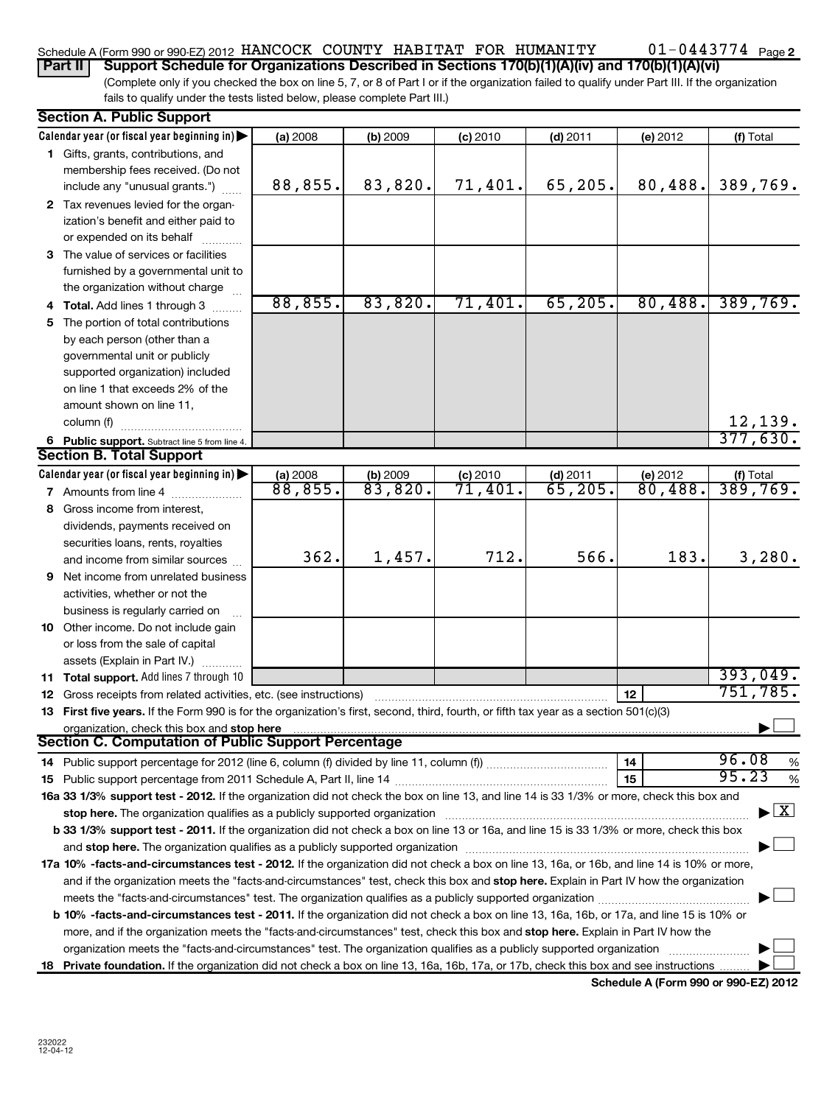#### 01-0443774 Page 2 Schedule A (Form 990 or 990-EZ) 2012  $\,$  HANCOCK  $\,$  COUNTY  $\,$  HABITAT  $\,$  FOR  $\,$  HUMANITY  $\,$   $\,$  01-0443774  $\,$   $_{\rm Page}$

(Complete only if you checked the box on line 5, 7, or 8 of Part I or if the organization failed to qualify under Part III. If the organization fails to qualify under the tests listed below, please complete Part III.) **Part II Support Schedule for Organizations Described in Sections 170(b)(1)(A)(iv) and 170(b)(1)(A)(vi)**

|    | <b>Section A. Public Support</b>                                                                                                                                                                                               |                      |                                      |                       |                            |                    |                                             |
|----|--------------------------------------------------------------------------------------------------------------------------------------------------------------------------------------------------------------------------------|----------------------|--------------------------------------|-----------------------|----------------------------|--------------------|---------------------------------------------|
|    | Calendar year (or fiscal year beginning in)                                                                                                                                                                                    | (a) 2008             | (b) 2009                             | $(c)$ 2010            | $(d)$ 2011                 | (e) 2012           | (f) Total                                   |
|    | 1 Gifts, grants, contributions, and                                                                                                                                                                                            |                      |                                      |                       |                            |                    |                                             |
|    | membership fees received. (Do not                                                                                                                                                                                              |                      |                                      |                       |                            |                    |                                             |
|    | include any "unusual grants.")                                                                                                                                                                                                 | 88,855.              | 83,820.                              | 71,401.               | 65,205.                    | 80,488.            | 389,769.                                    |
|    | 2 Tax revenues levied for the organ-                                                                                                                                                                                           |                      |                                      |                       |                            |                    |                                             |
|    | ization's benefit and either paid to                                                                                                                                                                                           |                      |                                      |                       |                            |                    |                                             |
|    | or expended on its behalf                                                                                                                                                                                                      |                      |                                      |                       |                            |                    |                                             |
|    | 3 The value of services or facilities                                                                                                                                                                                          |                      |                                      |                       |                            |                    |                                             |
|    | furnished by a governmental unit to                                                                                                                                                                                            |                      |                                      |                       |                            |                    |                                             |
|    | the organization without charge                                                                                                                                                                                                |                      |                                      |                       |                            |                    |                                             |
|    | 4 Total. Add lines 1 through 3                                                                                                                                                                                                 | 88,855.              | 83,820.                              | 71,401.               | 65, 205.                   | 80,488.            | 389,769.                                    |
| 5  | The portion of total contributions                                                                                                                                                                                             |                      |                                      |                       |                            |                    |                                             |
|    | by each person (other than a                                                                                                                                                                                                   |                      |                                      |                       |                            |                    |                                             |
|    | governmental unit or publicly                                                                                                                                                                                                  |                      |                                      |                       |                            |                    |                                             |
|    | supported organization) included                                                                                                                                                                                               |                      |                                      |                       |                            |                    |                                             |
|    | on line 1 that exceeds 2% of the                                                                                                                                                                                               |                      |                                      |                       |                            |                    |                                             |
|    | amount shown on line 11,                                                                                                                                                                                                       |                      |                                      |                       |                            |                    |                                             |
|    | column (f)                                                                                                                                                                                                                     |                      |                                      |                       |                            |                    |                                             |
|    | 6 Public support. Subtract line 5 from line 4.                                                                                                                                                                                 |                      |                                      |                       |                            |                    | $\frac{12,139}{377,630}$ .                  |
|    | <b>Section B. Total Support</b>                                                                                                                                                                                                |                      |                                      |                       |                            |                    |                                             |
|    | Calendar year (or fiscal year beginning in)                                                                                                                                                                                    |                      |                                      |                       |                            |                    |                                             |
|    | 7 Amounts from line 4                                                                                                                                                                                                          | (a) 2008<br>88, 855. | $\frac{1}{83}, \frac{2009}{83, 820}$ | $\frac{c}{71}$ , 401. | $\frac{(d) 2011}{65, 205}$ | $\frac{6}{80,488}$ | (f) Total<br>389, 769.                      |
| 8  | Gross income from interest,                                                                                                                                                                                                    |                      |                                      |                       |                            |                    |                                             |
|    | dividends, payments received on                                                                                                                                                                                                |                      |                                      |                       |                            |                    |                                             |
|    | securities loans, rents, royalties                                                                                                                                                                                             |                      |                                      |                       |                            |                    |                                             |
|    | and income from similar sources                                                                                                                                                                                                | 362.                 | 1,457.                               | 712.                  | 566.                       | 183.               | 3,280.                                      |
| 9  | Net income from unrelated business                                                                                                                                                                                             |                      |                                      |                       |                            |                    |                                             |
|    | activities, whether or not the                                                                                                                                                                                                 |                      |                                      |                       |                            |                    |                                             |
|    | business is regularly carried on                                                                                                                                                                                               |                      |                                      |                       |                            |                    |                                             |
|    | <b>10</b> Other income. Do not include gain                                                                                                                                                                                    |                      |                                      |                       |                            |                    |                                             |
|    | or loss from the sale of capital                                                                                                                                                                                               |                      |                                      |                       |                            |                    |                                             |
|    | assets (Explain in Part IV.)                                                                                                                                                                                                   |                      |                                      |                       |                            |                    |                                             |
|    | 11 Total support. Add lines 7 through 10                                                                                                                                                                                       |                      |                                      |                       |                            |                    | 393,049.                                    |
|    | <b>12</b> Gross receipts from related activities, etc. (see instructions)                                                                                                                                                      |                      |                                      |                       |                            | 12                 | 751, 785.                                   |
|    | 13 First five years. If the Form 990 is for the organization's first, second, third, fourth, or fifth tax year as a section 501(c)(3)                                                                                          |                      |                                      |                       |                            |                    |                                             |
|    | organization, check this box and stop here                                                                                                                                                                                     |                      |                                      |                       |                            |                    |                                             |
|    | <b>Section C. Computation of Public Support Percentage</b>                                                                                                                                                                     |                      |                                      |                       |                            |                    |                                             |
|    |                                                                                                                                                                                                                                |                      |                                      |                       |                            | 14                 | 96.08<br>%                                  |
|    |                                                                                                                                                                                                                                |                      |                                      |                       |                            | 15                 | 95.23<br>%                                  |
|    | 16a 33 1/3% support test - 2012. If the organization did not check the box on line 13, and line 14 is 33 1/3% or more, check this box and                                                                                      |                      |                                      |                       |                            |                    |                                             |
|    | stop here. The organization qualifies as a publicly supported organization                                                                                                                                                     |                      |                                      |                       |                            |                    | $\blacktriangleright$ $\lfloor$ X $\rfloor$ |
|    | b 33 1/3% support test - 2011. If the organization did not check a box on line 13 or 16a, and line 15 is 33 1/3% or more, check this box                                                                                       |                      |                                      |                       |                            |                    |                                             |
|    | and stop here. The organization qualifies as a publicly supported organization [11] manuscription manuscription manuscription manuscription manuscription manuscription and a state of the organization manuscription and stat |                      |                                      |                       |                            |                    |                                             |
|    | 17a 10% -facts-and-circumstances test - 2012. If the organization did not check a box on line 13, 16a, or 16b, and line 14 is 10% or more,                                                                                     |                      |                                      |                       |                            |                    |                                             |
|    | and if the organization meets the "facts-and-circumstances" test, check this box and stop here. Explain in Part IV how the organization                                                                                        |                      |                                      |                       |                            |                    |                                             |
|    | meets the "facts-and-circumstances" test. The organization qualifies as a publicly supported organization <i>manumumum</i>                                                                                                     |                      |                                      |                       |                            |                    |                                             |
|    | b 10% -facts-and-circumstances test - 2011. If the organization did not check a box on line 13, 16a, 16b, or 17a, and line 15 is 10% or                                                                                        |                      |                                      |                       |                            |                    |                                             |
|    | more, and if the organization meets the "facts-and-circumstances" test, check this box and stop here. Explain in Part IV how the                                                                                               |                      |                                      |                       |                            |                    |                                             |
|    | organization meets the "facts-and-circumstances" test. The organization qualifies as a publicly supported organization                                                                                                         |                      |                                      |                       |                            |                    |                                             |
| 18 | Private foundation. If the organization did not check a box on line 13, 16a, 16b, 17a, or 17b, check this box and see instructions                                                                                             |                      |                                      |                       |                            |                    |                                             |
|    |                                                                                                                                                                                                                                |                      |                                      |                       |                            |                    |                                             |

**Schedule A (Form 990 or 990-EZ) 2012**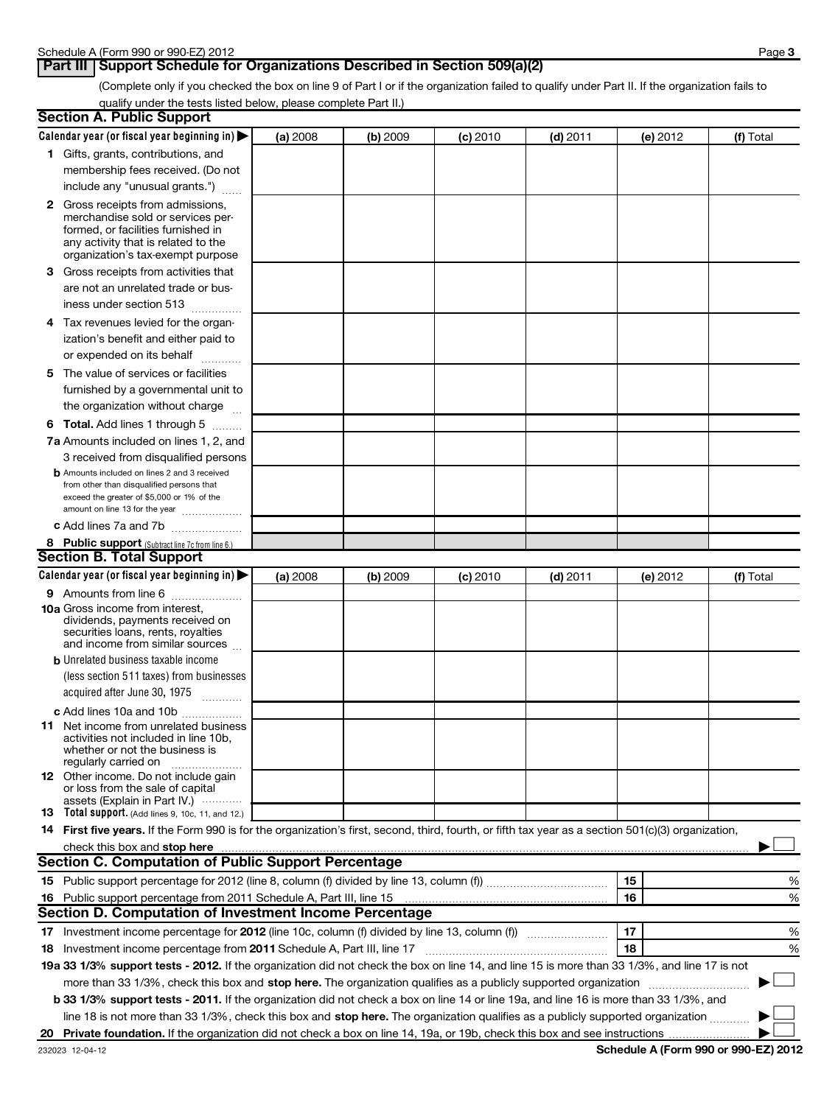#### **Part III** | Support Schedule for Organizations Described in Section 509(a)(2)

(Complete only if you checked the box on line 9 of Part I or if the organization failed to qualify under Part II. If the organization fails to qualify under the tests listed below, please complete Part II.)

| <b>Section A. Public Support</b>                                                                                                                                                                                               |          |          |            |            |          |           |
|--------------------------------------------------------------------------------------------------------------------------------------------------------------------------------------------------------------------------------|----------|----------|------------|------------|----------|-----------|
| Calendar year (or fiscal year beginning in)                                                                                                                                                                                    | (a) 2008 | (b) 2009 | (c) 2010   | $(d)$ 2011 | (e) 2012 | (f) Total |
| 1 Gifts, grants, contributions, and                                                                                                                                                                                            |          |          |            |            |          |           |
| membership fees received. (Do not                                                                                                                                                                                              |          |          |            |            |          |           |
| include any "unusual grants.")                                                                                                                                                                                                 |          |          |            |            |          |           |
| <b>2</b> Gross receipts from admissions,                                                                                                                                                                                       |          |          |            |            |          |           |
| merchandise sold or services per-                                                                                                                                                                                              |          |          |            |            |          |           |
| formed, or facilities furnished in                                                                                                                                                                                             |          |          |            |            |          |           |
| any activity that is related to the<br>organization's tax-exempt purpose                                                                                                                                                       |          |          |            |            |          |           |
| 3 Gross receipts from activities that                                                                                                                                                                                          |          |          |            |            |          |           |
| are not an unrelated trade or bus-                                                                                                                                                                                             |          |          |            |            |          |           |
|                                                                                                                                                                                                                                |          |          |            |            |          |           |
| iness under section 513                                                                                                                                                                                                        |          |          |            |            |          |           |
| 4 Tax revenues levied for the organ-                                                                                                                                                                                           |          |          |            |            |          |           |
| ization's benefit and either paid to                                                                                                                                                                                           |          |          |            |            |          |           |
| or expended on its behalf<br>$\overline{\phantom{a}}$                                                                                                                                                                          |          |          |            |            |          |           |
| 5 The value of services or facilities                                                                                                                                                                                          |          |          |            |            |          |           |
| furnished by a governmental unit to                                                                                                                                                                                            |          |          |            |            |          |           |
| the organization without charge                                                                                                                                                                                                |          |          |            |            |          |           |
| <b>6 Total.</b> Add lines 1 through 5                                                                                                                                                                                          |          |          |            |            |          |           |
| 7a Amounts included on lines 1, 2, and                                                                                                                                                                                         |          |          |            |            |          |           |
| 3 received from disqualified persons                                                                                                                                                                                           |          |          |            |            |          |           |
| <b>b</b> Amounts included on lines 2 and 3 received                                                                                                                                                                            |          |          |            |            |          |           |
| from other than disqualified persons that<br>exceed the greater of \$5,000 or 1% of the                                                                                                                                        |          |          |            |            |          |           |
| amount on line 13 for the year                                                                                                                                                                                                 |          |          |            |            |          |           |
| c Add lines 7a and 7b                                                                                                                                                                                                          |          |          |            |            |          |           |
| 8 Public support (Subtract line 7c from line 6.)                                                                                                                                                                               |          |          |            |            |          |           |
| <b>Section B. Total Support</b>                                                                                                                                                                                                |          |          |            |            |          |           |
| Calendar year (or fiscal year beginning in)                                                                                                                                                                                    | (a) 2008 | (b) 2009 | $(c)$ 2010 | $(d)$ 2011 | (e) 2012 | (f) Total |
| 9 Amounts from line 6                                                                                                                                                                                                          |          |          |            |            |          |           |
| <b>10a</b> Gross income from interest,                                                                                                                                                                                         |          |          |            |            |          |           |
| dividends, payments received on                                                                                                                                                                                                |          |          |            |            |          |           |
| securities loans, rents, royalties<br>and income from similar sources                                                                                                                                                          |          |          |            |            |          |           |
| <b>b</b> Unrelated business taxable income                                                                                                                                                                                     |          |          |            |            |          |           |
| (less section 511 taxes) from businesses                                                                                                                                                                                       |          |          |            |            |          |           |
| acquired after June 30, 1975                                                                                                                                                                                                   |          |          |            |            |          |           |
| c Add lines 10a and 10b                                                                                                                                                                                                        |          |          |            |            |          |           |
| <b>11</b> Net income from unrelated business                                                                                                                                                                                   |          |          |            |            |          |           |
| activities not included in line 10b,                                                                                                                                                                                           |          |          |            |            |          |           |
| whether or not the business is                                                                                                                                                                                                 |          |          |            |            |          |           |
| regularly carried on<br>12 Other income. Do not include gain                                                                                                                                                                   |          |          |            |            |          |           |
| or loss from the sale of capital                                                                                                                                                                                               |          |          |            |            |          |           |
| assets (Explain in Part IV.)                                                                                                                                                                                                   |          |          |            |            |          |           |
| 13 Total support. (Add lines 9, 10c, 11, and 12.)                                                                                                                                                                              |          |          |            |            |          |           |
| 14 First five years. If the Form 990 is for the organization's first, second, third, fourth, or fifth tax year as a section 501(c)(3) organization,                                                                            |          |          |            |            |          |           |
| check this box and stop here manufactured and stop of the state of the state of the state of the state of the state of the state of the state of the state of the state of the state of the state of the state of the state of |          |          |            |            |          |           |
| Section C. Computation of Public Support Percentage                                                                                                                                                                            |          |          |            |            |          |           |
|                                                                                                                                                                                                                                |          |          |            |            | 15       | %         |
|                                                                                                                                                                                                                                |          |          |            |            | 16       | %         |
| Section D. Computation of Investment Income Percentage                                                                                                                                                                         |          |          |            |            |          |           |
| 17 Investment income percentage for 2012 (line 10c, column (f) divided by line 13, column (f))                                                                                                                                 |          |          |            |            | 17       | %         |
| 18 Investment income percentage from 2011 Schedule A, Part III, line 17                                                                                                                                                        |          |          |            |            | 18       | %         |
| 19a 33 1/3% support tests - 2012. If the organization did not check the box on line 14, and line 15 is more than 33 1/3%, and line 17 is not                                                                                   |          |          |            |            |          |           |
| more than 33 1/3%, check this box and stop here. The organization qualifies as a publicly supported organization                                                                                                               |          |          |            |            |          |           |
| b 33 1/3% support tests - 2011. If the organization did not check a box on line 14 or line 19a, and line 16 is more than 33 1/3%, and                                                                                          |          |          |            |            |          |           |
| line 18 is not more than 33 1/3%, check this box and stop here. The organization qualifies as a publicly supported organization                                                                                                |          |          |            |            |          |           |
|                                                                                                                                                                                                                                |          |          |            |            |          |           |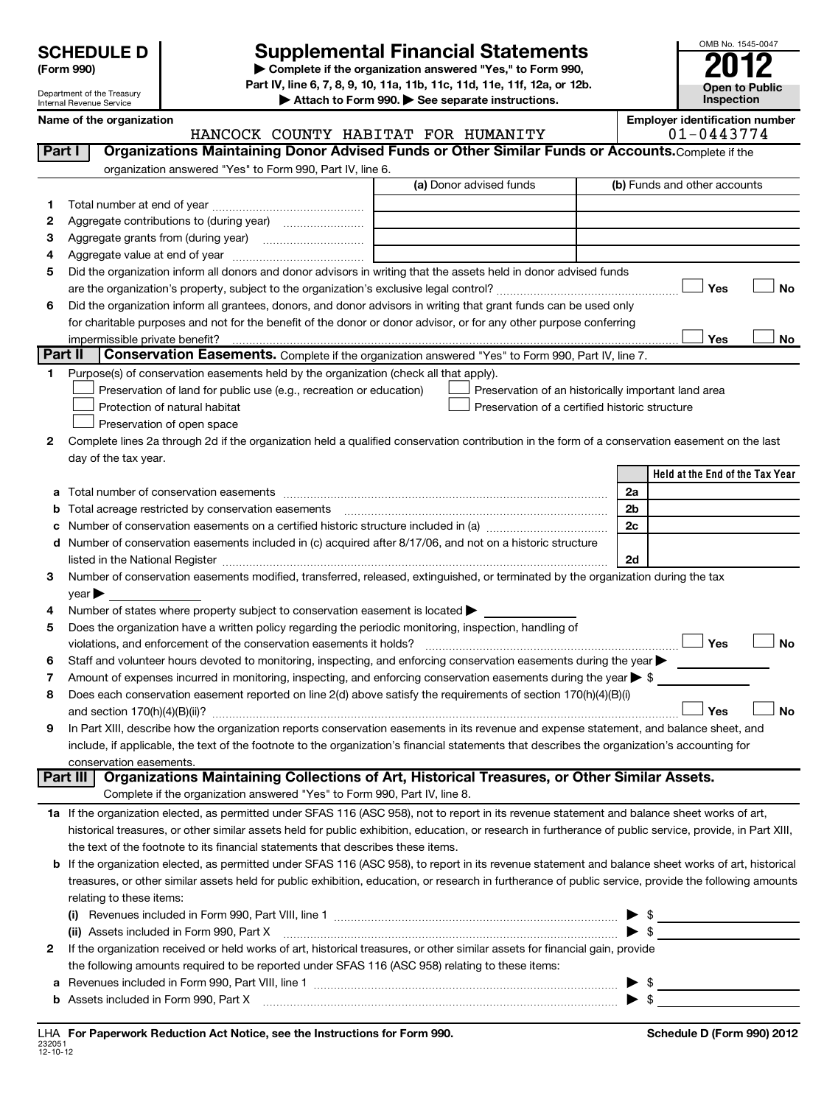| <b>SCHEDULE D</b> |  |
|-------------------|--|
|                   |  |

# **Supplemental Financial Statements**<br> **2012** Complete if the organization answered "Yes," to Form 990,

**(Form 990) | Complete if the organization answered "Yes," to Form 990, Part IV, line 6, 7, 8, 9, 10, 11a, 11b, 11c, 11d, 11e, 11f, 12a, or 12b.**

|        | Department of the Treasury<br>Internal Revenue Service | Part IV, line 6, 7, 8, 9, 10, 11a, 11b, 11c, 11d, 11e, 11f, 12a, or 12b.                                                                                                                                                                | Attach to Form 990. See separate instructions.      |    | Inspection                                          | <b>Open to Public</b> |
|--------|--------------------------------------------------------|-----------------------------------------------------------------------------------------------------------------------------------------------------------------------------------------------------------------------------------------|-----------------------------------------------------|----|-----------------------------------------------------|-----------------------|
|        | Name of the organization                               | HANCOCK COUNTY HABITAT FOR HUMANITY                                                                                                                                                                                                     |                                                     |    | <b>Employer identification number</b><br>01-0443774 |                       |
| Part I |                                                        | Organizations Maintaining Donor Advised Funds or Other Similar Funds or Accounts. Complete if the                                                                                                                                       |                                                     |    |                                                     |                       |
|        |                                                        | organization answered "Yes" to Form 990, Part IV, line 6.                                                                                                                                                                               |                                                     |    |                                                     |                       |
|        |                                                        |                                                                                                                                                                                                                                         | (a) Donor advised funds                             |    | (b) Funds and other accounts                        |                       |
| 1.     |                                                        |                                                                                                                                                                                                                                         |                                                     |    |                                                     |                       |
| 2      |                                                        |                                                                                                                                                                                                                                         |                                                     |    |                                                     |                       |
| з      |                                                        |                                                                                                                                                                                                                                         |                                                     |    |                                                     |                       |
| 4      |                                                        |                                                                                                                                                                                                                                         |                                                     |    |                                                     |                       |
| 5      |                                                        | Did the organization inform all donors and donor advisors in writing that the assets held in donor advised funds                                                                                                                        |                                                     |    |                                                     |                       |
|        |                                                        |                                                                                                                                                                                                                                         |                                                     |    | Yes                                                 | <b>No</b>             |
| 6      |                                                        | Did the organization inform all grantees, donors, and donor advisors in writing that grant funds can be used only<br>for charitable purposes and not for the benefit of the donor or donor advisor, or for any other purpose conferring |                                                     |    |                                                     |                       |
|        | impermissible private benefit?                         |                                                                                                                                                                                                                                         |                                                     |    | Yes                                                 | No                    |
|        | Part II                                                | Conservation Easements. Complete if the organization answered "Yes" to Form 990, Part IV, line 7.                                                                                                                                       |                                                     |    |                                                     |                       |
| 1.     |                                                        | Purpose(s) of conservation easements held by the organization (check all that apply).                                                                                                                                                   |                                                     |    |                                                     |                       |
|        |                                                        | Preservation of land for public use (e.g., recreation or education)                                                                                                                                                                     | Preservation of an historically important land area |    |                                                     |                       |
|        |                                                        | Protection of natural habitat                                                                                                                                                                                                           | Preservation of a certified historic structure      |    |                                                     |                       |
|        |                                                        | Preservation of open space                                                                                                                                                                                                              |                                                     |    |                                                     |                       |
| 2      |                                                        | Complete lines 2a through 2d if the organization held a qualified conservation contribution in the form of a conservation easement on the last                                                                                          |                                                     |    |                                                     |                       |
|        | day of the tax year.                                   |                                                                                                                                                                                                                                         |                                                     |    |                                                     |                       |
|        |                                                        |                                                                                                                                                                                                                                         |                                                     |    | Held at the End of the Tax Year                     |                       |
|        |                                                        |                                                                                                                                                                                                                                         |                                                     | 2a |                                                     |                       |
| b      |                                                        | Total acreage restricted by conservation easements                                                                                                                                                                                      |                                                     | 2b |                                                     |                       |
|        |                                                        |                                                                                                                                                                                                                                         |                                                     | 2c |                                                     |                       |
| d      |                                                        | Number of conservation easements included in (c) acquired after 8/17/06, and not on a historic structure                                                                                                                                |                                                     |    |                                                     |                       |
|        |                                                        |                                                                                                                                                                                                                                         |                                                     | 2d |                                                     |                       |
| 3      |                                                        | Number of conservation easements modified, transferred, released, extinguished, or terminated by the organization during the tax                                                                                                        |                                                     |    |                                                     |                       |
|        | year                                                   |                                                                                                                                                                                                                                         |                                                     |    |                                                     |                       |
| 4      |                                                        | Number of states where property subject to conservation easement is located >                                                                                                                                                           |                                                     |    |                                                     |                       |
| 5      |                                                        | Does the organization have a written policy regarding the periodic monitoring, inspection, handling of                                                                                                                                  |                                                     |    |                                                     |                       |
|        |                                                        | violations, and enforcement of the conservation easements it holds?                                                                                                                                                                     |                                                     |    | Yes                                                 | <b>No</b>             |
| 6      |                                                        | Staff and volunteer hours devoted to monitoring, inspecting, and enforcing conservation easements during the year $\blacktriangleright$                                                                                                 |                                                     |    |                                                     |                       |
| 7      |                                                        | Amount of expenses incurred in monitoring, inspecting, and enforcing conservation easements during the year $\triangleright$ \$                                                                                                         |                                                     |    |                                                     |                       |
| 8      |                                                        | Does each conservation easement reported on line 2(d) above satisfy the requirements of section 170(h)(4)(B)(i)                                                                                                                         |                                                     |    |                                                     |                       |
|        | and section 170(h)(4)(B)(ii)?                          |                                                                                                                                                                                                                                         |                                                     |    | Yes                                                 | No                    |
| 9      |                                                        | In Part XIII, describe how the organization reports conservation easements in its revenue and expense statement, and balance sheet, and                                                                                                 |                                                     |    |                                                     |                       |
|        |                                                        | include, if applicable, the text of the footnote to the organization's financial statements that describes the organization's accounting for                                                                                            |                                                     |    |                                                     |                       |
|        | conservation easements.<br>Part III                    | Organizations Maintaining Collections of Art, Historical Treasures, or Other Similar Assets.                                                                                                                                            |                                                     |    |                                                     |                       |
|        |                                                        | Complete if the organization answered "Yes" to Form 990, Part IV, line 8.                                                                                                                                                               |                                                     |    |                                                     |                       |
|        |                                                        | 1a If the organization elected, as permitted under SFAS 116 (ASC 958), not to report in its revenue statement and balance sheet works of art,                                                                                           |                                                     |    |                                                     |                       |
|        |                                                        | historical treasures, or other similar assets held for public exhibition, education, or research in furtherance of public service, provide, in Part XIII,                                                                               |                                                     |    |                                                     |                       |
|        |                                                        | the text of the footnote to its financial statements that describes these items.                                                                                                                                                        |                                                     |    |                                                     |                       |
| b      |                                                        | If the organization elected, as permitted under SFAS 116 (ASC 958), to report in its revenue statement and balance sheet works of art, historical                                                                                       |                                                     |    |                                                     |                       |
|        |                                                        | treasures, or other similar assets held for public exhibition, education, or research in furtherance of public service, provide the following amounts                                                                                   |                                                     |    |                                                     |                       |
|        | relating to these items:                               |                                                                                                                                                                                                                                         |                                                     |    |                                                     |                       |
|        |                                                        |                                                                                                                                                                                                                                         |                                                     | \$ |                                                     |                       |
|        |                                                        | (ii) Assets included in Form 990, Part X                                                                                                                                                                                                |                                                     | \$ |                                                     |                       |
| 2      |                                                        | If the organization received or held works of art, historical treasures, or other similar assets for financial gain, provide                                                                                                            |                                                     |    |                                                     |                       |
|        |                                                        | the following amounts required to be reported under SEAS 116 (ASC 958) relating to these items:                                                                                                                                         |                                                     |    |                                                     |                       |

| VIII.<br>, ggr<br>. line<br>, Part<br>∙orm<br>idec |  |
|----------------------------------------------------|--|
|                                                    |  |

OMB No. 1545-0047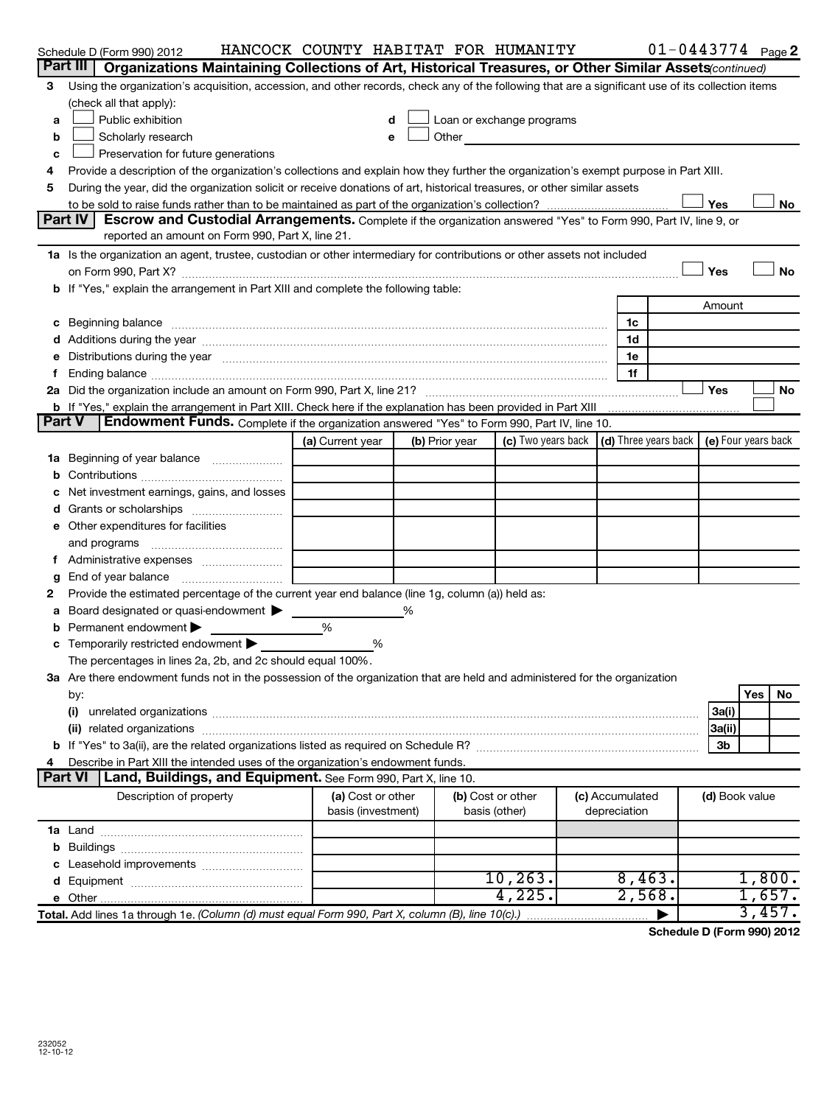|    | Schedule D (Form 990) 2012                                                                                                                                                                                                     | HANCOCK COUNTY HABITAT FOR HUMANITY     |                |                                                                                                                                                                                                                               |                                 |                | $01 - 0443774$ Page 2      |
|----|--------------------------------------------------------------------------------------------------------------------------------------------------------------------------------------------------------------------------------|-----------------------------------------|----------------|-------------------------------------------------------------------------------------------------------------------------------------------------------------------------------------------------------------------------------|---------------------------------|----------------|----------------------------|
|    | Part III<br>Organizations Maintaining Collections of Art, Historical Treasures, or Other Similar Assets (continued)                                                                                                            |                                         |                |                                                                                                                                                                                                                               |                                 |                |                            |
| з  | Using the organization's acquisition, accession, and other records, check any of the following that are a significant use of its collection items                                                                              |                                         |                |                                                                                                                                                                                                                               |                                 |                |                            |
|    | (check all that apply):                                                                                                                                                                                                        |                                         |                |                                                                                                                                                                                                                               |                                 |                |                            |
| a  | Public exhibition                                                                                                                                                                                                              | d                                       |                | Loan or exchange programs                                                                                                                                                                                                     |                                 |                |                            |
| b  | Scholarly research                                                                                                                                                                                                             | e                                       |                | Other and the contract of the contract of the contract of the contract of the contract of the contract of the contract of the contract of the contract of the contract of the contract of the contract of the contract of the |                                 |                |                            |
| c  | Preservation for future generations                                                                                                                                                                                            |                                         |                |                                                                                                                                                                                                                               |                                 |                |                            |
| 4  | Provide a description of the organization's collections and explain how they further the organization's exempt purpose in Part XIII.                                                                                           |                                         |                |                                                                                                                                                                                                                               |                                 |                |                            |
| 5  | During the year, did the organization solicit or receive donations of art, historical treasures, or other similar assets                                                                                                       |                                         |                |                                                                                                                                                                                                                               |                                 |                |                            |
|    |                                                                                                                                                                                                                                |                                         |                |                                                                                                                                                                                                                               |                                 | Yes            | No                         |
|    | Part IV<br>Escrow and Custodial Arrangements. Complete if the organization answered "Yes" to Form 990, Part IV, line 9, or                                                                                                     |                                         |                |                                                                                                                                                                                                                               |                                 |                |                            |
|    | reported an amount on Form 990, Part X, line 21.                                                                                                                                                                               |                                         |                |                                                                                                                                                                                                                               |                                 |                |                            |
|    | 1a Is the organization an agent, trustee, custodian or other intermediary for contributions or other assets not included                                                                                                       |                                         |                |                                                                                                                                                                                                                               |                                 |                |                            |
|    |                                                                                                                                                                                                                                |                                         |                |                                                                                                                                                                                                                               |                                 | Yes            | No                         |
|    | <b>b</b> If "Yes," explain the arrangement in Part XIII and complete the following table:                                                                                                                                      |                                         |                |                                                                                                                                                                                                                               |                                 |                |                            |
|    |                                                                                                                                                                                                                                |                                         |                |                                                                                                                                                                                                                               |                                 | Amount         |                            |
| c  | Beginning balance measurements are all the contract of the contract of the contract of the contract of the contract of the contract of the contract of the contract of the contract of the contract of the contract of the con |                                         |                |                                                                                                                                                                                                                               | 1c                              |                |                            |
|    | Additions during the year manufactured and an anti-manufactured and all the year manufactured and all the year                                                                                                                 |                                         |                |                                                                                                                                                                                                                               | 1d                              |                |                            |
|    | Distributions during the year manufactured and continuum and continuum and the year manufactured and continuum                                                                                                                 |                                         |                |                                                                                                                                                                                                                               | 1e                              |                |                            |
|    |                                                                                                                                                                                                                                |                                         |                |                                                                                                                                                                                                                               | 1f                              |                |                            |
| 2a |                                                                                                                                                                                                                                |                                         |                |                                                                                                                                                                                                                               |                                 | Yes            | No                         |
|    | b If "Yes," explain the arrangement in Part XIII. Check here if the explanation has been provided in Part XIII                                                                                                                 |                                         |                |                                                                                                                                                                                                                               |                                 |                |                            |
|    | Part V<br>Endowment Funds. Complete if the organization answered "Yes" to Form 990, Part IV, line 10.                                                                                                                          |                                         |                |                                                                                                                                                                                                                               |                                 |                |                            |
|    |                                                                                                                                                                                                                                | (a) Current year                        | (b) Prior year | (c) Two years back $\vert$ (d) Three years back $\vert$ (e) Four years back                                                                                                                                                   |                                 |                |                            |
| 1a | Beginning of year balance                                                                                                                                                                                                      |                                         |                |                                                                                                                                                                                                                               |                                 |                |                            |
|    |                                                                                                                                                                                                                                |                                         |                |                                                                                                                                                                                                                               |                                 |                |                            |
|    | Net investment earnings, gains, and losses                                                                                                                                                                                     |                                         |                |                                                                                                                                                                                                                               |                                 |                |                            |
|    | Grants or scholarships                                                                                                                                                                                                         |                                         |                |                                                                                                                                                                                                                               |                                 |                |                            |
|    | Other expenditures for facilities                                                                                                                                                                                              |                                         |                |                                                                                                                                                                                                                               |                                 |                |                            |
|    | and programs                                                                                                                                                                                                                   |                                         |                |                                                                                                                                                                                                                               |                                 |                |                            |
| Ť  |                                                                                                                                                                                                                                |                                         |                |                                                                                                                                                                                                                               |                                 |                |                            |
| g  | End of year balance                                                                                                                                                                                                            |                                         |                |                                                                                                                                                                                                                               |                                 |                |                            |
| 2  | Provide the estimated percentage of the current year end balance (line 1g, column (a)) held as:                                                                                                                                |                                         |                |                                                                                                                                                                                                                               |                                 |                |                            |
| а  | Board designated or quasi-endowment >                                                                                                                                                                                          |                                         |                |                                                                                                                                                                                                                               |                                 |                |                            |
| b  | Permanent endowment                                                                                                                                                                                                            | %                                       |                |                                                                                                                                                                                                                               |                                 |                |                            |
|    | Temporarily restricted endowment                                                                                                                                                                                               | %                                       |                |                                                                                                                                                                                                                               |                                 |                |                            |
|    | The percentages in lines 2a, 2b, and 2c should equal 100%.                                                                                                                                                                     |                                         |                |                                                                                                                                                                                                                               |                                 |                |                            |
|    | 3a Are there endowment funds not in the possession of the organization that are held and administered for the organization                                                                                                     |                                         |                |                                                                                                                                                                                                                               |                                 |                |                            |
|    | by:                                                                                                                                                                                                                            |                                         |                |                                                                                                                                                                                                                               |                                 |                | Yes<br>No                  |
|    |                                                                                                                                                                                                                                |                                         |                |                                                                                                                                                                                                                               |                                 | 3a(i)          |                            |
|    |                                                                                                                                                                                                                                |                                         |                |                                                                                                                                                                                                                               |                                 | 3a(ii)         |                            |
|    |                                                                                                                                                                                                                                |                                         |                |                                                                                                                                                                                                                               |                                 | 3 <sub>b</sub> |                            |
| 4  | Describe in Part XIII the intended uses of the organization's endowment funds.                                                                                                                                                 |                                         |                |                                                                                                                                                                                                                               |                                 |                |                            |
|    | <b>Part VI</b><br>Land, Buildings, and Equipment. See Form 990, Part X, line 10.                                                                                                                                               |                                         |                |                                                                                                                                                                                                                               |                                 |                |                            |
|    | Description of property                                                                                                                                                                                                        | (a) Cost or other<br>basis (investment) |                | (b) Cost or other<br>basis (other)                                                                                                                                                                                            | (c) Accumulated<br>depreciation | (d) Book value |                            |
|    |                                                                                                                                                                                                                                |                                         |                |                                                                                                                                                                                                                               |                                 |                |                            |
| b  |                                                                                                                                                                                                                                |                                         |                |                                                                                                                                                                                                                               |                                 |                |                            |
|    |                                                                                                                                                                                                                                |                                         |                |                                                                                                                                                                                                                               |                                 |                |                            |
| d  |                                                                                                                                                                                                                                |                                         |                | 10, 263.                                                                                                                                                                                                                      | 8,463.                          |                | 1,800.                     |
|    |                                                                                                                                                                                                                                |                                         |                | 4,225.                                                                                                                                                                                                                        | 2,568.                          |                | 657.                       |
|    | Total. Add lines 1a through 1e. (Column (d) must equal Form 990, Part X, column (B), line 10(c).)                                                                                                                              |                                         |                |                                                                                                                                                                                                                               |                                 |                | 457.<br>З.                 |
|    |                                                                                                                                                                                                                                |                                         |                |                                                                                                                                                                                                                               |                                 |                | Schodule D (Form 000) 2012 |

**Schedule D (Form 990) 2012**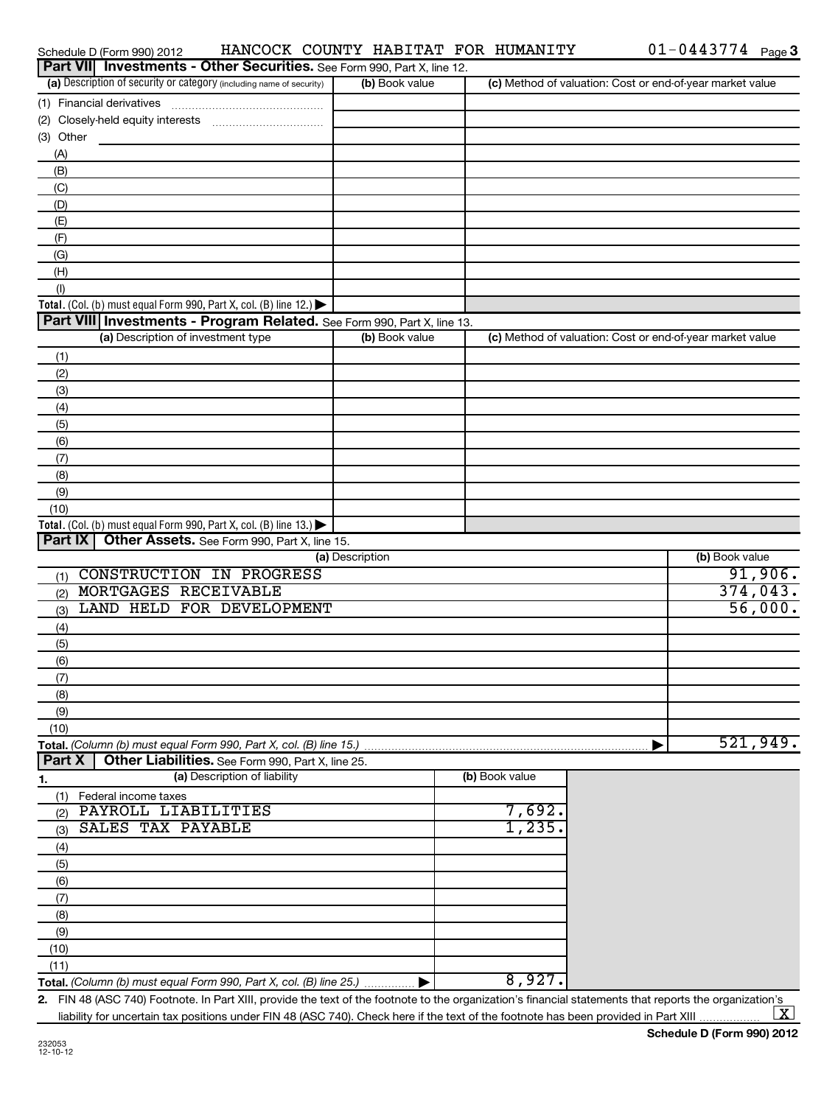|           | Schedule D (Form 990) 2012                  | HANCOCK COUNTY HABITAT FOR HUMANITY                                                                                     |                 |                |                |                                                           | $01 - 0443774$ Page 3 |                     |
|-----------|---------------------------------------------|-------------------------------------------------------------------------------------------------------------------------|-----------------|----------------|----------------|-----------------------------------------------------------|-----------------------|---------------------|
|           |                                             | Part VII Investments - Other Securities. See Form 990, Part X, line 12.                                                 |                 |                |                |                                                           |                       |                     |
|           |                                             | (a) Description of security or category (including name of security)                                                    |                 | (b) Book value |                | (c) Method of valuation: Cost or end-of-year market value |                       |                     |
|           | (1) Financial derivatives                   |                                                                                                                         |                 |                |                |                                                           |                       |                     |
|           |                                             |                                                                                                                         |                 |                |                |                                                           |                       |                     |
| (3) Other |                                             |                                                                                                                         |                 |                |                |                                                           |                       |                     |
| (A)       |                                             |                                                                                                                         |                 |                |                |                                                           |                       |                     |
| (B)       |                                             |                                                                                                                         |                 |                |                |                                                           |                       |                     |
| (C)       |                                             |                                                                                                                         |                 |                |                |                                                           |                       |                     |
| (D)       |                                             |                                                                                                                         |                 |                |                |                                                           |                       |                     |
| (E)       |                                             |                                                                                                                         |                 |                |                |                                                           |                       |                     |
| (F)       |                                             |                                                                                                                         |                 |                |                |                                                           |                       |                     |
| (G)       |                                             |                                                                                                                         |                 |                |                |                                                           |                       |                     |
| (H)       |                                             |                                                                                                                         |                 |                |                |                                                           |                       |                     |
| (1)       |                                             |                                                                                                                         |                 |                |                |                                                           |                       |                     |
|           |                                             | Total. (Col. (b) must equal Form 990, Part X, col. (B) line 12.) $\blacktriangleright$                                  |                 |                |                |                                                           |                       |                     |
|           |                                             | Part VIII Investments - Program Related. See Form 990, Part X, line 13.                                                 |                 |                |                |                                                           |                       |                     |
|           | (a) Description of investment type          |                                                                                                                         |                 | (b) Book value |                | (c) Method of valuation: Cost or end-of-year market value |                       |                     |
| (1)       |                                             |                                                                                                                         |                 |                |                |                                                           |                       |                     |
| (2)       |                                             |                                                                                                                         |                 |                |                |                                                           |                       |                     |
| (3)       |                                             |                                                                                                                         |                 |                |                |                                                           |                       |                     |
| (4)       |                                             |                                                                                                                         |                 |                |                |                                                           |                       |                     |
| (5)       |                                             |                                                                                                                         |                 |                |                |                                                           |                       |                     |
| (6)       |                                             |                                                                                                                         |                 |                |                |                                                           |                       |                     |
| (7)       |                                             |                                                                                                                         |                 |                |                |                                                           |                       |                     |
| (8)       |                                             |                                                                                                                         |                 |                |                |                                                           |                       |                     |
| (9)       |                                             |                                                                                                                         |                 |                |                |                                                           |                       |                     |
| (10)      |                                             |                                                                                                                         |                 |                |                |                                                           |                       |                     |
|           |                                             | Total. (Col. (b) must equal Form 990, Part X, col. (B) line 13.) $\blacktriangleright$                                  |                 |                |                |                                                           |                       |                     |
| Part IX   |                                             | Other Assets. See Form 990, Part X, line 15.                                                                            |                 |                |                |                                                           |                       |                     |
|           |                                             |                                                                                                                         | (a) Description |                |                |                                                           | (b) Book value        |                     |
| (1)       |                                             | CONSTRUCTION IN PROGRESS                                                                                                |                 |                |                |                                                           |                       | 91,906.             |
| (2)       | MORTGAGES RECEIVABLE                        | LAND HELD FOR DEVELOPMENT                                                                                               |                 |                |                |                                                           |                       | 374,043.<br>56,000. |
| (3)       |                                             |                                                                                                                         |                 |                |                |                                                           |                       |                     |
| (4)       |                                             |                                                                                                                         |                 |                |                |                                                           |                       |                     |
| (5)       |                                             |                                                                                                                         |                 |                |                |                                                           |                       |                     |
| (6)       |                                             |                                                                                                                         |                 |                |                |                                                           |                       |                     |
| (7)       |                                             |                                                                                                                         |                 |                |                |                                                           |                       |                     |
| (8)       |                                             |                                                                                                                         |                 |                |                |                                                           |                       |                     |
| (9)       |                                             |                                                                                                                         |                 |                |                |                                                           |                       |                     |
| (10)      |                                             |                                                                                                                         |                 |                |                |                                                           |                       | 521,949.            |
| Part X    |                                             | Total. (Column (b) must equal Form 990, Part X, col. (B) line 15.)<br>Other Liabilities. See Form 990, Part X, line 25. |                 |                |                |                                                           |                       |                     |
|           |                                             | (a) Description of liability                                                                                            |                 |                | (b) Book value |                                                           |                       |                     |
| <u>1.</u> |                                             |                                                                                                                         |                 |                |                |                                                           |                       |                     |
| (1)       | Federal income taxes<br>PAYROLL LIABILITIES |                                                                                                                         |                 |                | 7,692.         |                                                           |                       |                     |
| (2)       | <b>SALES TAX PAYABLE</b>                    |                                                                                                                         |                 |                | 1,235.         |                                                           |                       |                     |
| (3)       |                                             |                                                                                                                         |                 |                |                |                                                           |                       |                     |
| (4)       |                                             |                                                                                                                         |                 |                |                |                                                           |                       |                     |
| (5)       |                                             |                                                                                                                         |                 |                |                |                                                           |                       |                     |
| (6)       |                                             |                                                                                                                         |                 |                |                |                                                           |                       |                     |
| (7)       |                                             |                                                                                                                         |                 |                |                |                                                           |                       |                     |
| (8)       |                                             |                                                                                                                         |                 |                |                |                                                           |                       |                     |
| (9)       |                                             |                                                                                                                         |                 |                |                |                                                           |                       |                     |
| (10)      |                                             |                                                                                                                         |                 |                |                |                                                           |                       |                     |
| (11)      |                                             |                                                                                                                         |                 |                | 8,927.         |                                                           |                       |                     |
|           |                                             | Total. (Column (b) must equal Form 990, Part X, col. (B) line 25.)                                                      |                 |                |                |                                                           |                       |                     |

**2.** FIN 48 (ASC 740) Footnote. In Part XIII, provide the text of the footnote to the organization's financial statements that reports the organization's liability for uncertain tax positions under FIN 48 (ASC 740). Check here if the text of the footnote has been provided in Part XIII  $_{\ldots\ldots\ldots\ldots\ldots}$   $\perp$  X X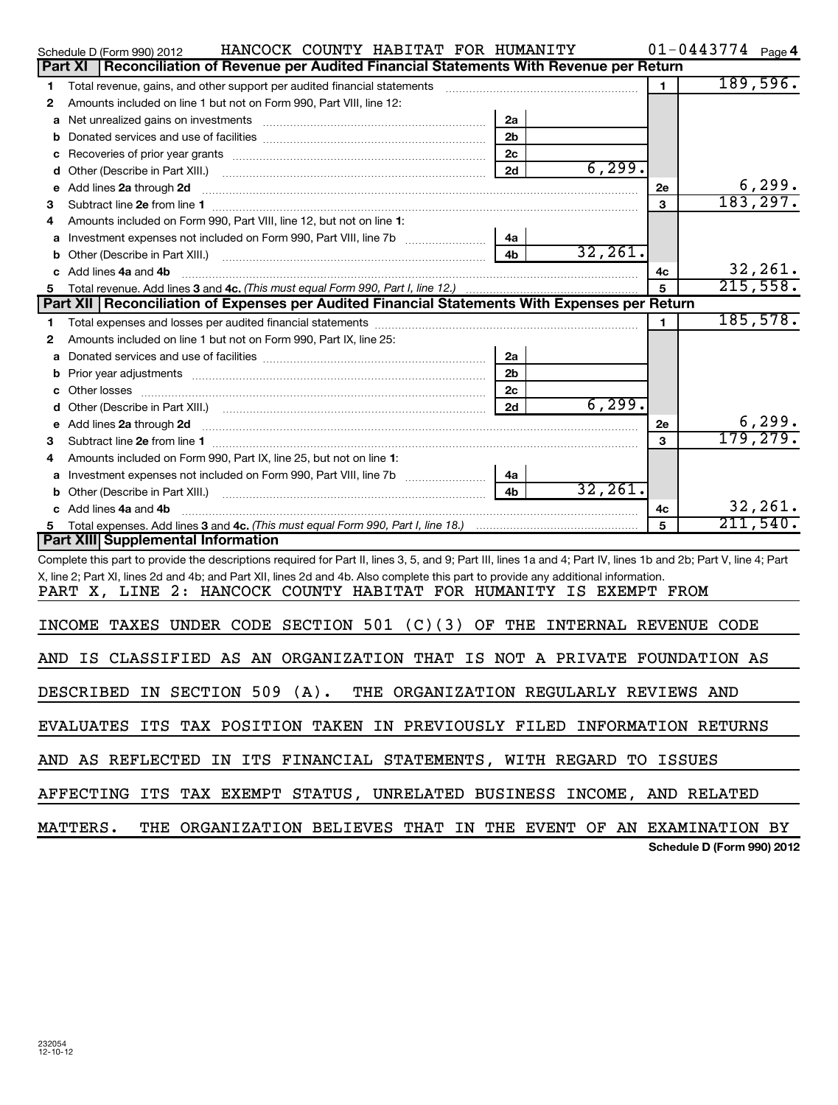|     | HANCOCK COUNTY HABITAT FOR HUMANITY<br>Schedule D (Form 990) 2012                                                                                                                                                                  |                |          |                           | $01 - 0443774$ Page 4  |
|-----|------------------------------------------------------------------------------------------------------------------------------------------------------------------------------------------------------------------------------------|----------------|----------|---------------------------|------------------------|
|     | Reconciliation of Revenue per Audited Financial Statements With Revenue per Return<br><b>Part XI</b>                                                                                                                               |                |          |                           |                        |
| 1   | Total revenue, gains, and other support per audited financial statements                                                                                                                                                           |                |          | $\mathbf{1}$              | 189,596.               |
| 2   | Amounts included on line 1 but not on Form 990, Part VIII, line 12:                                                                                                                                                                |                |          |                           |                        |
| а   |                                                                                                                                                                                                                                    | 2a             |          |                           |                        |
| b   |                                                                                                                                                                                                                                    | 2 <sub>b</sub> |          |                           |                        |
| с   |                                                                                                                                                                                                                                    | 2 <sub>c</sub> |          |                           |                        |
| d   |                                                                                                                                                                                                                                    | 2d             | 6, 299.  |                           |                        |
| е   | Add lines 2a through 2d                                                                                                                                                                                                            |                |          | <b>2e</b>                 | 6, 299.                |
| з   |                                                                                                                                                                                                                                    |                |          | 3                         | 183,297.               |
|     | Amounts included on Form 990, Part VIII, line 12, but not on line 1:                                                                                                                                                               |                |          |                           |                        |
|     |                                                                                                                                                                                                                                    | 4a             |          |                           |                        |
| b   |                                                                                                                                                                                                                                    | 4b             | 32, 261. |                           |                        |
|     | c Add lines 4a and 4b                                                                                                                                                                                                              |                |          | 4с                        | 32,261.                |
| 5   |                                                                                                                                                                                                                                    |                |          | 5                         | $\overline{215,558}$ . |
|     | Part XII   Reconciliation of Expenses per Audited Financial Statements With Expenses per Return                                                                                                                                    |                |          |                           |                        |
| 1   |                                                                                                                                                                                                                                    |                |          | 1                         | 185,578.               |
| 2   | Amounts included on line 1 but not on Form 990, Part IX, line 25:                                                                                                                                                                  |                |          |                           |                        |
| а   |                                                                                                                                                                                                                                    | 2a             |          |                           |                        |
| b   | Prior year adjustments [11,111] Prior year adjustments [11,111] All materials and the continuum and the continuum and the continuum and the continuum and the continuum and the continuum and the continuum and continuum and      | 2 <sub>b</sub> |          |                           |                        |
|     | Other losses                                                                                                                                                                                                                       | 2 <sub>c</sub> |          |                           |                        |
|     |                                                                                                                                                                                                                                    | 2d             | 6, 299.  |                           |                        |
| d   |                                                                                                                                                                                                                                    |                |          |                           | 6, 299.                |
| е   | Add lines 2a through 2d <b>contained a contained a contained a contained a</b> contained a contained a contained a contained a contact a contact a contact a contact a contact a contact a contact a contact a contact a contact a |                |          | <b>2e</b><br>$\mathbf{R}$ | 179,279.               |
| з   |                                                                                                                                                                                                                                    |                |          |                           |                        |
|     | Amounts included on Form 990, Part IX, line 25, but not on line 1:                                                                                                                                                                 |                |          |                           |                        |
|     |                                                                                                                                                                                                                                    | 4a             | 32, 261. |                           |                        |
| b   |                                                                                                                                                                                                                                    | 4 <sub>b</sub> |          |                           |                        |
|     | c Add lines 4a and 4b                                                                                                                                                                                                              |                |          | 4с                        | 32, 261.<br>211,540.   |
|     |                                                                                                                                                                                                                                    |                |          | 5                         |                        |
|     | Part XIII Supplemental Information                                                                                                                                                                                                 |                |          |                           |                        |
|     | Complete this part to provide the descriptions required for Part II, lines 3, 5, and 9; Part III, lines 1a and 4; Part IV, lines 1b and 2b; Part V, line 4; Part                                                                   |                |          |                           |                        |
|     | X, line 2; Part XI, lines 2d and 4b; and Part XII, lines 2d and 4b. Also complete this part to provide any additional information.                                                                                                 |                |          |                           |                        |
|     | PART X, LINE 2: HANCOCK COUNTY HABITAT FOR HUMANITY IS EXEMPT FROM                                                                                                                                                                 |                |          |                           |                        |
|     |                                                                                                                                                                                                                                    |                |          |                           |                        |
|     | INCOME TAXES UNDER CODE SECTION 501 (C)(3) OF THE INTERNAL REVENUE CODE                                                                                                                                                            |                |          |                           |                        |
|     |                                                                                                                                                                                                                                    |                |          |                           |                        |
| AND | IS CLASSIFIED AS AN ORGANIZATION THAT IS NOT A PRIVATE FOUNDATION AS                                                                                                                                                               |                |          |                           |                        |
|     |                                                                                                                                                                                                                                    |                |          |                           |                        |
|     | DESCRIBED IN SECTION 509 (A). THE ORGANIZATION REGULARLY REVIEWS AND                                                                                                                                                               |                |          |                           |                        |
|     |                                                                                                                                                                                                                                    |                |          |                           |                        |
|     | EVALUATES ITS TAX POSITION TAKEN IN PREVIOUSLY FILED INFORMATION RETURNS                                                                                                                                                           |                |          |                           |                        |
|     |                                                                                                                                                                                                                                    |                |          |                           |                        |
|     | AND AS REFLECTED IN ITS FINANCIAL STATEMENTS, WITH REGARD TO ISSUES                                                                                                                                                                |                |          |                           |                        |
|     |                                                                                                                                                                                                                                    |                |          |                           |                        |
|     | AFFECTING ITS TAX EXEMPT STATUS, UNRELATED BUSINESS INCOME, AND RELATED                                                                                                                                                            |                |          |                           |                        |
|     |                                                                                                                                                                                                                                    |                |          |                           |                        |
|     | MATTERS.<br>THE ORGANIZATION BELIEVES THAT IN THE EVENT OF AN EXAMINATION BY                                                                                                                                                       |                |          |                           |                        |
|     |                                                                                                                                                                                                                                    |                |          |                           |                        |

**Schedule D (Form 990) 2012**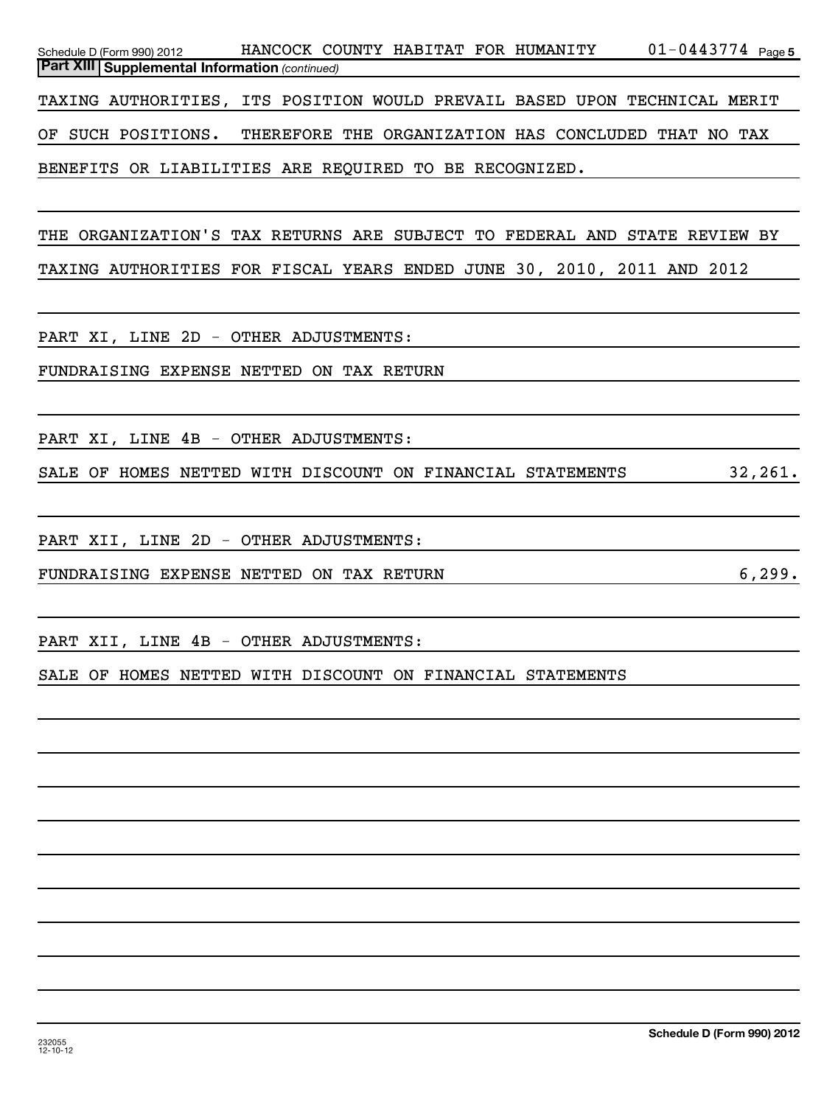| Schedule D (Form 990) 2012                                                | HANCOCK COUNTY HABITAT FOR HUMANITY | $01 - 0443774$ Page 5 |
|---------------------------------------------------------------------------|-------------------------------------|-----------------------|
| <b>Part XIII Supplemental Information (continued)</b>                     |                                     |                       |
| TAXING AUTHORITIES, ITS POSITION WOULD PREVAIL BASED UPON TECHNICAL MERIT |                                     |                       |
| OF SUCH POSITIONS. THEREFORE THE ORGANIZATION HAS CONCLUDED THAT NO TAX   |                                     |                       |
| BENEFITS OR LIABILITIES ARE REQUIRED TO BE RECOGNIZED.                    |                                     |                       |

THE ORGANIZATION'S TAX RETURNS ARE SUBJECT TO FEDERAL AND STATE REVIEW BY TAXING AUTHORITIES FOR FISCAL YEARS ENDED JUNE 30, 2010, 2011 AND 2012

PART XI, LINE 2D - OTHER ADJUSTMENTS:

FUNDRAISING EXPENSE NETTED ON TAX RETURN

PART XI, LINE 4B - OTHER ADJUSTMENTS:

SALE OF HOMES NETTED WITH DISCOUNT ON FINANCIAL STATEMENTS 32,261.

PART XII, LINE 2D - OTHER ADJUSTMENTS:

FUNDRAISING EXPENSE NETTED ON TAX RETURN 6,299.

PART XII, LINE 4B - OTHER ADJUSTMENTS:

SALE OF HOMES NETTED WITH DISCOUNT ON FINANCIAL STATEMENTS